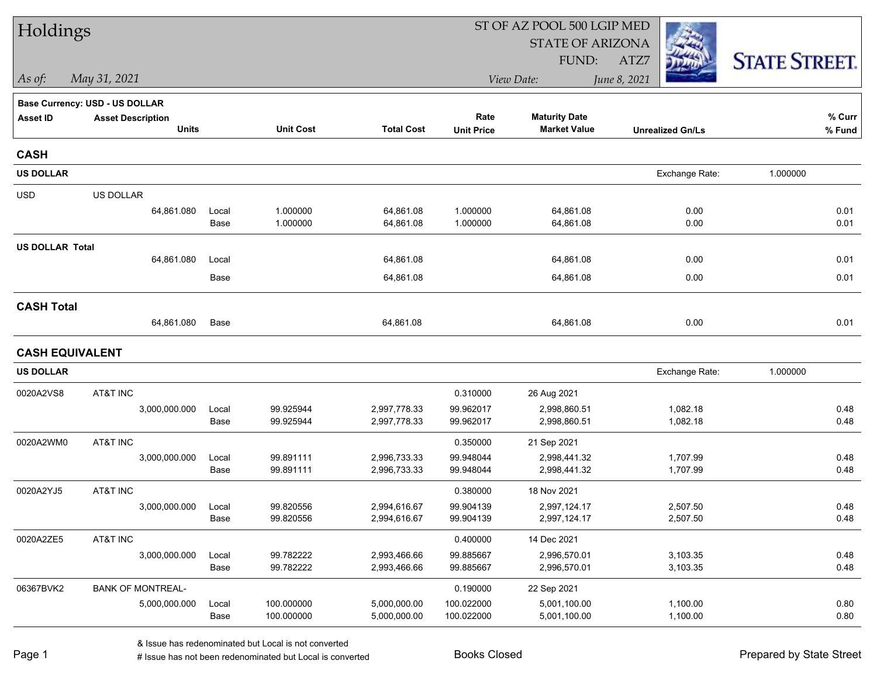| Holdings               |                                       |       |                  |                   |                   | ST OF AZ POOL 500 LGIP MED |                         |                      |
|------------------------|---------------------------------------|-------|------------------|-------------------|-------------------|----------------------------|-------------------------|----------------------|
|                        |                                       |       |                  |                   |                   | <b>STATE OF ARIZONA</b>    |                         |                      |
|                        |                                       |       |                  |                   |                   | FUND:                      | ATZ7                    | <b>STATE STREET.</b> |
| As of:                 | May 31, 2021                          |       |                  |                   |                   | View Date:                 | June 8, 2021            |                      |
|                        | <b>Base Currency: USD - US DOLLAR</b> |       |                  |                   |                   |                            |                         |                      |
| <b>Asset ID</b>        | <b>Asset Description</b>              |       |                  |                   | Rate              | <b>Maturity Date</b>       |                         | % Curr               |
|                        | <b>Units</b>                          |       | <b>Unit Cost</b> | <b>Total Cost</b> | <b>Unit Price</b> | <b>Market Value</b>        | <b>Unrealized Gn/Ls</b> | % Fund               |
| <b>CASH</b>            |                                       |       |                  |                   |                   |                            |                         |                      |
| <b>US DOLLAR</b>       |                                       |       |                  |                   |                   |                            | Exchange Rate:          | 1.000000             |
| <b>USD</b>             | US DOLLAR                             |       |                  |                   |                   |                            |                         |                      |
|                        | 64,861.080                            | Local | 1.000000         | 64,861.08         | 1.000000          | 64,861.08                  | 0.00                    | 0.01                 |
|                        |                                       | Base  | 1.000000         | 64,861.08         | 1.000000          | 64,861.08                  | 0.00                    | 0.01                 |
| <b>US DOLLAR Total</b> |                                       |       |                  |                   |                   |                            |                         |                      |
|                        | 64,861.080                            | Local |                  | 64,861.08         |                   | 64,861.08                  | 0.00                    | 0.01                 |
|                        |                                       | Base  |                  | 64,861.08         |                   | 64,861.08                  | 0.00                    | 0.01                 |
| <b>CASH Total</b>      |                                       |       |                  |                   |                   |                            |                         |                      |
|                        | 64,861.080                            | Base  |                  | 64,861.08         |                   | 64,861.08                  | 0.00                    | 0.01                 |
| <b>CASH EQUIVALENT</b> |                                       |       |                  |                   |                   |                            |                         |                      |
| <b>US DOLLAR</b>       |                                       |       |                  |                   |                   |                            | Exchange Rate:          | 1.000000             |
| 0020A2VS8              | AT&T INC                              |       |                  |                   | 0.310000          | 26 Aug 2021                |                         |                      |
|                        | 3,000,000.000                         | Local | 99.925944        | 2,997,778.33      | 99.962017         | 2,998,860.51               | 1,082.18                | 0.48                 |
|                        |                                       | Base  | 99.925944        | 2,997,778.33      | 99.962017         | 2,998,860.51               | 1,082.18                | 0.48                 |
| 0020A2WM0              | AT&T INC                              |       |                  |                   | 0.350000          | 21 Sep 2021                |                         |                      |
|                        | 3,000,000.000                         | Local | 99.891111        | 2,996,733.33      | 99.948044         | 2,998,441.32               | 1,707.99                | 0.48                 |
|                        |                                       | Base  | 99.891111        | 2,996,733.33      | 99.948044         | 2,998,441.32               | 1,707.99                | 0.48                 |
| 0020A2YJ5              | AT&T INC                              |       |                  |                   | 0.380000          | 18 Nov 2021                |                         |                      |
|                        | 3,000,000.000                         | Local | 99.820556        | 2,994,616.67      | 99.904139         | 2,997,124.17               | 2,507.50                | 0.48                 |
|                        |                                       | Base  | 99.820556        | 2,994,616.67      | 99.904139         | 2,997,124.17               | 2,507.50                | 0.48                 |
| 0020A2ZE5              | AT&T INC                              |       |                  |                   | 0.400000          | 14 Dec 2021                |                         |                      |
|                        | 3,000,000.000                         | Local | 99.782222        | 2,993,466.66      | 99.885667         | 2,996,570.01               | 3,103.35                | 0.48                 |
|                        |                                       | Base  | 99.782222        | 2,993,466.66      | 99.885667         | 2,996,570.01               | 3,103.35                | 0.48                 |
| 06367BVK2              | <b>BANK OF MONTREAL-</b>              |       |                  |                   | 0.190000          | 22 Sep 2021                |                         |                      |
|                        | 5,000,000.000                         | Local | 100.000000       | 5,000,000.00      | 100.022000        | 5,001,100.00               | 1,100.00                | 0.80                 |
|                        |                                       | Base  | 100.000000       | 5,000,000.00      | 100.022000        | 5,001,100.00               | 1,100.00                | 0.80                 |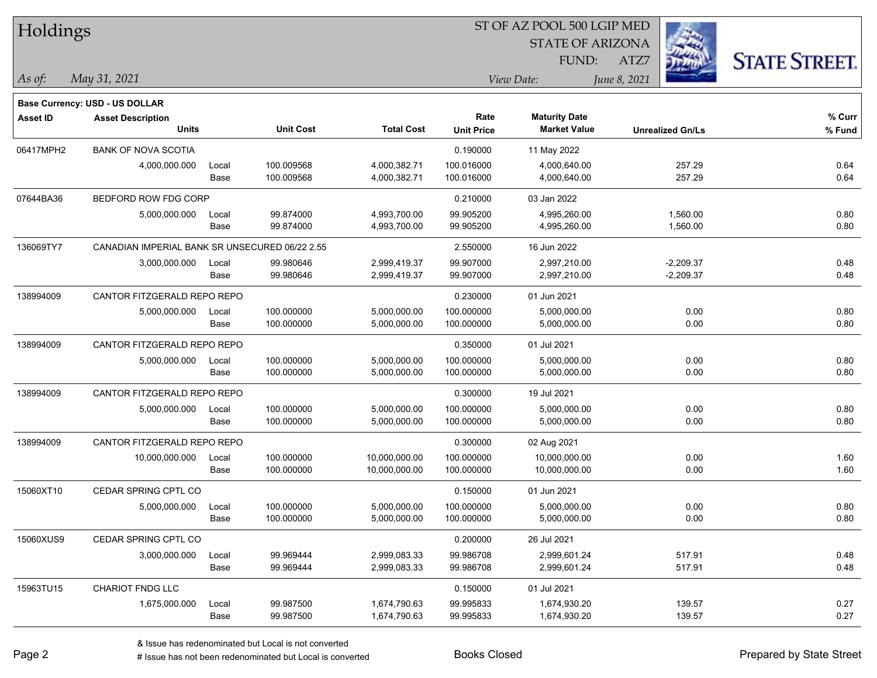| Holdings        |                                                |       |                  |                   |                         |                      |              |                         |                      |
|-----------------|------------------------------------------------|-------|------------------|-------------------|-------------------------|----------------------|--------------|-------------------------|----------------------|
|                 |                                                |       |                  |                   | <b>STATE OF ARIZONA</b> |                      |              |                         |                      |
|                 |                                                |       |                  |                   |                         | FUND:                | ATZ7         |                         | <b>STATE STREET.</b> |
| As of:          | May 31, 2021                                   |       |                  |                   |                         | View Date:           | June 8, 2021 |                         |                      |
|                 | Base Currency: USD - US DOLLAR                 |       |                  |                   |                         |                      |              |                         |                      |
| <b>Asset ID</b> | <b>Asset Description</b>                       |       |                  |                   | Rate                    | <b>Maturity Date</b> |              |                         | % Curr               |
|                 | <b>Units</b>                                   |       | <b>Unit Cost</b> | <b>Total Cost</b> | <b>Unit Price</b>       | <b>Market Value</b>  |              | <b>Unrealized Gn/Ls</b> | % Fund               |
| 06417MPH2       | <b>BANK OF NOVA SCOTIA</b>                     |       |                  |                   | 0.190000                | 11 May 2022          |              |                         |                      |
|                 | 4,000,000.000                                  | Local | 100.009568       | 4,000,382.71      | 100.016000              | 4,000,640.00         |              | 257.29                  | 0.64                 |
|                 |                                                | Base  | 100.009568       | 4,000,382.71      | 100.016000              | 4,000,640.00         |              | 257.29                  | 0.64                 |
| 07644BA36       | BEDFORD ROW FDG CORP                           |       |                  |                   | 0.210000                | 03 Jan 2022          |              |                         |                      |
|                 | 5,000,000.000                                  | Local | 99.874000        | 4,993,700.00      | 99.905200               | 4,995,260.00         |              | 1,560.00                | 0.80                 |
|                 |                                                | Base  | 99.874000        | 4,993,700.00      | 99.905200               | 4,995,260.00         |              | 1,560.00                | 0.80                 |
| 136069TY7       | CANADIAN IMPERIAL BANK SR UNSECURED 06/22 2.55 |       |                  |                   | 2.550000                | 16 Jun 2022          |              |                         |                      |
|                 | 3,000,000.000                                  | Local | 99.980646        | 2,999,419.37      | 99.907000               | 2,997,210.00         |              | $-2,209.37$             | 0.48                 |
|                 |                                                | Base  | 99.980646        | 2,999,419.37      | 99.907000               | 2,997,210.00         |              | $-2,209.37$             | 0.48                 |
| 138994009       | CANTOR FITZGERALD REPO REPO                    |       |                  |                   | 0.230000                | 01 Jun 2021          |              |                         |                      |
|                 | 5,000,000.000                                  | Local | 100.000000       | 5,000,000.00      | 100.000000              | 5,000,000.00         |              | 0.00                    | 0.80                 |
|                 |                                                | Base  | 100.000000       | 5,000,000.00      | 100.000000              | 5,000,000.00         |              | 0.00                    | 0.80                 |
| 138994009       | CANTOR FITZGERALD REPO REPO                    |       |                  |                   | 0.350000                | 01 Jul 2021          |              |                         |                      |
|                 | 5,000,000.000                                  | Local | 100.000000       | 5,000,000.00      | 100.000000              | 5,000,000.00         |              | 0.00                    | 0.80                 |
|                 |                                                | Base  | 100.000000       | 5,000,000.00      | 100.000000              | 5,000,000.00         |              | 0.00                    | 0.80                 |
| 138994009       | CANTOR FITZGERALD REPO REPO                    |       |                  |                   | 0.300000                | 19 Jul 2021          |              |                         |                      |
|                 | 5,000,000.000                                  | Local | 100.000000       | 5,000,000.00      | 100.000000              | 5,000,000.00         |              | 0.00                    | 0.80                 |
|                 |                                                | Base  | 100.000000       | 5,000,000.00      | 100.000000              | 5,000,000.00         |              | 0.00                    | 0.80                 |
| 138994009       | CANTOR FITZGERALD REPO REPO                    |       |                  |                   | 0.300000                | 02 Aug 2021          |              |                         |                      |
|                 | 10,000,000.000                                 | Local | 100.000000       | 10,000,000.00     | 100.000000              | 10,000,000.00        |              | 0.00                    | 1.60                 |
|                 |                                                | Base  | 100.000000       | 10,000,000.00     | 100.000000              | 10,000,000.00        |              | 0.00                    | 1.60                 |
| 15060XT10       | CEDAR SPRING CPTL CO                           |       |                  |                   | 0.150000                | 01 Jun 2021          |              |                         |                      |
|                 | 5,000,000.000                                  | Local | 100.000000       | 5,000,000.00      | 100.000000              | 5,000,000.00         |              | 0.00                    | 0.80                 |
|                 |                                                | Base  | 100.000000       | 5,000,000.00      | 100.000000              | 5,000,000.00         |              | 0.00                    | 0.80                 |
| 15060XUS9       | CEDAR SPRING CPTL CO                           |       |                  |                   | 0.200000                | 26 Jul 2021          |              |                         |                      |
|                 | 3,000,000.000                                  | Local | 99.969444        | 2,999,083.33      | 99.986708               | 2,999,601.24         |              | 517.91                  | 0.48                 |
|                 |                                                | Base  | 99.969444        | 2,999,083.33      | 99.986708               | 2,999,601.24         |              | 517.91                  | 0.48                 |
| 15963TU15       | CHARIOT FNDG LLC                               |       |                  |                   | 0.150000                | 01 Jul 2021          |              |                         |                      |
|                 | 1,675,000.000                                  | Local | 99.987500        | 1,674,790.63      | 99.995833               | 1,674,930.20         |              | 139.57                  | 0.27                 |
|                 |                                                | Base  | 99.987500        | 1,674,790.63      | 99.995833               | 1,674,930.20         |              | 139.57                  | 0.27                 |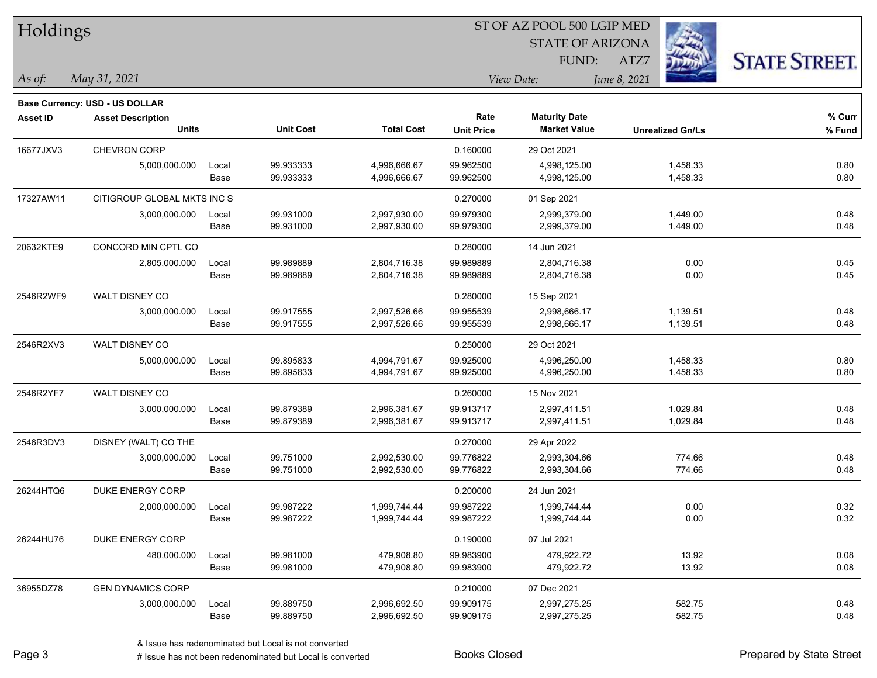| Holdings        |                                       |       |                  |                   | 51 OF AZ POOL 500 LGIP MED |                         |                         |                     |  |  |
|-----------------|---------------------------------------|-------|------------------|-------------------|----------------------------|-------------------------|-------------------------|---------------------|--|--|
|                 |                                       |       |                  |                   |                            | <b>STATE OF ARIZONA</b> | Ż.                      |                     |  |  |
|                 |                                       |       |                  |                   |                            | FUND:                   | ATZ7                    | <b>STATE STREET</b> |  |  |
| As of:          | May 31, 2021                          |       |                  |                   |                            | View Date:              | June 8, 2021            |                     |  |  |
|                 | <b>Base Currency: USD - US DOLLAR</b> |       |                  |                   |                            |                         |                         |                     |  |  |
| <b>Asset ID</b> | <b>Asset Description</b>              |       |                  |                   | Rate                       | <b>Maturity Date</b>    |                         | % Curr              |  |  |
|                 | <b>Units</b>                          |       | <b>Unit Cost</b> | <b>Total Cost</b> | <b>Unit Price</b>          | <b>Market Value</b>     | <b>Unrealized Gn/Ls</b> | % Fund              |  |  |
| 16677JXV3       | <b>CHEVRON CORP</b>                   |       |                  |                   | 0.160000                   | 29 Oct 2021             |                         |                     |  |  |
|                 | 5,000,000.000                         | Local | 99.933333        | 4,996,666.67      | 99.962500                  | 4,998,125.00            | 1,458.33                | 0.80                |  |  |
|                 |                                       | Base  | 99.933333        | 4,996,666.67      | 99.962500                  | 4,998,125.00            | 1,458.33                | 0.80                |  |  |
| 17327AW11       | CITIGROUP GLOBAL MKTS INC S           |       |                  |                   | 0.270000                   | 01 Sep 2021             |                         |                     |  |  |
|                 | 3,000,000.000                         | Local | 99.931000        | 2,997,930.00      | 99.979300                  | 2,999,379.00            | 1,449.00                | 0.48                |  |  |
|                 |                                       | Base  | 99.931000        | 2,997,930.00      | 99.979300                  | 2,999,379.00            | 1,449.00                | 0.48                |  |  |
| 20632KTE9       | CONCORD MIN CPTL CO                   |       |                  |                   | 0.280000                   | 14 Jun 2021             |                         |                     |  |  |
|                 | 2,805,000.000                         | Local | 99.989889        | 2,804,716.38      | 99.989889                  | 2,804,716.38            | 0.00                    | 0.45                |  |  |
|                 |                                       | Base  | 99.989889        | 2,804,716.38      | 99.989889                  | 2,804,716.38            | 0.00                    | 0.45                |  |  |
| 2546R2WF9       | WALT DISNEY CO                        |       |                  |                   | 0.280000                   | 15 Sep 2021             |                         |                     |  |  |
|                 | 3,000,000.000                         | Local | 99.917555        | 2,997,526.66      | 99.955539                  | 2,998,666.17            | 1,139.51                | 0.48                |  |  |
|                 |                                       | Base  | 99.917555        | 2,997,526.66      | 99.955539                  | 2,998,666.17            | 1,139.51                | 0.48                |  |  |
| 2546R2XV3       | WALT DISNEY CO                        |       |                  |                   | 0.250000                   | 29 Oct 2021             |                         |                     |  |  |
|                 | 5,000,000.000                         | Local | 99.895833        | 4,994,791.67      | 99.925000                  | 4,996,250.00            | 1,458.33                | 0.80                |  |  |
|                 |                                       | Base  | 99.895833        | 4,994,791.67      | 99.925000                  | 4,996,250.00            | 1,458.33                | 0.80                |  |  |
| 2546R2YF7       | WALT DISNEY CO                        |       |                  |                   | 0.260000                   | 15 Nov 2021             |                         |                     |  |  |
|                 | 3,000,000.000                         | Local | 99.879389        | 2,996,381.67      | 99.913717                  | 2,997,411.51            | 1,029.84                | 0.48                |  |  |
|                 |                                       | Base  | 99.879389        | 2,996,381.67      | 99.913717                  | 2,997,411.51            | 1,029.84                | 0.48                |  |  |
| 2546R3DV3       | DISNEY (WALT) CO THE                  |       |                  |                   | 0.270000                   | 29 Apr 2022             |                         |                     |  |  |
|                 | 3,000,000.000                         | Local | 99.751000        | 2,992,530.00      | 99.776822                  | 2,993,304.66            | 774.66                  | 0.48                |  |  |
|                 |                                       | Base  | 99.751000        | 2,992,530.00      | 99.776822                  | 2,993,304.66            | 774.66                  | 0.48                |  |  |
| 26244HTQ6       | DUKE ENERGY CORP                      |       |                  |                   | 0.200000                   | 24 Jun 2021             |                         |                     |  |  |
|                 | 2,000,000.000                         | Local | 99.987222        | 1,999,744.44      | 99.987222                  | 1,999,744.44            | 0.00                    | 0.32                |  |  |
|                 |                                       | Base  | 99.987222        | 1,999,744.44      | 99.987222                  | 1,999,744.44            | 0.00                    | 0.32                |  |  |
| 26244HU76       | DUKE ENERGY CORP                      |       |                  |                   | 0.190000                   | 07 Jul 2021             |                         |                     |  |  |
|                 | 480,000.000                           | Local | 99.981000        | 479,908.80        | 99.983900                  | 479,922.72              | 13.92                   | 0.08                |  |  |
|                 |                                       | Base  | 99.981000        | 479,908.80        | 99.983900                  | 479,922.72              | 13.92                   | 0.08                |  |  |
| 36955DZ78       | <b>GEN DYNAMICS CORP</b>              |       |                  |                   | 0.210000                   | 07 Dec 2021             |                         |                     |  |  |
|                 | 3,000,000.000                         | Local | 99.889750        | 2,996,692.50      | 99.909175                  | 2,997,275.25            | 582.75                  | 0.48                |  |  |
|                 |                                       | Base  | 99.889750        | 2,996,692.50      | 99.909175                  | 2,997,275.25            | 582.75                  | 0.48                |  |  |

 $\overline{\text{ST} + \text{F} \text{PQQI}}$  500 LGIB MED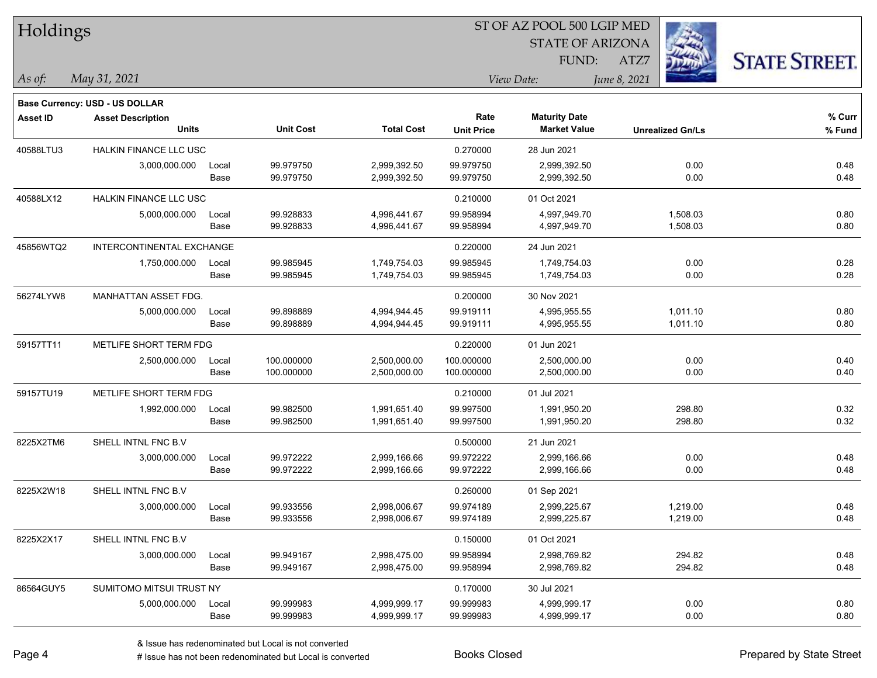| Holdings        |                                          |       |                  |                   | 51 OF AZ POOL 500 LGIP MED |                                             |                         |                      |  |  |
|-----------------|------------------------------------------|-------|------------------|-------------------|----------------------------|---------------------------------------------|-------------------------|----------------------|--|--|
|                 |                                          |       |                  |                   |                            | <b>STATE OF ARIZONA</b>                     | Ź.                      |                      |  |  |
|                 |                                          |       |                  |                   |                            | FUND:                                       | ATZ7                    | <b>STATE STREET.</b> |  |  |
| As of:          | May 31, 2021                             |       |                  |                   |                            | View Date:                                  | June 8, 2021            |                      |  |  |
|                 |                                          |       |                  |                   |                            |                                             |                         |                      |  |  |
|                 | <b>Base Currency: USD - US DOLLAR</b>    |       |                  |                   |                            |                                             |                         |                      |  |  |
| <b>Asset ID</b> | <b>Asset Description</b><br><b>Units</b> |       | <b>Unit Cost</b> | <b>Total Cost</b> | Rate<br><b>Unit Price</b>  | <b>Maturity Date</b><br><b>Market Value</b> | <b>Unrealized Gn/Ls</b> | % Curr<br>% Fund     |  |  |
|                 |                                          |       |                  |                   |                            |                                             |                         |                      |  |  |
| 40588LTU3       | <b>HALKIN FINANCE LLC USC</b>            |       |                  |                   | 0.270000                   | 28 Jun 2021                                 |                         |                      |  |  |
|                 | 3,000,000.000                            | Local | 99.979750        | 2,999,392.50      | 99.979750                  | 2,999,392.50                                | 0.00                    | 0.48                 |  |  |
|                 |                                          | Base  | 99.979750        | 2,999,392.50      | 99.979750                  | 2,999,392.50                                | 0.00                    | 0.48                 |  |  |
| 40588LX12       | <b>HALKIN FINANCE LLC USC</b>            |       |                  |                   | 0.210000                   | 01 Oct 2021                                 |                         |                      |  |  |
|                 | 5,000,000.000                            | Local | 99.928833        | 4,996,441.67      | 99.958994                  | 4,997,949.70                                | 1,508.03                | 0.80                 |  |  |
|                 |                                          | Base  | 99.928833        | 4,996,441.67      | 99.958994                  | 4,997,949.70                                | 1,508.03                | 0.80                 |  |  |
| 45856WTQ2       | INTERCONTINENTAL EXCHANGE                |       |                  |                   | 0.220000                   | 24 Jun 2021                                 |                         |                      |  |  |
|                 | 1,750,000.000                            | Local | 99.985945        | 1,749,754.03      | 99.985945                  | 1,749,754.03                                | 0.00                    | 0.28                 |  |  |
|                 |                                          | Base  | 99.985945        | 1,749,754.03      | 99.985945                  | 1,749,754.03                                | 0.00                    | 0.28                 |  |  |
| 56274LYW8       | MANHATTAN ASSET FDG.                     |       |                  |                   | 0.200000                   | 30 Nov 2021                                 |                         |                      |  |  |
|                 | 5,000,000.000                            | Local | 99.898889        | 4,994,944.45      | 99.919111                  | 4,995,955.55                                | 1,011.10                | 0.80                 |  |  |
|                 |                                          | Base  | 99.898889        | 4,994,944.45      | 99.919111                  | 4,995,955.55                                | 1,011.10                | 0.80                 |  |  |
| 59157TT11       | METLIFE SHORT TERM FDG                   |       |                  |                   | 0.220000                   | 01 Jun 2021                                 |                         |                      |  |  |
|                 | 2,500,000.000                            | Local | 100.000000       | 2,500,000.00      | 100.000000                 | 2,500,000.00                                | 0.00                    | 0.40                 |  |  |
|                 |                                          | Base  | 100.000000       | 2,500,000.00      | 100.000000                 | 2,500,000.00                                | 0.00                    | 0.40                 |  |  |
| 59157TU19       | METLIFE SHORT TERM FDG                   |       |                  |                   | 0.210000                   | 01 Jul 2021                                 |                         |                      |  |  |
|                 | 1,992,000.000                            | Local | 99.982500        | 1,991,651.40      | 99.997500                  | 1,991,950.20                                | 298.80                  | 0.32                 |  |  |
|                 |                                          | Base  | 99.982500        | 1,991,651.40      | 99.997500                  | 1,991,950.20                                | 298.80                  | 0.32                 |  |  |
| 8225X2TM6       | SHELL INTNL FNC B.V                      |       |                  |                   | 0.500000                   | 21 Jun 2021                                 |                         |                      |  |  |
|                 | 3,000,000.000                            | Local | 99.972222        | 2,999,166.66      | 99.972222                  | 2,999,166.66                                | 0.00                    | 0.48                 |  |  |
|                 |                                          | Base  | 99.972222        | 2,999,166.66      | 99.972222                  | 2,999,166.66                                | 0.00                    | 0.48                 |  |  |
| 8225X2W18       | SHELL INTNL FNC B.V                      |       |                  |                   | 0.260000                   | 01 Sep 2021                                 |                         |                      |  |  |
|                 | 3,000,000.000                            | Local | 99.933556        | 2,998,006.67      | 99.974189                  | 2,999,225.67                                | 1,219.00                | 0.48                 |  |  |
|                 |                                          | Base  | 99.933556        | 2,998,006.67      | 99.974189                  | 2,999,225.67                                | 1,219.00                | 0.48                 |  |  |
| 8225X2X17       | SHELL INTNL FNC B.V                      |       |                  |                   | 0.150000                   | 01 Oct 2021                                 |                         |                      |  |  |
|                 | 3,000,000.000                            | Local | 99.949167        | 2,998,475.00      | 99.958994                  | 2,998,769.82                                | 294.82                  | 0.48                 |  |  |
|                 |                                          | Base  | 99.949167        | 2,998,475.00      | 99.958994                  | 2,998,769.82                                | 294.82                  | 0.48                 |  |  |
| 86564GUY5       | SUMITOMO MITSUI TRUST NY                 |       |                  |                   | 0.170000                   | 30 Jul 2021                                 |                         |                      |  |  |
|                 | 5,000,000.000                            | Local | 99.999983        | 4,999,999.17      | 99.999983                  | 4,999,999.17                                | 0.00                    | 0.80                 |  |  |
|                 |                                          | Base  | 99.999983        | 4,999,999.17      | 99.999983                  | 4,999,999.17                                | 0.00                    | 0.80                 |  |  |

 $\overline{\text{SD} + \text{F} \text{PQQI}}$  500 LGID MED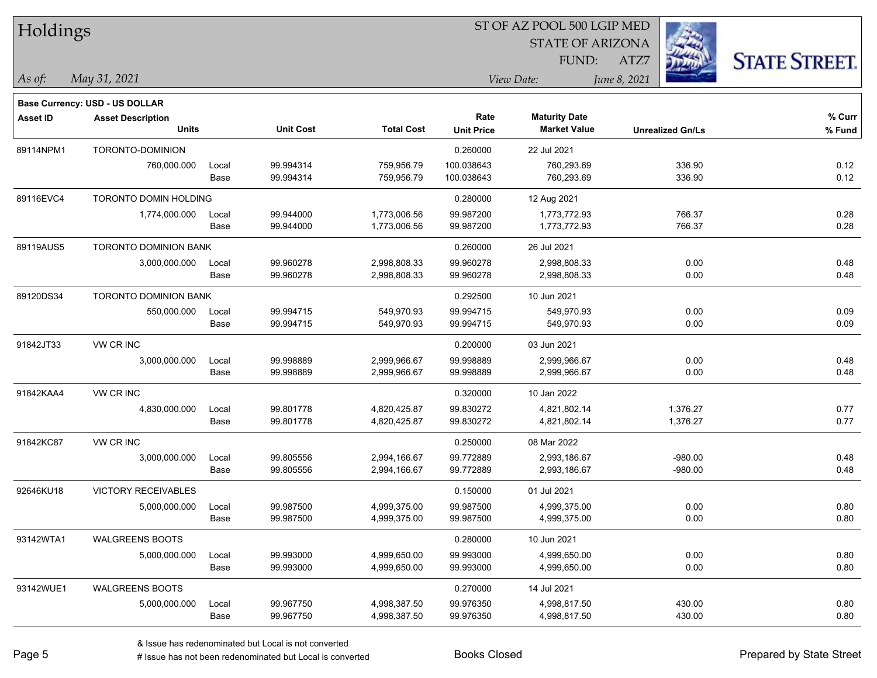| Holdings  |                                          |               |                        |                              | ST OF AZ POOL 500 LGIP MED |                                             |                             |                      |  |  |
|-----------|------------------------------------------|---------------|------------------------|------------------------------|----------------------------|---------------------------------------------|-----------------------------|----------------------|--|--|
|           |                                          |               |                        |                              |                            | <b>STATE OF ARIZONA</b>                     | $\mathcal{L}_{\mathcal{D}}$ |                      |  |  |
|           |                                          |               |                        |                              |                            | FUND:                                       | ATZ7                        | <b>STATE STREET.</b> |  |  |
| As of:    | May 31, 2021                             |               |                        |                              |                            | June 8, 2021<br>View Date:                  |                             |                      |  |  |
|           | <b>Base Currency: USD - US DOLLAR</b>    |               |                        |                              |                            |                                             |                             |                      |  |  |
| Asset ID  | <b>Asset Description</b><br><b>Units</b> |               | <b>Unit Cost</b>       | <b>Total Cost</b>            | Rate<br><b>Unit Price</b>  | <b>Maturity Date</b><br><b>Market Value</b> | <b>Unrealized Gn/Ls</b>     | $%$ Curr<br>% Fund   |  |  |
| 89114NPM1 | TORONTO-DOMINION                         |               |                        |                              | 0.260000                   | 22 Jul 2021                                 |                             |                      |  |  |
|           | 760,000.000                              | Local<br>Base | 99.994314<br>99.994314 | 759,956.79<br>759,956.79     | 100.038643<br>100.038643   | 760,293.69<br>760,293.69                    | 336.90<br>336.90            | 0.12<br>0.12         |  |  |
| 89116EVC4 | TORONTO DOMIN HOLDING                    |               |                        |                              | 0.280000                   | 12 Aug 2021                                 |                             |                      |  |  |
|           | 1,774,000.000                            | Local<br>Base | 99.944000<br>99.944000 | 1,773,006.56<br>1,773,006.56 | 99.987200<br>99.987200     | 1,773,772.93<br>1,773,772.93                | 766.37<br>766.37            | 0.28<br>0.28         |  |  |
| 89119AUS5 | <b>TORONTO DOMINION BANK</b>             |               |                        |                              | 0.260000                   | 26 Jul 2021                                 |                             |                      |  |  |
|           | 3,000,000.000                            | Local<br>Base | 99.960278<br>99.960278 | 2,998,808.33<br>2,998,808.33 | 99.960278<br>99.960278     | 2,998,808.33<br>2,998,808.33                | 0.00<br>0.00                | 0.48<br>0.48         |  |  |
| 89120DS34 | TORONTO DOMINION BANK                    |               |                        |                              | 0.292500                   | 10 Jun 2021                                 |                             |                      |  |  |
|           | 550,000.000                              | Local<br>Base | 99.994715<br>99.994715 | 549,970.93<br>549,970.93     | 99.994715<br>99.994715     | 549,970.93<br>549,970.93                    | 0.00<br>0.00                | 0.09<br>0.09         |  |  |
| 91842JT33 | VW CR INC                                |               |                        |                              | 0.200000                   | 03 Jun 2021                                 |                             |                      |  |  |
|           | 3,000,000.000                            | Local<br>Base | 99.998889<br>99.998889 | 2,999,966.67<br>2,999,966.67 | 99.998889<br>99.998889     | 2,999,966.67<br>2,999,966.67                | 0.00<br>0.00                | 0.48<br>0.48         |  |  |
| 91842KAA4 | VW CR INC                                |               |                        |                              | 0.320000                   | 10 Jan 2022                                 |                             |                      |  |  |
|           | 4,830,000.000                            | Local<br>Base | 99.801778<br>99.801778 | 4,820,425.87<br>4,820,425.87 | 99.830272<br>99.830272     | 4,821,802.14<br>4,821,802.14                | 1,376.27<br>1,376.27        | 0.77<br>0.77         |  |  |
| 91842KC87 | VW CR INC                                |               |                        |                              | 0.250000                   | 08 Mar 2022                                 |                             |                      |  |  |
|           | 3,000,000.000                            | Local<br>Base | 99.805556<br>99.805556 | 2,994,166.67<br>2,994,166.67 | 99.772889<br>99.772889     | 2,993,186.67<br>2,993,186.67                | $-980.00$<br>$-980.00$      | 0.48<br>0.48         |  |  |
| 92646KU18 | <b>VICTORY RECEIVABLES</b>               |               |                        |                              | 0.150000                   | 01 Jul 2021                                 |                             |                      |  |  |
|           | 5,000,000.000                            | Local<br>Base | 99.987500<br>99.987500 | 4,999,375.00<br>4,999,375.00 | 99.987500<br>99.987500     | 4,999,375.00<br>4,999,375.00                | 0.00<br>0.00                | 0.80<br>0.80         |  |  |
| 93142WTA1 | <b>WALGREENS BOOTS</b>                   |               |                        |                              | 0.280000                   | 10 Jun 2021                                 |                             |                      |  |  |
|           | 5,000,000.000                            | Local<br>Base | 99.993000<br>99.993000 | 4,999,650.00<br>4,999,650.00 | 99.993000<br>99.993000     | 4,999,650.00<br>4,999,650.00                | 0.00<br>0.00                | 0.80<br>0.80         |  |  |
| 93142WUE1 | <b>WALGREENS BOOTS</b>                   |               |                        |                              | 0.270000                   | 14 Jul 2021                                 |                             |                      |  |  |
|           | 5,000,000.000                            | Local<br>Base | 99.967750<br>99.967750 | 4,998,387.50<br>4,998,387.50 | 99.976350<br>99.976350     | 4,998,817.50<br>4,998,817.50                | 430.00<br>430.00            | 0.80<br>0.80         |  |  |

 $\overline{B}$   $\overline{B}$   $\overline{B}$   $\overline{B}$   $\overline{C}$   $\overline{D}$   $\overline{D}$   $\overline{D}$   $\overline{D}$   $\overline{D}$   $\overline{D}$   $\overline{D}$   $\overline{D}$   $\overline{D}$   $\overline{D}$   $\overline{D}$   $\overline{D}$   $\overline{D}$   $\overline{D}$   $\overline{D}$   $\overline{D}$   $\overline{D}$   $\overline{D}$   $\overline{D}$   $\overline{$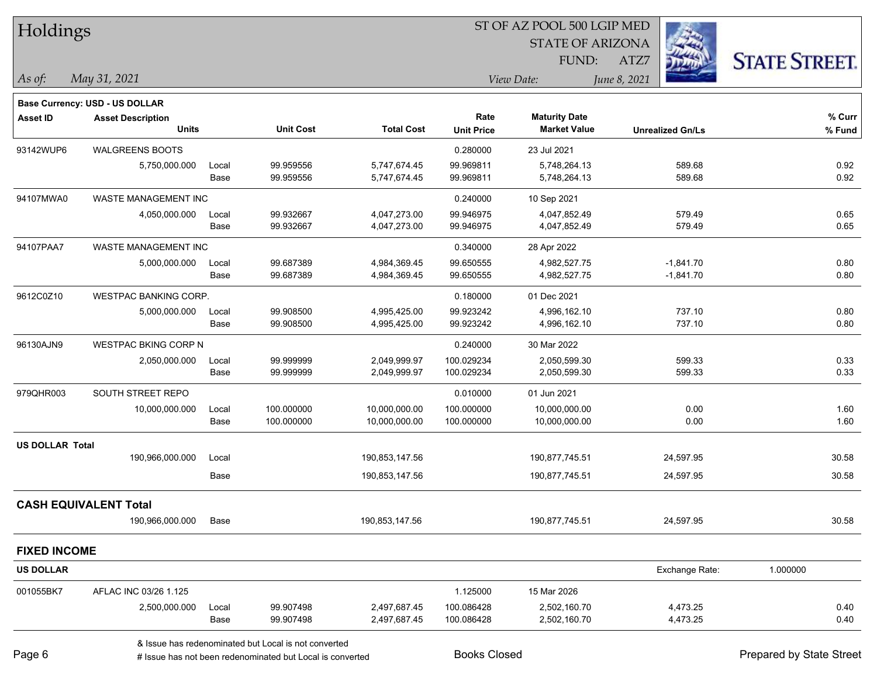| Holdings               |                                          |       |                                                      |                   |                   | ST OF AZ POOL 500 LGIP MED |                         |                      |  |
|------------------------|------------------------------------------|-------|------------------------------------------------------|-------------------|-------------------|----------------------------|-------------------------|----------------------|--|
|                        |                                          |       |                                                      |                   |                   | <b>STATE OF ARIZONA</b>    |                         |                      |  |
|                        |                                          |       |                                                      |                   |                   | FUND:                      | ATZ7                    | <b>STATE STREET.</b> |  |
| $\vert$ As of:         | May 31, 2021                             |       |                                                      |                   |                   | View Date:                 | June 8, 2021            |                      |  |
|                        | Base Currency: USD - US DOLLAR           |       |                                                      |                   |                   |                            |                         |                      |  |
| Asset ID               | <b>Asset Description</b><br><b>Units</b> |       |                                                      |                   | Rate              | <b>Maturity Date</b>       |                         | % Curr               |  |
|                        |                                          |       | <b>Unit Cost</b>                                     | <b>Total Cost</b> | <b>Unit Price</b> | <b>Market Value</b>        | <b>Unrealized Gn/Ls</b> | % Fund               |  |
| 93142WUP6              | <b>WALGREENS BOOTS</b>                   |       |                                                      |                   | 0.280000          | 23 Jul 2021                |                         |                      |  |
|                        | 5,750,000.000                            | Local | 99.959556                                            | 5,747,674.45      | 99.969811         | 5,748,264.13               | 589.68                  | 0.92                 |  |
|                        |                                          | Base  | 99.959556                                            | 5,747,674.45      | 99.969811         | 5,748,264.13               | 589.68                  | 0.92                 |  |
| 94107MWA0              | WASTE MANAGEMENT INC                     |       |                                                      |                   | 0.240000          | 10 Sep 2021                |                         |                      |  |
|                        | 4,050,000.000                            | Local | 99.932667                                            | 4,047,273.00      | 99.946975         | 4,047,852.49               | 579.49                  | 0.65                 |  |
|                        |                                          | Base  | 99.932667                                            | 4,047,273.00      | 99.946975         | 4,047,852.49               | 579.49                  | 0.65                 |  |
| 94107PAA7              | <b>WASTE MANAGEMENT INC</b>              |       |                                                      |                   | 0.340000          | 28 Apr 2022                |                         |                      |  |
|                        | 5,000,000.000                            | Local | 99.687389                                            | 4,984,369.45      | 99.650555         | 4,982,527.75               | $-1,841.70$             | 0.80                 |  |
|                        |                                          | Base  | 99.687389                                            | 4,984,369.45      | 99.650555         | 4,982,527.75               | $-1,841.70$             | 0.80                 |  |
| 9612C0Z10              | WESTPAC BANKING CORP.                    |       |                                                      |                   | 0.180000          | 01 Dec 2021                |                         |                      |  |
|                        | 5,000,000.000                            | Local | 99.908500                                            | 4,995,425.00      | 99.923242         | 4,996,162.10               | 737.10                  | 0.80                 |  |
|                        |                                          | Base  | 99.908500                                            | 4,995,425.00      | 99.923242         | 4,996,162.10               | 737.10                  | 0.80                 |  |
| 96130AJN9              | WESTPAC BKING CORP N                     |       |                                                      |                   | 0.240000          | 30 Mar 2022                |                         |                      |  |
|                        | 2,050,000.000                            | Local | 99.999999                                            | 2,049,999.97      | 100.029234        | 2,050,599.30               | 599.33                  | 0.33                 |  |
|                        |                                          | Base  | 99.999999                                            | 2,049,999.97      | 100.029234        | 2,050,599.30               | 599.33                  | 0.33                 |  |
| 979QHR003              | SOUTH STREET REPO                        |       |                                                      |                   | 0.010000          | 01 Jun 2021                |                         |                      |  |
|                        | 10,000,000.000                           | Local | 100.000000                                           | 10,000,000.00     | 100.000000        | 10,000,000.00              | 0.00                    | 1.60                 |  |
|                        |                                          | Base  | 100.000000                                           | 10,000,000.00     | 100.000000        | 10,000,000.00              | 0.00                    | 1.60                 |  |
| <b>US DOLLAR Total</b> |                                          |       |                                                      |                   |                   |                            |                         |                      |  |
|                        | 190,966,000.000                          | Local |                                                      | 190,853,147.56    |                   | 190,877,745.51             | 24,597.95               | 30.58                |  |
|                        |                                          | Base  |                                                      | 190,853,147.56    |                   | 190,877,745.51             | 24,597.95               | 30.58                |  |
|                        | <b>CASH EQUIVALENT Total</b>             |       |                                                      |                   |                   |                            |                         |                      |  |
|                        | 190,966,000.000                          | Base  |                                                      | 190,853,147.56    |                   | 190,877,745.51             | 24,597.95               | 30.58                |  |
| <b>FIXED INCOME</b>    |                                          |       |                                                      |                   |                   |                            |                         |                      |  |
| <b>US DOLLAR</b>       |                                          |       |                                                      |                   |                   |                            | Exchange Rate:          | 1.000000             |  |
| 001055BK7              | AFLAC INC 03/26 1.125                    |       |                                                      |                   | 1.125000          | 15 Mar 2026                |                         |                      |  |
|                        | 2,500,000.000                            | Local | 99.907498                                            | 2,497,687.45      | 100.086428        | 2,502,160.70               | 4,473.25                | 0.40                 |  |
|                        |                                          | Base  | 99.907498                                            | 2,497,687.45      | 100.086428        | 2,502,160.70               | 4,473.25                | 0.40                 |  |
|                        |                                          |       | & Issue has redenominated but Local is not converted |                   |                   |                            |                         |                      |  |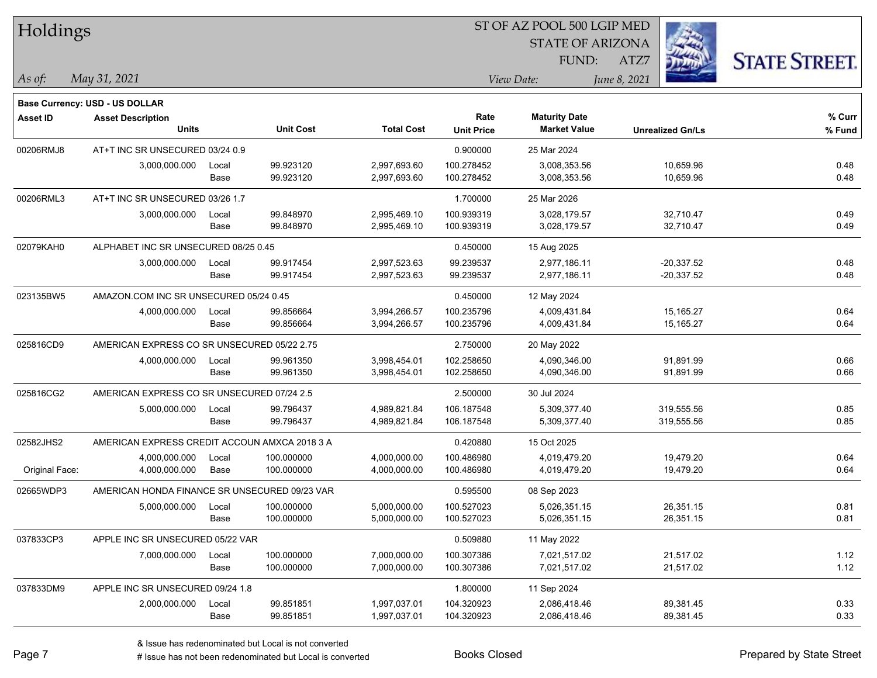| Holdings        |                                               |       |                  |                   | ST OF AZ POOL 500 LGIP MED |                         |              |                         |                      |
|-----------------|-----------------------------------------------|-------|------------------|-------------------|----------------------------|-------------------------|--------------|-------------------------|----------------------|
|                 |                                               |       |                  |                   |                            | <b>STATE OF ARIZONA</b> |              |                         |                      |
|                 |                                               |       |                  |                   |                            | FUND:                   | ATZ7         |                         | <b>STATE STREET.</b> |
| As of:          | May 31, 2021                                  |       |                  |                   |                            | View Date:              | June 8, 2021 |                         |                      |
|                 | <b>Base Currency: USD - US DOLLAR</b>         |       |                  |                   |                            |                         |              |                         |                      |
| <b>Asset ID</b> | <b>Asset Description</b>                      |       |                  |                   | Rate                       | <b>Maturity Date</b>    |              |                         | % Curr               |
|                 | <b>Units</b>                                  |       | <b>Unit Cost</b> | <b>Total Cost</b> | <b>Unit Price</b>          | <b>Market Value</b>     |              | <b>Unrealized Gn/Ls</b> | % Fund               |
| 00206RMJ8       | AT+T INC SR UNSECURED 03/24 0.9               |       |                  |                   | 0.900000                   | 25 Mar 2024             |              |                         |                      |
|                 | 3,000,000.000                                 | Local | 99.923120        | 2,997,693.60      | 100.278452                 | 3,008,353.56            |              | 10,659.96               | 0.48                 |
|                 |                                               | Base  | 99.923120        | 2,997,693.60      | 100.278452                 | 3,008,353.56            |              | 10,659.96               | 0.48                 |
| 00206RML3       | AT+T INC SR UNSECURED 03/26 1.7               |       |                  |                   | 1.700000                   | 25 Mar 2026             |              |                         |                      |
|                 | 3,000,000.000                                 | Local | 99.848970        | 2,995,469.10      | 100.939319                 | 3,028,179.57            |              | 32,710.47               | 0.49                 |
|                 |                                               | Base  | 99.848970        | 2,995,469.10      | 100.939319                 | 3,028,179.57            |              | 32,710.47               | 0.49                 |
| 02079KAH0       | ALPHABET INC SR UNSECURED 08/25 0.45          |       |                  |                   | 0.450000                   | 15 Aug 2025             |              |                         |                      |
|                 | 3,000,000.000                                 | Local | 99.917454        | 2,997,523.63      | 99.239537                  | 2,977,186.11            |              | $-20,337.52$            | 0.48                 |
|                 |                                               | Base  | 99.917454        | 2,997,523.63      | 99.239537                  | 2,977,186.11            |              | $-20,337.52$            | 0.48                 |
| 023135BW5       | AMAZON.COM INC SR UNSECURED 05/24 0.45        |       |                  |                   | 0.450000                   | 12 May 2024             |              |                         |                      |
|                 | 4,000,000.000                                 | Local | 99.856664        | 3,994,266.57      | 100.235796                 | 4,009,431.84            |              | 15,165.27               | 0.64                 |
|                 |                                               | Base  | 99.856664        | 3,994,266.57      | 100.235796                 | 4,009,431.84            |              | 15,165.27               | 0.64                 |
| 025816CD9       | AMERICAN EXPRESS CO SR UNSECURED 05/22 2.75   |       |                  |                   | 2.750000                   | 20 May 2022             |              |                         |                      |
|                 | 4,000,000.000                                 | Local | 99.961350        | 3,998,454.01      | 102.258650                 | 4,090,346.00            |              | 91,891.99               | 0.66                 |
|                 |                                               | Base  | 99.961350        | 3,998,454.01      | 102.258650                 | 4,090,346.00            |              | 91,891.99               | 0.66                 |
| 025816CG2       | AMERICAN EXPRESS CO SR UNSECURED 07/24 2.5    |       |                  |                   | 2.500000                   | 30 Jul 2024             |              |                         |                      |
|                 | 5,000,000.000                                 | Local | 99.796437        | 4,989,821.84      | 106.187548                 | 5,309,377.40            |              | 319,555.56              | 0.85                 |
|                 |                                               | Base  | 99.796437        | 4,989,821.84      | 106.187548                 | 5,309,377.40            |              | 319,555.56              | 0.85                 |
| 02582JHS2       | AMERICAN EXPRESS CREDIT ACCOUN AMXCA 2018 3 A |       |                  |                   | 0.420880                   | 15 Oct 2025             |              |                         |                      |
|                 | 4,000,000.000                                 | Local | 100.000000       | 4,000,000.00      | 100.486980                 | 4,019,479.20            |              | 19,479.20               | 0.64                 |
| Original Face:  | 4,000,000.000                                 | Base  | 100.000000       | 4,000,000.00      | 100.486980                 | 4,019,479.20            |              | 19,479.20               | 0.64                 |
| 02665WDP3       | AMERICAN HONDA FINANCE SR UNSECURED 09/23 VAR |       |                  |                   | 0.595500                   | 08 Sep 2023             |              |                         |                      |
|                 | 5,000,000.000                                 | Local | 100.000000       | 5,000,000.00      | 100.527023                 | 5,026,351.15            |              | 26,351.15               | 0.81                 |
|                 |                                               | Base  | 100.000000       | 5,000,000.00      | 100.527023                 | 5,026,351.15            |              | 26,351.15               | 0.81                 |
| 037833CP3       | APPLE INC SR UNSECURED 05/22 VAR              |       |                  |                   | 0.509880                   | 11 May 2022             |              |                         |                      |
|                 | 7,000,000.000                                 | Local | 100.000000       | 7,000,000.00      | 100.307386                 | 7,021,517.02            |              | 21,517.02               | 1.12                 |
|                 |                                               | Base  | 100.000000       | 7,000,000.00      | 100.307386                 | 7,021,517.02            |              | 21,517.02               | 1.12                 |
| 037833DM9       | APPLE INC SR UNSECURED 09/24 1.8              |       |                  |                   | 1.800000                   | 11 Sep 2024             |              |                         |                      |
|                 | 2,000,000.000                                 | Local | 99.851851        | 1,997,037.01      | 104.320923                 | 2,086,418.46            |              | 89,381.45               | 0.33                 |
|                 |                                               | Base  | 99.851851        | 1,997,037.01      | 104.320923                 | 2,086,418.46            |              | 89,381.45               | 0.33                 |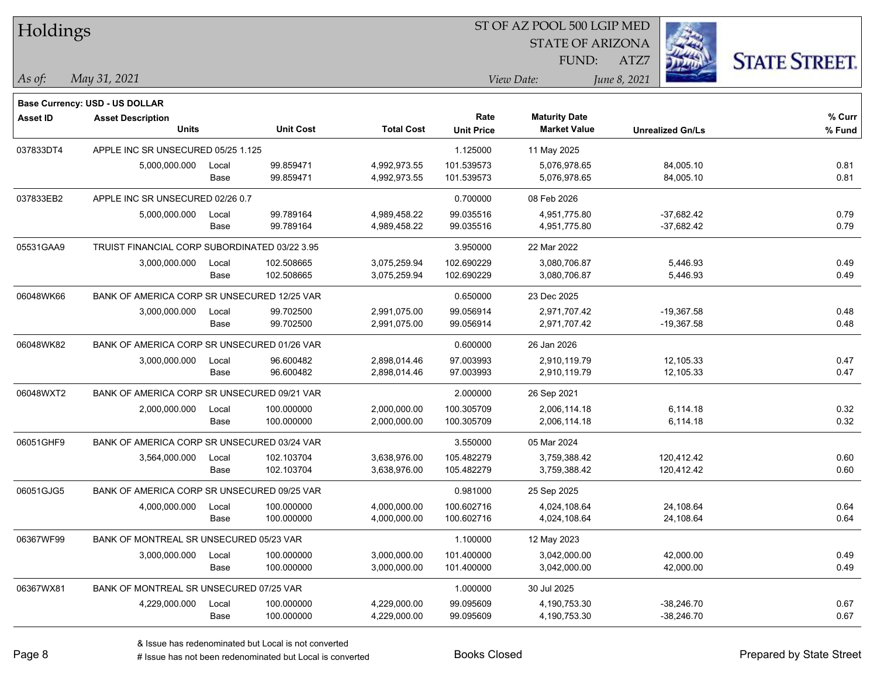| Holdings        |                                               |       |                  |                   |                   | ST OF AZ POOL 500 LGIP MED |              |                         |                      |  |
|-----------------|-----------------------------------------------|-------|------------------|-------------------|-------------------|----------------------------|--------------|-------------------------|----------------------|--|
|                 |                                               |       |                  |                   |                   | <b>STATE OF ARIZONA</b>    |              |                         |                      |  |
|                 |                                               |       |                  |                   |                   | FUND:                      | ATZ7         |                         | <b>STATE STREET.</b> |  |
| As of:          | May 31, 2021                                  |       |                  |                   |                   | View Date:                 | June 8, 2021 |                         |                      |  |
|                 | Base Currency: USD - US DOLLAR                |       |                  |                   |                   |                            |              |                         |                      |  |
| <b>Asset ID</b> | <b>Asset Description</b>                      |       |                  |                   | Rate              | <b>Maturity Date</b>       |              |                         | % Curr               |  |
|                 | <b>Units</b>                                  |       | <b>Unit Cost</b> | <b>Total Cost</b> | <b>Unit Price</b> | <b>Market Value</b>        |              | <b>Unrealized Gn/Ls</b> | % Fund               |  |
| 037833DT4       | APPLE INC SR UNSECURED 05/25 1.125            |       |                  |                   | 1.125000          | 11 May 2025                |              |                         |                      |  |
|                 | 5,000,000.000                                 | Local | 99.859471        | 4,992,973.55      | 101.539573        | 5,076,978.65               |              | 84,005.10               | 0.81                 |  |
|                 |                                               | Base  | 99.859471        | 4,992,973.55      | 101.539573        | 5,076,978.65               |              | 84,005.10               | 0.81                 |  |
| 037833EB2       | APPLE INC SR UNSECURED 02/26 0.7              |       |                  |                   | 0.700000          | 08 Feb 2026                |              |                         |                      |  |
|                 | 5,000,000.000                                 | Local | 99.789164        | 4,989,458.22      | 99.035516         | 4,951,775.80               |              | $-37,682.42$            | 0.79                 |  |
|                 |                                               | Base  | 99.789164        | 4,989,458.22      | 99.035516         | 4,951,775.80               |              | $-37,682.42$            | 0.79                 |  |
| 05531GAA9       | TRUIST FINANCIAL CORP SUBORDINATED 03/22 3.95 |       |                  |                   | 3.950000          | 22 Mar 2022                |              |                         |                      |  |
|                 | 3,000,000.000                                 | Local | 102.508665       | 3,075,259.94      | 102.690229        | 3,080,706.87               |              | 5,446.93                | 0.49                 |  |
|                 |                                               | Base  | 102.508665       | 3,075,259.94      | 102.690229        | 3,080,706.87               |              | 5,446.93                | 0.49                 |  |
| 06048WK66       | BANK OF AMERICA CORP SR UNSECURED 12/25 VAR   |       |                  |                   | 0.650000          | 23 Dec 2025                |              |                         |                      |  |
|                 | 3,000,000.000                                 | Local | 99.702500        | 2,991,075.00      | 99.056914         | 2,971,707.42               |              | $-19,367.58$            | 0.48                 |  |
|                 |                                               | Base  | 99.702500        | 2,991,075.00      | 99.056914         | 2,971,707.42               |              | $-19,367.58$            | 0.48                 |  |
| 06048WK82       | BANK OF AMERICA CORP SR UNSECURED 01/26 VAR   |       |                  |                   | 0.600000          | 26 Jan 2026                |              |                         |                      |  |
|                 | 3,000,000.000                                 | Local | 96.600482        | 2,898,014.46      | 97.003993         | 2,910,119.79               |              | 12,105.33               | 0.47                 |  |
|                 |                                               | Base  | 96.600482        | 2,898,014.46      | 97.003993         | 2,910,119.79               |              | 12,105.33               | 0.47                 |  |
| 06048WXT2       | BANK OF AMERICA CORP SR UNSECURED 09/21 VAR   |       |                  |                   | 2.000000          | 26 Sep 2021                |              |                         |                      |  |
|                 | 2,000,000.000                                 | Local | 100.000000       | 2,000,000.00      | 100.305709        | 2,006,114.18               |              | 6,114.18                | 0.32                 |  |
|                 |                                               | Base  | 100.000000       | 2,000,000.00      | 100.305709        | 2,006,114.18               |              | 6,114.18                | 0.32                 |  |
| 06051GHF9       | BANK OF AMERICA CORP SR UNSECURED 03/24 VAR   |       |                  |                   | 3.550000          | 05 Mar 2024                |              |                         |                      |  |
|                 | 3,564,000.000                                 | Local | 102.103704       | 3,638,976.00      | 105.482279        | 3.759.388.42               |              | 120,412.42              | 0.60                 |  |
|                 |                                               | Base  | 102.103704       | 3,638,976.00      | 105.482279        | 3,759,388.42               |              | 120,412.42              | 0.60                 |  |
| 06051GJG5       | BANK OF AMERICA CORP SR UNSECURED 09/25 VAR   |       |                  |                   | 0.981000          | 25 Sep 2025                |              |                         |                      |  |
|                 | 4,000,000.000                                 | Local | 100.000000       | 4,000,000.00      | 100.602716        | 4,024,108.64               |              | 24,108.64               | 0.64                 |  |
|                 |                                               | Base  | 100.000000       | 4,000,000.00      | 100.602716        | 4,024,108.64               |              | 24,108.64               | 0.64                 |  |
| 06367WF99       | BANK OF MONTREAL SR UNSECURED 05/23 VAR       |       |                  |                   | 1.100000          | 12 May 2023                |              |                         |                      |  |
|                 | 3,000,000.000                                 | Local | 100.000000       | 3,000,000.00      | 101.400000        | 3,042,000.00               |              | 42,000.00               | 0.49                 |  |
|                 |                                               | Base  | 100.000000       | 3,000,000.00      | 101.400000        | 3,042,000.00               |              | 42,000.00               | 0.49                 |  |
| 06367WX81       | BANK OF MONTREAL SR UNSECURED 07/25 VAR       |       |                  |                   | 1.000000          | 30 Jul 2025                |              |                         |                      |  |
|                 | 4,229,000.000                                 | Local | 100.000000       | 4,229,000.00      | 99.095609         | 4,190,753.30               |              | $-38,246.70$            | 0.67                 |  |
|                 |                                               | Base  | 100.000000       | 4,229,000.00      | 99.095609         | 4,190,753.30               |              | $-38,246.70$            | 0.67                 |  |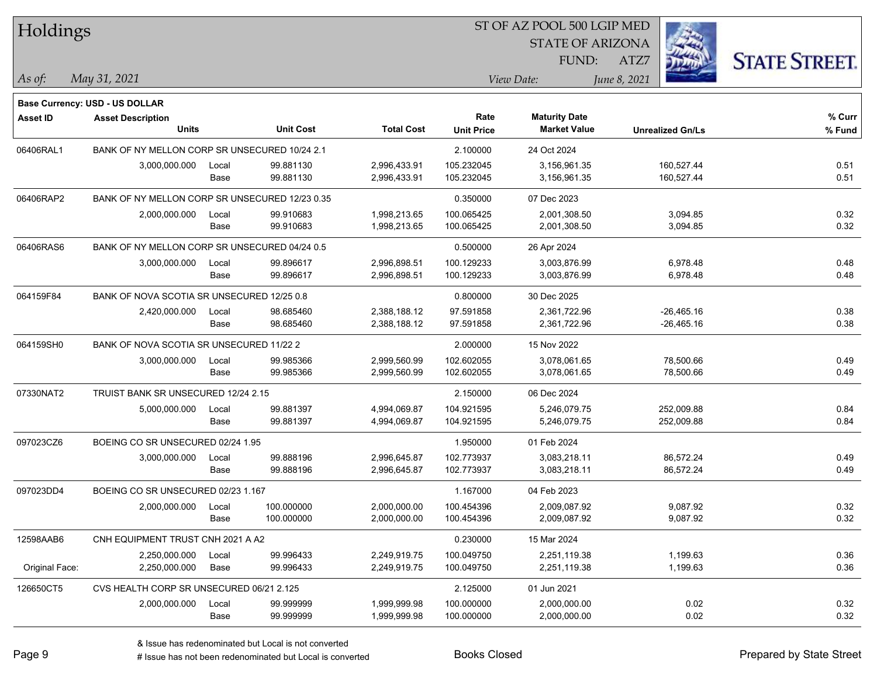| Holdings        |                                                |       |                  |                   |                   | ST OF AZ POOL 500 LGIP MED |                         |                      |
|-----------------|------------------------------------------------|-------|------------------|-------------------|-------------------|----------------------------|-------------------------|----------------------|
|                 |                                                |       |                  |                   |                   | <b>STATE OF ARIZONA</b>    |                         |                      |
|                 |                                                |       |                  |                   |                   | FUND:                      | ATZ7                    | <b>STATE STREET.</b> |
| As of:          | May 31, 2021                                   |       |                  |                   |                   | View Date:                 | June 8, 2021            |                      |
|                 | Base Currency: USD - US DOLLAR                 |       |                  |                   |                   |                            |                         |                      |
| <b>Asset ID</b> | <b>Asset Description</b>                       |       |                  |                   | Rate              | <b>Maturity Date</b>       |                         | % Curr               |
|                 | <b>Units</b>                                   |       | <b>Unit Cost</b> | <b>Total Cost</b> | <b>Unit Price</b> | <b>Market Value</b>        | <b>Unrealized Gn/Ls</b> | % Fund               |
| 06406RAL1       | BANK OF NY MELLON CORP SR UNSECURED 10/24 2.1  |       |                  |                   | 2.100000          | 24 Oct 2024                |                         |                      |
|                 | 3,000,000.000                                  | Local | 99.881130        | 2,996,433.91      | 105.232045        | 3,156,961.35               | 160,527.44              | 0.51                 |
|                 |                                                | Base  | 99.881130        | 2,996,433.91      | 105.232045        | 3,156,961.35               | 160,527.44              | 0.51                 |
| 06406RAP2       | BANK OF NY MELLON CORP SR UNSECURED 12/23 0.35 |       |                  |                   | 0.350000          | 07 Dec 2023                |                         |                      |
|                 | 2,000,000.000                                  | Local | 99.910683        | 1,998,213.65      | 100.065425        | 2,001,308.50               | 3,094.85                | 0.32                 |
|                 |                                                | Base  | 99.910683        | 1,998,213.65      | 100.065425        | 2,001,308.50               | 3,094.85                | 0.32                 |
| 06406RAS6       | BANK OF NY MELLON CORP SR UNSECURED 04/24 0.5  |       |                  |                   | 0.500000          | 26 Apr 2024                |                         |                      |
|                 | 3,000,000.000                                  | Local | 99.896617        | 2,996,898.51      | 100.129233        | 3,003,876.99               | 6,978.48                | 0.48                 |
|                 |                                                | Base  | 99.896617        | 2,996,898.51      | 100.129233        | 3,003,876.99               | 6,978.48                | 0.48                 |
| 064159F84       | BANK OF NOVA SCOTIA SR UNSECURED 12/25 0.8     |       |                  |                   | 0.800000          | 30 Dec 2025                |                         |                      |
|                 | 2,420,000.000                                  | Local | 98.685460        | 2,388,188.12      | 97.591858         | 2,361,722.96               | $-26,465.16$            | 0.38                 |
|                 |                                                | Base  | 98.685460        | 2,388,188.12      | 97.591858         | 2,361,722.96               | $-26,465.16$            | 0.38                 |
| 064159SH0       | BANK OF NOVA SCOTIA SR UNSECURED 11/22 2       |       |                  |                   | 2.000000          | 15 Nov 2022                |                         |                      |
|                 | 3,000,000.000                                  | Local | 99.985366        | 2,999,560.99      | 102.602055        | 3,078,061.65               | 78,500.66               | 0.49                 |
|                 |                                                | Base  | 99.985366        | 2,999,560.99      | 102.602055        | 3,078,061.65               | 78,500.66               | 0.49                 |
| 07330NAT2       | TRUIST BANK SR UNSECURED 12/24 2.15            |       |                  |                   | 2.150000          | 06 Dec 2024                |                         |                      |
|                 | 5,000,000.000                                  | Local | 99.881397        | 4,994,069.87      | 104.921595        | 5,246,079.75               | 252,009.88              | 0.84                 |
|                 |                                                | Base  | 99.881397        | 4,994,069.87      | 104.921595        | 5,246,079.75               | 252,009.88              | 0.84                 |
| 097023CZ6       | BOEING CO SR UNSECURED 02/24 1.95              |       |                  |                   | 1.950000          | 01 Feb 2024                |                         |                      |
|                 | 3,000,000.000                                  | Local | 99.888196        | 2,996,645.87      | 102.773937        | 3,083,218.11               | 86,572.24               | 0.49                 |
|                 |                                                | Base  | 99.888196        | 2,996,645.87      | 102.773937        | 3,083,218.11               | 86,572.24               | 0.49                 |
| 097023DD4       | BOEING CO SR UNSECURED 02/23 1.167             |       |                  |                   | 1.167000          | 04 Feb 2023                |                         |                      |
|                 | 2,000,000.000                                  | Local | 100.000000       | 2,000,000.00      | 100.454396        | 2,009,087.92               | 9,087.92                | 0.32                 |
|                 |                                                | Base  | 100.000000       | 2,000,000.00      | 100.454396        | 2,009,087.92               | 9,087.92                | 0.32                 |
| 12598AAB6       | CNH EQUIPMENT TRUST CNH 2021 A A2              |       |                  |                   | 0.230000          | 15 Mar 2024                |                         |                      |
|                 | 2,250,000.000                                  | Local | 99.996433        | 2,249,919.75      | 100.049750        | 2,251,119.38               | 1,199.63                | 0.36                 |
| Original Face:  | 2,250,000.000                                  | Base  | 99.996433        | 2,249,919.75      | 100.049750        | 2,251,119.38               | 1,199.63                | 0.36                 |
| 126650CT5       | CVS HEALTH CORP SR UNSECURED 06/21 2.125       |       |                  |                   | 2.125000          | 01 Jun 2021                |                         |                      |
|                 | 2,000,000.000                                  | Local | 99.999999        | 1,999,999.98      | 100.000000        | 2,000,000.00               | 0.02                    | 0.32                 |
|                 |                                                | Base  | 99.999999        | 1,999,999.98      | 100.000000        | 2,000,000.00               | 0.02                    | 0.32                 |

# Issue has not been redenominated but Local is converted Books Closed Prepared by State Street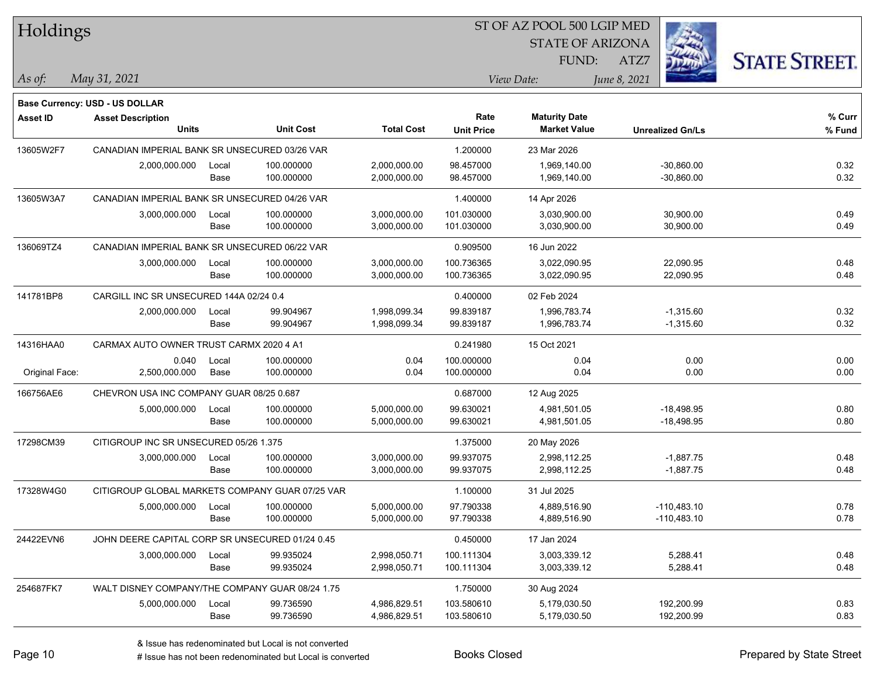| Holdings        |                                                 |       |                  |                   |                   | ST OF AZ POOL 500 LGIP MED |                         |                      |
|-----------------|-------------------------------------------------|-------|------------------|-------------------|-------------------|----------------------------|-------------------------|----------------------|
|                 |                                                 |       |                  |                   |                   | <b>STATE OF ARIZONA</b>    |                         |                      |
|                 |                                                 |       |                  |                   |                   | FUND:                      | ATZ7                    | <b>STATE STREET.</b> |
| As of:          | May 31, 2021                                    |       |                  |                   |                   | View Date:                 | June 8, 2021            |                      |
|                 | Base Currency: USD - US DOLLAR                  |       |                  |                   |                   |                            |                         |                      |
| <b>Asset ID</b> | <b>Asset Description</b>                        |       |                  |                   | Rate              | <b>Maturity Date</b>       |                         | % Curr               |
|                 | <b>Units</b>                                    |       | <b>Unit Cost</b> | <b>Total Cost</b> | <b>Unit Price</b> | <b>Market Value</b>        | <b>Unrealized Gn/Ls</b> | % Fund               |
| 13605W2F7       | CANADIAN IMPERIAL BANK SR UNSECURED 03/26 VAR   |       |                  |                   | 1.200000          | 23 Mar 2026                |                         |                      |
|                 | 2,000,000.000                                   | Local | 100.000000       | 2,000,000.00      | 98.457000         | 1,969,140.00               | $-30,860.00$            | 0.32                 |
|                 |                                                 | Base  | 100.000000       | 2,000,000.00      | 98.457000         | 1,969,140.00               | $-30,860.00$            | 0.32                 |
| 13605W3A7       | CANADIAN IMPERIAL BANK SR UNSECURED 04/26 VAR   |       |                  |                   | 1.400000          | 14 Apr 2026                |                         |                      |
|                 | 3,000,000.000                                   | Local | 100.000000       | 3,000,000.00      | 101.030000        | 3,030,900.00               | 30,900.00               | 0.49                 |
|                 |                                                 | Base  | 100.000000       | 3,000,000.00      | 101.030000        | 3,030,900.00               | 30,900.00               | 0.49                 |
| 136069TZ4       | CANADIAN IMPERIAL BANK SR UNSECURED 06/22 VAR   |       |                  |                   | 0.909500          | 16 Jun 2022                |                         |                      |
|                 | 3,000,000.000                                   | Local | 100.000000       | 3,000,000.00      | 100.736365        | 3,022,090.95               | 22,090.95               | 0.48                 |
|                 |                                                 | Base  | 100.000000       | 3,000,000.00      | 100.736365        | 3,022,090.95               | 22,090.95               | 0.48                 |
| 141781BP8       | CARGILL INC SR UNSECURED 144A 02/24 0.4         |       |                  |                   | 0.400000          | 02 Feb 2024                |                         |                      |
|                 | 2,000,000.000                                   | Local | 99.904967        | 1,998,099.34      | 99.839187         | 1,996,783.74               | $-1,315.60$             | 0.32                 |
|                 |                                                 | Base  | 99.904967        | 1,998,099.34      | 99.839187         | 1,996,783.74               | $-1,315.60$             | 0.32                 |
| 14316HAA0       | CARMAX AUTO OWNER TRUST CARMX 2020 4 A1         |       |                  |                   | 0.241980          | 15 Oct 2021                |                         |                      |
|                 | 0.040                                           | Local | 100.000000       | 0.04              | 100.000000        | 0.04                       | 0.00                    | 0.00                 |
| Original Face:  | 2,500,000.000                                   | Base  | 100.000000       | 0.04              | 100.000000        | 0.04                       | 0.00                    | 0.00                 |
| 166756AE6       | CHEVRON USA INC COMPANY GUAR 08/25 0.687        |       |                  |                   | 0.687000          | 12 Aug 2025                |                         |                      |
|                 | 5,000,000.000                                   | Local | 100.000000       | 5,000,000.00      | 99.630021         | 4,981,501.05               | $-18,498.95$            | 0.80                 |
|                 |                                                 | Base  | 100.000000       | 5,000,000.00      | 99.630021         | 4,981,501.05               | -18,498.95              | 0.80                 |
| 17298CM39       | CITIGROUP INC SR UNSECURED 05/26 1.375          |       |                  |                   | 1.375000          | 20 May 2026                |                         |                      |
|                 | 3,000,000.000                                   | Local | 100.000000       | 3,000,000.00      | 99.937075         | 2,998,112.25               | $-1,887.75$             | 0.48                 |
|                 |                                                 | Base  | 100.000000       | 3,000,000.00      | 99.937075         | 2,998,112.25               | $-1,887.75$             | 0.48                 |
| 17328W4G0       | CITIGROUP GLOBAL MARKETS COMPANY GUAR 07/25 VAR |       |                  |                   | 1.100000          | 31 Jul 2025                |                         |                      |
|                 | 5,000,000.000                                   | Local | 100.000000       | 5,000,000.00      | 97.790338         | 4,889,516.90               | $-110,483.10$           | 0.78                 |
|                 |                                                 | Base  | 100.000000       | 5,000,000.00      | 97.790338         | 4,889,516.90               | $-110,483.10$           | 0.78                 |
| 24422EVN6       | JOHN DEERE CAPITAL CORP SR UNSECURED 01/24 0.45 |       |                  |                   | 0.450000          | 17 Jan 2024                |                         |                      |
|                 | 3,000,000.000                                   | Local | 99.935024        | 2,998,050.71      | 100.111304        | 3,003,339.12               | 5,288.41                | 0.48                 |
|                 |                                                 | Base  | 99.935024        | 2,998,050.71      | 100.111304        | 3,003,339.12               | 5,288.41                | 0.48                 |
| 254687FK7       | WALT DISNEY COMPANY/THE COMPANY GUAR 08/24 1.75 |       |                  |                   | 1.750000          | 30 Aug 2024                |                         |                      |
|                 | 5,000,000.000                                   | Local | 99.736590        | 4,986,829.51      | 103.580610        | 5,179,030.50               | 192,200.99              | 0.83                 |
|                 |                                                 | Base  | 99.736590        | 4,986,829.51      | 103.580610        | 5,179,030.50               | 192,200.99              | 0.83                 |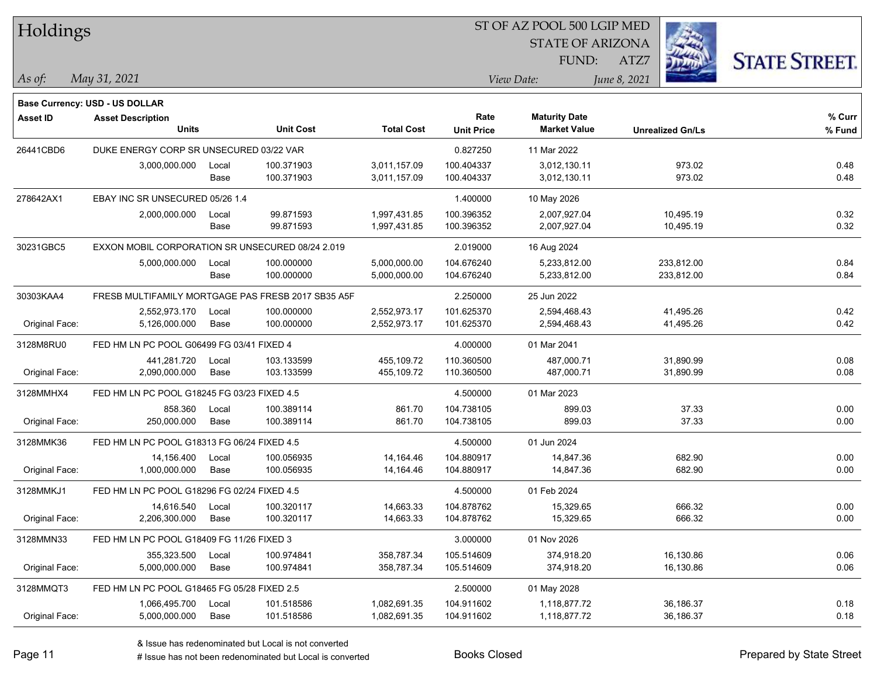| Holdings        |                                                  |       |                                                    |                   | 51 OF AZ POOL 500 LGIP MED |                         |                         |                      |  |  |
|-----------------|--------------------------------------------------|-------|----------------------------------------------------|-------------------|----------------------------|-------------------------|-------------------------|----------------------|--|--|
|                 |                                                  |       |                                                    |                   |                            | <b>STATE OF ARIZONA</b> |                         |                      |  |  |
|                 |                                                  |       |                                                    |                   |                            | FUND:                   | ATZ7                    | <b>STATE STREET.</b> |  |  |
|                 |                                                  |       |                                                    |                   |                            |                         |                         |                      |  |  |
| $As$ of:        | May 31, 2021                                     |       |                                                    |                   |                            | View Date:              | June 8, 2021            |                      |  |  |
|                 | Base Currency: USD - US DOLLAR                   |       |                                                    |                   |                            |                         |                         |                      |  |  |
| <b>Asset ID</b> | <b>Asset Description</b>                         |       |                                                    |                   | Rate                       | <b>Maturity Date</b>    |                         | % Curr               |  |  |
|                 | <b>Units</b>                                     |       | <b>Unit Cost</b>                                   | <b>Total Cost</b> | <b>Unit Price</b>          | <b>Market Value</b>     | <b>Unrealized Gn/Ls</b> | % Fund               |  |  |
| 26441CBD6       | DUKE ENERGY CORP SR UNSECURED 03/22 VAR          |       |                                                    |                   | 0.827250                   | 11 Mar 2022             |                         |                      |  |  |
|                 | 3,000,000.000                                    | Local | 100.371903                                         | 3,011,157.09      | 100.404337                 | 3,012,130.11            | 973.02                  | 0.48                 |  |  |
|                 |                                                  | Base  | 100.371903                                         | 3,011,157.09      | 100.404337                 | 3,012,130.11            | 973.02                  | 0.48                 |  |  |
| 278642AX1       | EBAY INC SR UNSECURED 05/26 1.4                  |       |                                                    |                   | 1.400000                   | 10 May 2026             |                         |                      |  |  |
|                 | 2,000,000.000                                    | Local | 99.871593                                          | 1,997,431.85      | 100.396352                 | 2,007,927.04            | 10,495.19               | 0.32                 |  |  |
|                 |                                                  | Base  | 99.871593                                          | 1,997,431.85      | 100.396352                 | 2,007,927.04            | 10,495.19               | 0.32                 |  |  |
| 30231GBC5       | EXXON MOBIL CORPORATION SR UNSECURED 08/24 2.019 |       |                                                    |                   | 2.019000                   | 16 Aug 2024             |                         |                      |  |  |
|                 | 5,000,000.000                                    | Local | 100.000000                                         | 5,000,000.00      | 104.676240                 | 5,233,812.00            | 233,812.00              | 0.84                 |  |  |
|                 |                                                  | Base  | 100.000000                                         | 5,000,000.00      | 104.676240                 | 5,233,812.00            | 233,812.00              | 0.84                 |  |  |
| 30303KAA4       |                                                  |       | FRESB MULTIFAMILY MORTGAGE PAS FRESB 2017 SB35 A5F |                   | 2.250000                   | 25 Jun 2022             |                         |                      |  |  |
|                 | 2,552,973.170                                    | Local | 100.000000                                         | 2,552,973.17      | 101.625370                 | 2,594,468.43            | 41,495.26               | 0.42                 |  |  |
| Original Face:  | 5,126,000.000                                    | Base  | 100.000000                                         | 2,552,973.17      | 101.625370                 | 2,594,468.43            | 41,495.26               | 0.42                 |  |  |
| 3128M8RU0       | FED HM LN PC POOL G06499 FG 03/41 FIXED 4        |       |                                                    |                   | 4.000000                   | 01 Mar 2041             |                         |                      |  |  |
|                 | 441,281.720                                      | Local | 103.133599                                         | 455,109.72        | 110.360500                 | 487,000.71              | 31,890.99               | 0.08                 |  |  |
| Original Face:  | 2,090,000.000                                    | Base  | 103.133599                                         | 455,109.72        | 110.360500                 | 487,000.71              | 31,890.99               | 0.08                 |  |  |
| 3128MMHX4       | FED HM LN PC POOL G18245 FG 03/23 FIXED 4.5      |       |                                                    |                   | 4.500000                   | 01 Mar 2023             |                         |                      |  |  |
|                 | 858.360                                          | Local | 100.389114                                         | 861.70            | 104.738105                 | 899.03                  | 37.33                   | 0.00                 |  |  |
| Original Face:  | 250,000.000                                      | Base  | 100.389114                                         | 861.70            | 104.738105                 | 899.03                  | 37.33                   | 0.00                 |  |  |
| 3128MMK36       | FED HM LN PC POOL G18313 FG 06/24 FIXED 4.5      |       |                                                    |                   | 4.500000                   | 01 Jun 2024             |                         |                      |  |  |
|                 | 14,156.400                                       | Local | 100.056935                                         | 14,164.46         | 104.880917                 | 14,847.36               | 682.90                  | 0.00                 |  |  |
| Original Face:  | 1,000,000.000                                    | Base  | 100.056935                                         | 14,164.46         | 104.880917                 | 14,847.36               | 682.90                  | 0.00                 |  |  |
| 3128MMKJ1       | FED HM LN PC POOL G18296 FG 02/24 FIXED 4.5      |       |                                                    |                   | 4.500000                   | 01 Feb 2024             |                         |                      |  |  |
|                 | 14,616.540                                       | Local | 100.320117                                         | 14,663.33         | 104.878762                 | 15,329.65               | 666.32                  | 0.00                 |  |  |
| Original Face:  | 2,206,300.000                                    | Base  | 100.320117                                         | 14,663.33         | 104.878762                 | 15,329.65               | 666.32                  | 0.00                 |  |  |
| 3128MMN33       | FED HM LN PC POOL G18409 FG 11/26 FIXED 3        |       |                                                    |                   | 3.000000                   | 01 Nov 2026             |                         |                      |  |  |
|                 | 355,323.500                                      | Local | 100.974841                                         | 358,787.34        | 105.514609                 | 374,918.20              | 16,130.86               | 0.06                 |  |  |
| Original Face:  | 5,000,000.000                                    | Base  | 100.974841                                         | 358,787.34        | 105.514609                 | 374,918.20              | 16,130.86               | 0.06                 |  |  |
| 3128MMQT3       | FED HM LN PC POOL G18465 FG 05/28 FIXED 2.5      |       |                                                    |                   | 2.500000                   | 01 May 2028             |                         |                      |  |  |
|                 | 1,066,495.700                                    | Local | 101.518586                                         | 1,082,691.35      | 104.911602                 | 1,118,877.72            | 36,186.37               | 0.18                 |  |  |
| Original Face:  | 5,000,000.000                                    | Base  | 101.518586                                         | 1,082,691.35      | 104.911602                 | 1,118,877.72            | 36,186.37               | 0.18                 |  |  |

 $STOT$   $BT A Z DOQI$  500 LGIP MED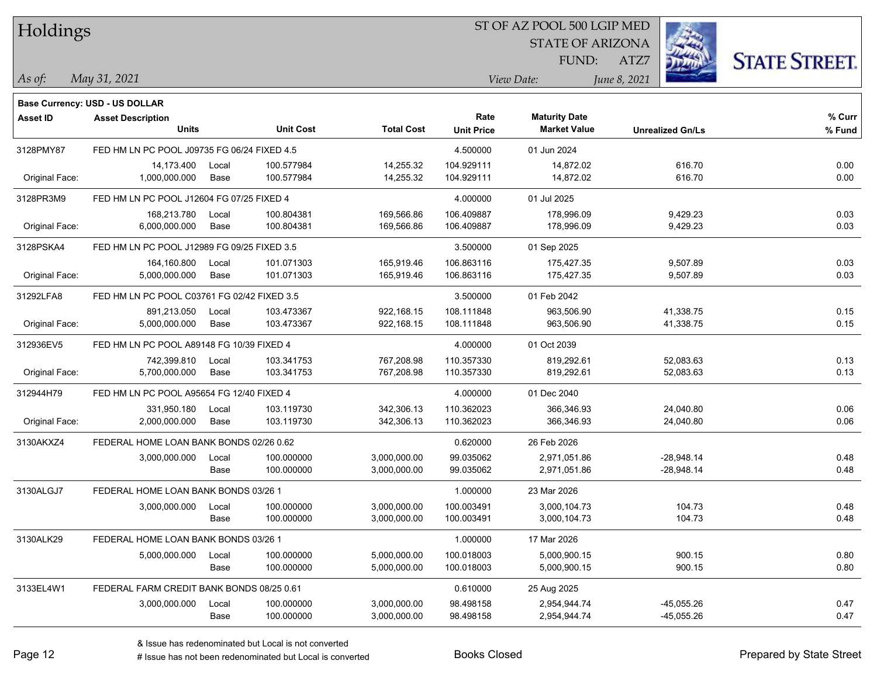| Holdings        |                                             |       |                  |                   |                   | ST OF AZ POOL 500 LGIP MED |                         |                      |
|-----------------|---------------------------------------------|-------|------------------|-------------------|-------------------|----------------------------|-------------------------|----------------------|
|                 |                                             |       |                  |                   |                   | <b>STATE OF ARIZONA</b>    |                         |                      |
|                 |                                             |       |                  |                   |                   | FUND:                      | ATZ7                    | <b>STATE STREET.</b> |
| As of:          | May 31, 2021                                |       |                  |                   |                   | View Date:                 | June 8, 2021            |                      |
|                 | <b>Base Currency: USD - US DOLLAR</b>       |       |                  |                   |                   |                            |                         |                      |
| <b>Asset ID</b> | <b>Asset Description</b>                    |       |                  |                   | Rate              | <b>Maturity Date</b>       |                         | % Curr               |
|                 | Units                                       |       | <b>Unit Cost</b> | <b>Total Cost</b> | <b>Unit Price</b> | <b>Market Value</b>        | <b>Unrealized Gn/Ls</b> | % Fund               |
| 3128PMY87       | FED HM LN PC POOL J09735 FG 06/24 FIXED 4.5 |       |                  |                   | 4.500000          | 01 Jun 2024                |                         |                      |
|                 | 14,173.400                                  | Local | 100.577984       | 14,255.32         | 104.929111        | 14,872.02                  | 616.70                  | 0.00                 |
| Original Face:  | 1,000,000.000                               | Base  | 100.577984       | 14,255.32         | 104.929111        | 14,872.02                  | 616.70                  | 0.00                 |
| 3128PR3M9       | FED HM LN PC POOL J12604 FG 07/25 FIXED 4   |       |                  |                   | 4.000000          | 01 Jul 2025                |                         |                      |
|                 | 168,213.780                                 | Local | 100.804381       | 169,566.86        | 106.409887        | 178,996.09                 | 9,429.23                | 0.03                 |
| Original Face:  | 6,000,000.000                               | Base  | 100.804381       | 169,566.86        | 106.409887        | 178,996.09                 | 9,429.23                | 0.03                 |
| 3128PSKA4       | FED HM LN PC POOL J12989 FG 09/25 FIXED 3.5 |       |                  |                   | 3.500000          | 01 Sep 2025                |                         |                      |
|                 | 164,160.800                                 | Local | 101.071303       | 165,919.46        | 106.863116        | 175,427.35                 | 9,507.89                | 0.03                 |
| Original Face:  | 5,000,000.000                               | Base  | 101.071303       | 165,919.46        | 106.863116        | 175,427.35                 | 9,507.89                | 0.03                 |
| 31292LFA8       | FED HM LN PC POOL C03761 FG 02/42 FIXED 3.5 |       |                  |                   | 3.500000          | 01 Feb 2042                |                         |                      |
|                 | 891,213.050                                 | Local | 103.473367       | 922,168.15        | 108.111848        | 963,506.90                 | 41,338.75               | 0.15                 |
| Original Face:  | 5,000,000.000                               | Base  | 103.473367       | 922,168.15        | 108.111848        | 963,506.90                 | 41,338.75               | 0.15                 |
| 312936EV5       | FED HM LN PC POOL A89148 FG 10/39 FIXED 4   |       |                  |                   | 4.000000          | 01 Oct 2039                |                         |                      |
|                 | 742,399.810                                 | Local | 103.341753       | 767,208.98        | 110.357330        | 819,292.61                 | 52,083.63               | 0.13                 |
| Original Face:  | 5,700,000.000                               | Base  | 103.341753       | 767,208.98        | 110.357330        | 819,292.61                 | 52,083.63               | 0.13                 |
| 312944H79       | FED HM LN PC POOL A95654 FG 12/40 FIXED 4   |       |                  |                   | 4.000000          | 01 Dec 2040                |                         |                      |
|                 | 331,950.180                                 | Local | 103.119730       | 342,306.13        | 110.362023        | 366,346.93                 | 24,040.80               | 0.06                 |
| Original Face:  | 2,000,000.000                               | Base  | 103.119730       | 342,306.13        | 110.362023        | 366,346.93                 | 24,040.80               | 0.06                 |
| 3130AKXZ4       | FEDERAL HOME LOAN BANK BONDS 02/26 0.62     |       |                  |                   | 0.620000          | 26 Feb 2026                |                         |                      |
|                 | 3,000,000.000                               | Local | 100.000000       | 3,000,000.00      | 99.035062         | 2,971,051.86               | $-28,948.14$            | 0.48                 |
|                 |                                             | Base  | 100.000000       | 3,000,000.00      | 99.035062         | 2,971,051.86               | -28,948.14              | 0.48                 |
| 3130ALGJ7       | FEDERAL HOME LOAN BANK BONDS 03/26 1        |       |                  |                   | 1.000000          | 23 Mar 2026                |                         |                      |
|                 | 3,000,000.000                               | Local | 100.000000       | 3,000,000.00      | 100.003491        | 3,000,104.73               | 104.73                  | 0.48                 |
|                 |                                             | Base  | 100.000000       | 3,000,000.00      | 100.003491        | 3,000,104.73               | 104.73                  | 0.48                 |
| 3130ALK29       | FEDERAL HOME LOAN BANK BONDS 03/26 1        |       |                  |                   | 1.000000          | 17 Mar 2026                |                         |                      |
|                 | 5,000,000.000                               | Local | 100.000000       | 5,000,000.00      | 100.018003        | 5,000,900.15               | 900.15                  | 0.80                 |
|                 |                                             | Base  | 100.000000       | 5,000,000.00      | 100.018003        | 5,000,900.15               | 900.15                  | 0.80                 |
| 3133EL4W1       | FEDERAL FARM CREDIT BANK BONDS 08/25 0.61   |       |                  |                   | 0.610000          | 25 Aug 2025                |                         |                      |
|                 | 3,000,000.000                               | Local | 100.000000       | 3,000,000.00      | 98.498158         | 2,954,944.74               | $-45,055.26$            | 0.47                 |
|                 |                                             | Base  | 100.000000       | 3,000,000.00      | 98.498158         | 2,954,944.74               | $-45,055.26$            | 0.47                 |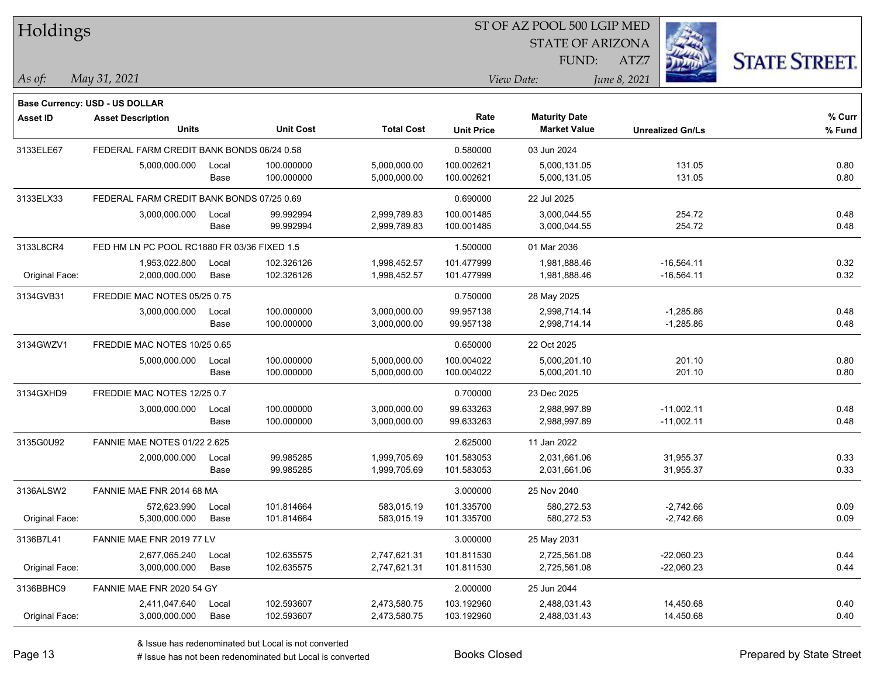| Holdings        |                                             |       |                  |                   |                   | ST OF AZ POOL 500 LGIP MED |                         |              |                      |
|-----------------|---------------------------------------------|-------|------------------|-------------------|-------------------|----------------------------|-------------------------|--------------|----------------------|
|                 |                                             |       |                  |                   |                   | <b>STATE OF ARIZONA</b>    |                         |              |                      |
|                 |                                             |       |                  |                   |                   | FUND:                      | ATZ7                    |              | <b>STATE STREET.</b> |
| As of:          | May 31, 2021                                |       |                  |                   |                   | View Date:                 | June 8, 2021            |              |                      |
|                 | <b>Base Currency: USD - US DOLLAR</b>       |       |                  |                   |                   |                            |                         |              |                      |
| <b>Asset ID</b> | <b>Asset Description</b>                    |       |                  |                   | Rate              | <b>Maturity Date</b>       |                         |              | % Curr               |
|                 | <b>Units</b>                                |       | <b>Unit Cost</b> | <b>Total Cost</b> | <b>Unit Price</b> | <b>Market Value</b>        | <b>Unrealized Gn/Ls</b> |              | % Fund               |
| 3133ELE67       | FEDERAL FARM CREDIT BANK BONDS 06/24 0.58   |       |                  |                   | 0.580000          | 03 Jun 2024                |                         |              |                      |
|                 | 5,000,000.000                               | Local | 100.000000       | 5,000,000.00      | 100.002621        | 5,000,131.05               |                         | 131.05       | 0.80                 |
|                 |                                             | Base  | 100.000000       | 5,000,000.00      | 100.002621        | 5,000,131.05               |                         | 131.05       | 0.80                 |
| 3133ELX33       | FEDERAL FARM CREDIT BANK BONDS 07/25 0.69   |       |                  |                   | 0.690000          | 22 Jul 2025                |                         |              |                      |
|                 | 3,000,000.000                               | Local | 99.992994        | 2,999,789.83      | 100.001485        | 3,000,044.55               |                         | 254.72       | 0.48                 |
|                 |                                             | Base  | 99.992994        | 2,999,789.83      | 100.001485        | 3,000,044.55               |                         | 254.72       | 0.48                 |
| 3133L8CR4       | FED HM LN PC POOL RC1880 FR 03/36 FIXED 1.5 |       |                  |                   | 1.500000          | 01 Mar 2036                |                         |              |                      |
|                 | 1,953,022.800                               | Local | 102.326126       | 1,998,452.57      | 101.477999        | 1,981,888.46               |                         | $-16,564.11$ | 0.32                 |
| Original Face:  | 2,000,000.000                               | Base  | 102.326126       | 1,998,452.57      | 101.477999        | 1,981,888.46               |                         | $-16,564.11$ | 0.32                 |
| 3134GVB31       | FREDDIE MAC NOTES 05/25 0.75                |       |                  |                   | 0.750000          | 28 May 2025                |                         |              |                      |
|                 | 3,000,000.000                               | Local | 100.000000       | 3,000,000.00      | 99.957138         | 2,998,714.14               |                         | $-1,285.86$  | 0.48                 |
|                 |                                             | Base  | 100.000000       | 3,000,000.00      | 99.957138         | 2,998,714.14               |                         | $-1,285.86$  | 0.48                 |
| 3134GWZV1       | FREDDIE MAC NOTES 10/25 0.65                |       |                  |                   | 0.650000          | 22 Oct 2025                |                         |              |                      |
|                 | 5,000,000.000                               | Local | 100.000000       | 5,000,000.00      | 100.004022        | 5,000,201.10               |                         | 201.10       | 0.80                 |
|                 |                                             | Base  | 100.000000       | 5,000,000.00      | 100.004022        | 5,000,201.10               |                         | 201.10       | 0.80                 |
| 3134GXHD9       | FREDDIE MAC NOTES 12/25 0.7                 |       |                  |                   | 0.700000          | 23 Dec 2025                |                         |              |                      |
|                 | 3,000,000.000                               | Local | 100.000000       | 3,000,000.00      | 99.633263         | 2,988,997.89               |                         | $-11,002.11$ | 0.48                 |
|                 |                                             | Base  | 100.000000       | 3,000,000.00      | 99.633263         | 2,988,997.89               |                         | $-11,002.11$ | 0.48                 |
| 3135G0U92       | <b>FANNIE MAE NOTES 01/22 2.625</b>         |       |                  |                   | 2.625000          | 11 Jan 2022                |                         |              |                      |
|                 | 2,000,000.000                               | Local | 99.985285        | 1,999,705.69      | 101.583053        | 2,031,661.06               |                         | 31,955.37    | 0.33                 |
|                 |                                             | Base  | 99.985285        | 1,999,705.69      | 101.583053        | 2,031,661.06               |                         | 31,955.37    | 0.33                 |
| 3136ALSW2       | FANNIE MAE FNR 2014 68 MA                   |       |                  |                   | 3.000000          | 25 Nov 2040                |                         |              |                      |
|                 | 572.623.990                                 | Local | 101.814664       | 583,015.19        | 101.335700        | 580,272.53                 |                         | $-2,742.66$  | 0.09                 |
| Original Face:  | 5,300,000.000                               | Base  | 101.814664       | 583,015.19        | 101.335700        | 580,272.53                 |                         | $-2,742.66$  | 0.09                 |
| 3136B7L41       | FANNIE MAE FNR 2019 77 LV                   |       |                  |                   | 3.000000          | 25 May 2031                |                         |              |                      |
|                 | 2,677,065.240                               | Local | 102.635575       | 2,747,621.31      | 101.811530        | 2,725,561.08               |                         | $-22,060.23$ | 0.44                 |
| Original Face:  | 3,000,000.000                               | Base  | 102.635575       | 2,747,621.31      | 101.811530        | 2,725,561.08               |                         | $-22,060.23$ | 0.44                 |
| 3136BBHC9       | FANNIE MAE FNR 2020 54 GY                   |       |                  |                   | 2.000000          | 25 Jun 2044                |                         |              |                      |
|                 | 2,411,047.640                               | Local | 102.593607       | 2,473,580.75      | 103.192960        | 2,488,031.43               |                         | 14,450.68    | 0.40                 |
| Original Face:  | 3,000,000.000                               | Base  | 102.593607       | 2,473,580.75      | 103.192960        | 2,488,031.43               |                         | 14,450.68    | 0.40                 |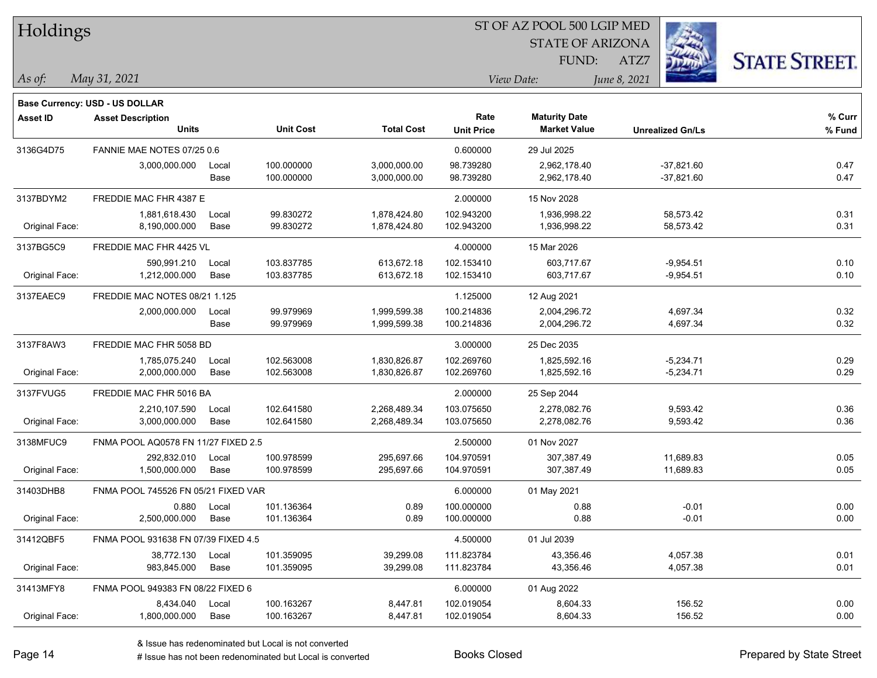| Holdings        |                                          |               |                          |                              |                           | ST OF AZ POOL 500 LGIP MED                  |                            |                      |
|-----------------|------------------------------------------|---------------|--------------------------|------------------------------|---------------------------|---------------------------------------------|----------------------------|----------------------|
|                 |                                          |               |                          |                              |                           | <b>STATE OF ARIZONA</b>                     |                            |                      |
|                 |                                          |               |                          |                              |                           | FUND:                                       | ATZ7                       | <b>STATE STREET.</b> |
| As of:          | May 31, 2021                             |               |                          |                              |                           | View Date:                                  | June 8, 2021               |                      |
|                 |                                          |               |                          |                              |                           |                                             |                            |                      |
|                 | <b>Base Currency: USD - US DOLLAR</b>    |               |                          |                              |                           |                                             |                            |                      |
| <b>Asset ID</b> | <b>Asset Description</b><br><b>Units</b> |               | <b>Unit Cost</b>         | <b>Total Cost</b>            | Rate<br><b>Unit Price</b> | <b>Maturity Date</b><br><b>Market Value</b> | <b>Unrealized Gn/Ls</b>    | $%$ Curr<br>% Fund   |
|                 | FANNIE MAE NOTES 07/25 0.6               |               |                          |                              |                           |                                             |                            |                      |
| 3136G4D75       |                                          |               | 100.000000               | 3,000,000.00                 | 0.600000<br>98.739280     | 29 Jul 2025                                 | $-37,821.60$               |                      |
|                 | 3,000,000.000                            | Local<br>Base | 100.000000               | 3,000,000.00                 | 98.739280                 | 2,962,178.40<br>2,962,178.40                | $-37,821.60$               | 0.47<br>0.47         |
|                 |                                          |               |                          |                              |                           |                                             |                            |                      |
| 3137BDYM2       | FREDDIE MAC FHR 4387 E                   |               |                          |                              | 2.000000                  | 15 Nov 2028                                 |                            |                      |
| Original Face:  | 1,881,618.430<br>8,190,000.000           | Local<br>Base | 99.830272<br>99.830272   | 1,878,424.80<br>1,878,424.80 | 102.943200<br>102.943200  | 1,936,998.22<br>1,936,998.22                | 58,573.42<br>58,573.42     | 0.31<br>0.31         |
|                 |                                          |               |                          |                              |                           |                                             |                            |                      |
| 3137BG5C9       | FREDDIE MAC FHR 4425 VL                  |               |                          |                              | 4.000000                  | 15 Mar 2026                                 |                            |                      |
| Original Face:  | 590,991.210<br>1,212,000.000             | Local<br>Base | 103.837785<br>103.837785 | 613,672.18<br>613,672.18     | 102.153410<br>102.153410  | 603,717.67<br>603,717.67                    | $-9,954.51$<br>$-9,954.51$ | 0.10<br>0.10         |
|                 |                                          |               |                          |                              |                           |                                             |                            |                      |
| 3137EAEC9       | FREDDIE MAC NOTES 08/21 1.125            |               |                          |                              | 1.125000                  | 12 Aug 2021                                 |                            |                      |
|                 | 2,000,000.000                            | Local<br>Base | 99.979969<br>99.979969   | 1,999,599.38<br>1,999,599.38 | 100.214836<br>100.214836  | 2,004,296.72<br>2,004,296.72                | 4,697.34<br>4,697.34       | 0.32<br>0.32         |
|                 |                                          |               |                          |                              |                           |                                             |                            |                      |
| 3137F8AW3       | FREDDIE MAC FHR 5058 BD                  |               |                          |                              | 3.000000                  | 25 Dec 2035                                 |                            |                      |
| Original Face:  | 1,785,075.240<br>2,000,000.000           | Local<br>Base | 102.563008<br>102.563008 | 1,830,826.87<br>1,830,826.87 | 102.269760<br>102.269760  | 1,825,592.16<br>1,825,592.16                | $-5,234.71$<br>$-5,234.71$ | 0.29<br>0.29         |
|                 |                                          |               |                          |                              |                           |                                             |                            |                      |
| 3137FVUG5       | FREDDIE MAC FHR 5016 BA                  |               |                          |                              | 2.000000                  | 25 Sep 2044                                 |                            |                      |
| Original Face:  | 2,210,107.590<br>3,000,000.000           | Local<br>Base | 102.641580<br>102.641580 | 2,268,489.34<br>2,268,489.34 | 103.075650<br>103.075650  | 2,278,082.76<br>2,278,082.76                | 9,593.42<br>9,593.42       | 0.36<br>0.36         |
|                 |                                          |               |                          |                              |                           |                                             |                            |                      |
| 3138MFUC9       | FNMA POOL AQ0578 FN 11/27 FIXED 2.5      |               |                          |                              | 2.500000                  | 01 Nov 2027                                 |                            |                      |
| Original Face:  | 292,832.010<br>1,500,000.000             | Local<br>Base | 100.978599<br>100.978599 | 295,697.66<br>295,697.66     | 104.970591<br>104.970591  | 307,387.49<br>307,387.49                    | 11,689.83<br>11,689.83     | 0.05<br>0.05         |
|                 |                                          |               |                          |                              |                           |                                             |                            |                      |
| 31403DHB8       | FNMA POOL 745526 FN 05/21 FIXED VAR      |               |                          |                              | 6.000000                  | 01 May 2021                                 |                            |                      |
| Original Face:  | 0.880<br>2,500,000.000                   | Local<br>Base | 101.136364<br>101.136364 | 0.89<br>0.89                 | 100.000000<br>100.000000  | 0.88<br>0.88                                | $-0.01$<br>$-0.01$         | 0.00<br>0.00         |
|                 |                                          |               |                          |                              |                           |                                             |                            |                      |
| 31412QBF5       | FNMA POOL 931638 FN 07/39 FIXED 4.5      |               |                          |                              | 4.500000                  | 01 Jul 2039                                 |                            |                      |
| Original Face:  | 38,772.130<br>983,845.000                | Local<br>Base | 101.359095<br>101.359095 | 39,299.08<br>39,299.08       | 111.823784<br>111.823784  | 43,356.46<br>43,356.46                      | 4,057.38<br>4,057.38       | 0.01<br>0.01         |
|                 |                                          |               |                          |                              |                           |                                             |                            |                      |
| 31413MFY8       | FNMA POOL 949383 FN 08/22 FIXED 6        |               |                          |                              | 6.000000                  | 01 Aug 2022                                 |                            |                      |
| Original Face:  | 8,434.040<br>1,800,000.000               | Local<br>Base | 100.163267<br>100.163267 | 8,447.81<br>8,447.81         | 102.019054<br>102.019054  | 8,604.33<br>8,604.33                        | 156.52<br>156.52           | 0.00<br>0.00         |
|                 |                                          |               |                          |                              |                           |                                             |                            |                      |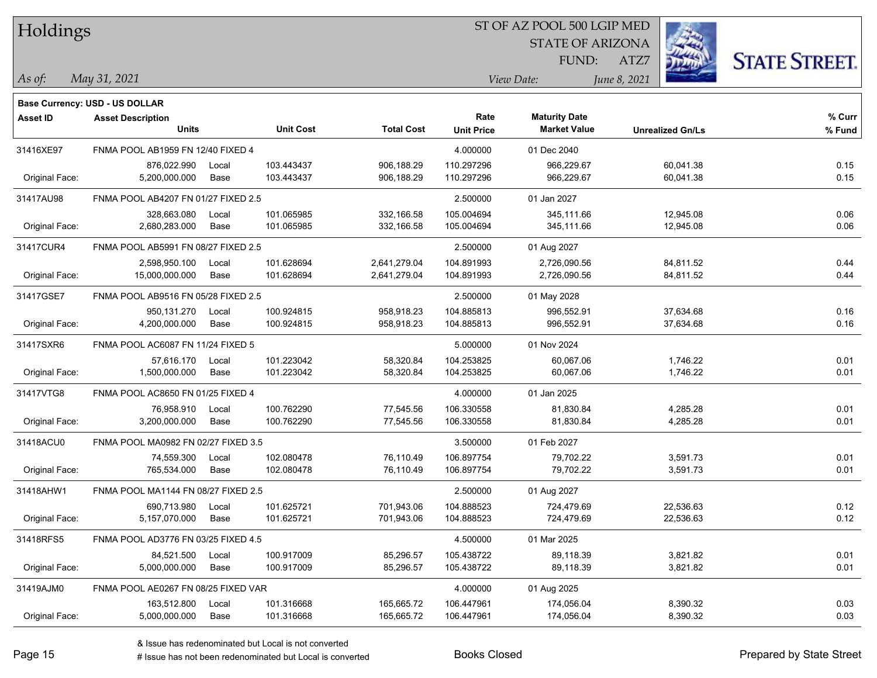| Holdings        |                                       |       |                  |                   |                   | ST OF AZ POOL 500 LGIP MED |                         |                      |
|-----------------|---------------------------------------|-------|------------------|-------------------|-------------------|----------------------------|-------------------------|----------------------|
|                 |                                       |       |                  |                   |                   | <b>STATE OF ARIZONA</b>    |                         |                      |
|                 |                                       |       |                  |                   |                   | FUND:                      | ATZ7                    | <b>STATE STREET.</b> |
| As of:          | May 31, 2021                          |       |                  |                   |                   | View Date:                 | June 8, 2021            |                      |
|                 | <b>Base Currency: USD - US DOLLAR</b> |       |                  |                   |                   |                            |                         |                      |
| <b>Asset ID</b> | <b>Asset Description</b>              |       |                  |                   | Rate              | <b>Maturity Date</b>       |                         | % Curr               |
|                 | <b>Units</b>                          |       | <b>Unit Cost</b> | <b>Total Cost</b> | <b>Unit Price</b> | <b>Market Value</b>        | <b>Unrealized Gn/Ls</b> | % Fund               |
| 31416XE97       | FNMA POOL AB1959 FN 12/40 FIXED 4     |       |                  |                   | 4.000000          | 01 Dec 2040                |                         |                      |
|                 | 876,022.990                           | Local | 103.443437       | 906,188.29        | 110.297296        | 966,229.67                 | 60,041.38               | 0.15                 |
| Original Face:  | 5,200,000.000                         | Base  | 103.443437       | 906,188.29        | 110.297296        | 966,229.67                 | 60,041.38               | 0.15                 |
| 31417AU98       | FNMA POOL AB4207 FN 01/27 FIXED 2.5   |       |                  |                   | 2.500000          | 01 Jan 2027                |                         |                      |
|                 | 328,663.080                           | Local | 101.065985       | 332,166.58        | 105.004694        | 345,111.66                 | 12,945.08               | 0.06                 |
| Original Face:  | 2,680,283.000                         | Base  | 101.065985       | 332,166.58        | 105.004694        | 345,111.66                 | 12,945.08               | 0.06                 |
| 31417CUR4       | FNMA POOL AB5991 FN 08/27 FIXED 2.5   |       |                  |                   | 2.500000          | 01 Aug 2027                |                         |                      |
|                 | 2,598,950.100                         | Local | 101.628694       | 2,641,279.04      | 104.891993        | 2,726,090.56               | 84,811.52               | 0.44                 |
| Original Face:  | 15,000,000.000                        | Base  | 101.628694       | 2,641,279.04      | 104.891993        | 2,726,090.56               | 84,811.52               | 0.44                 |
| 31417GSE7       | FNMA POOL AB9516 FN 05/28 FIXED 2.5   |       |                  |                   | 2.500000          | 01 May 2028                |                         |                      |
|                 | 950,131.270                           | Local | 100.924815       | 958,918.23        | 104.885813        | 996,552.91                 | 37,634.68               | 0.16                 |
| Original Face:  | 4,200,000.000                         | Base  | 100.924815       | 958,918.23        | 104.885813        | 996,552.91                 | 37,634.68               | 0.16                 |
| 31417SXR6       | FNMA POOL AC6087 FN 11/24 FIXED 5     |       |                  |                   | 5.000000          | 01 Nov 2024                |                         |                      |
|                 | 57,616.170                            | Local | 101.223042       | 58,320.84         | 104.253825        | 60,067.06                  | 1,746.22                | 0.01                 |
| Original Face:  | 1,500,000.000                         | Base  | 101.223042       | 58,320.84         | 104.253825        | 60,067.06                  | 1,746.22                | 0.01                 |
| 31417VTG8       | FNMA POOL AC8650 FN 01/25 FIXED 4     |       |                  |                   | 4.000000          | 01 Jan 2025                |                         |                      |
|                 | 76,958.910                            | Local | 100.762290       | 77,545.56         | 106.330558        | 81,830.84                  | 4,285.28                | 0.01                 |
| Original Face:  | 3,200,000.000                         | Base  | 100.762290       | 77,545.56         | 106.330558        | 81,830.84                  | 4,285.28                | 0.01                 |
| 31418ACU0       | FNMA POOL MA0982 FN 02/27 FIXED 3.5   |       |                  |                   | 3.500000          | 01 Feb 2027                |                         |                      |
|                 | 74,559.300                            | Local | 102.080478       | 76,110.49         | 106.897754        | 79,702.22                  | 3,591.73                | 0.01                 |
| Original Face:  | 765,534.000                           | Base  | 102.080478       | 76,110.49         | 106.897754        | 79,702.22                  | 3,591.73                | 0.01                 |
| 31418AHW1       | FNMA POOL MA1144 FN 08/27 FIXED 2.5   |       |                  |                   | 2.500000          | 01 Aug 2027                |                         |                      |
|                 | 690,713.980                           | Local | 101.625721       | 701,943.06        | 104.888523        | 724,479.69                 | 22,536.63               | 0.12                 |
| Original Face:  | 5,157,070.000                         | Base  | 101.625721       | 701,943.06        | 104.888523        | 724,479.69                 | 22,536.63               | 0.12                 |
| 31418RFS5       | FNMA POOL AD3776 FN 03/25 FIXED 4.5   |       |                  |                   | 4.500000          | 01 Mar 2025                |                         |                      |
|                 | 84,521.500                            | Local | 100.917009       | 85,296.57         | 105.438722        | 89,118.39                  | 3,821.82                | 0.01                 |
| Original Face:  | 5,000,000.000                         | Base  | 100.917009       | 85,296.57         | 105.438722        | 89,118.39                  | 3,821.82                | 0.01                 |
| 31419AJM0       | FNMA POOL AE0267 FN 08/25 FIXED VAR   |       |                  |                   | 4.000000          | 01 Aug 2025                |                         |                      |
|                 | 163,512.800                           | Local | 101.316668       | 165,665.72        | 106.447961        | 174,056.04                 | 8,390.32                | 0.03                 |
| Original Face:  | 5,000,000.000                         | Base  | 101.316668       | 165,665.72        | 106.447961        | 174,056.04                 | 8,390.32                | 0.03                 |

 $\frac{1}{2}$ 

 $\overline{\phantom{0}}$ 

 $\overline{\phantom{0}}$ 

÷.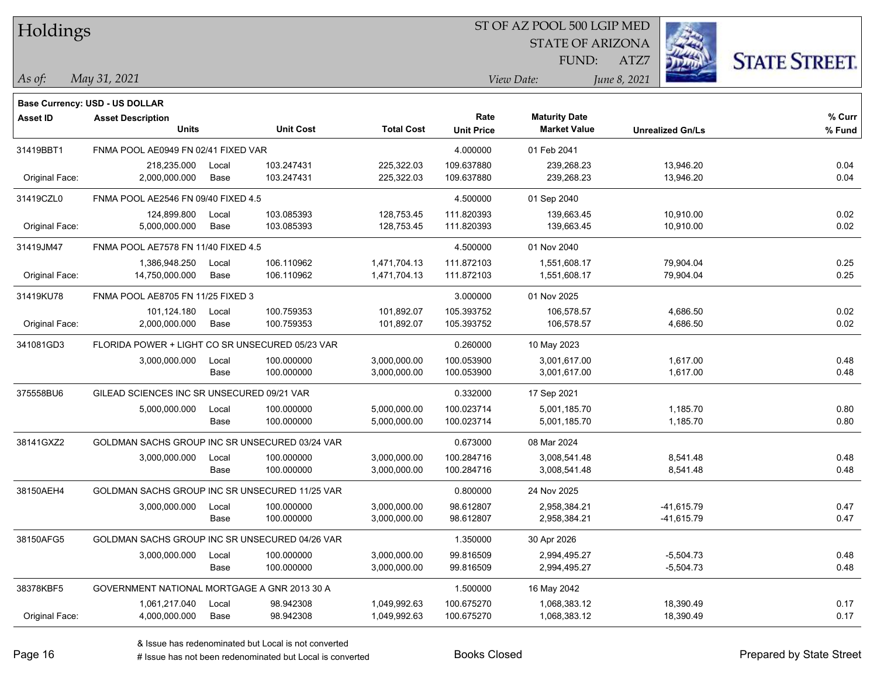| Holdings |  |
|----------|--|
|          |  |

#### ST OF AZ POOL 500 LGIP MED

STATE OF ARIZONA FUND:



**% Curr**

*May 31, 2021 As of: View Date: June 8, 2021*

**Base Currency: USD - US DOLLAR**

ATZ7

| Asset ID       | <b>Asset Description</b><br><b>Units</b>        |       | <b>Unit Cost</b> | <b>Total Cost</b> | Rate<br><b>Unit Price</b> | <b>Maturity Date</b><br><b>Market Value</b> | <b>Unrealized Gn/Ls</b> | % Curr<br>% Fund |
|----------------|-------------------------------------------------|-------|------------------|-------------------|---------------------------|---------------------------------------------|-------------------------|------------------|
| 31419BBT1      | FNMA POOL AE0949 FN 02/41 FIXED VAR             |       |                  |                   | 4.000000                  | 01 Feb 2041                                 |                         |                  |
|                | 218,235.000                                     | Local | 103.247431       | 225,322.03        | 109.637880                | 239,268.23                                  | 13,946.20               | 0.04             |
| Original Face: | 2,000,000.000                                   | Base  | 103.247431       | 225,322.03        | 109.637880                | 239,268.23                                  | 13,946.20               | 0.04             |
|                |                                                 |       |                  |                   |                           |                                             |                         |                  |
| 31419CZL0      | FNMA POOL AE2546 FN 09/40 FIXED 4.5             |       |                  |                   | 4.500000                  | 01 Sep 2040                                 |                         |                  |
|                | 124,899.800                                     | Local | 103.085393       | 128,753.45        | 111.820393                | 139,663.45                                  | 10,910.00               | 0.02             |
| Original Face: | 5,000,000.000                                   | Base  | 103.085393       | 128,753.45        | 111.820393                | 139,663.45                                  | 10,910.00               | 0.02             |
| 31419JM47      | FNMA POOL AE7578 FN 11/40 FIXED 4.5             |       |                  |                   | 4.500000                  | 01 Nov 2040                                 |                         |                  |
|                | 1,386,948.250                                   | Local | 106.110962       | 1,471,704.13      | 111.872103                | 1,551,608.17                                | 79,904.04               | 0.25             |
| Original Face: | 14,750,000.000                                  | Base  | 106.110962       | 1,471,704.13      | 111.872103                | 1,551,608.17                                | 79,904.04               | 0.25             |
| 31419KU78      | FNMA POOL AE8705 FN 11/25 FIXED 3               |       |                  |                   | 3.000000                  | 01 Nov 2025                                 |                         |                  |
|                | 101,124.180                                     | Local | 100.759353       | 101,892.07        | 105.393752                | 106,578.57                                  | 4,686.50                | 0.02             |
| Original Face: | 2,000,000.000                                   | Base  | 100.759353       | 101,892.07        | 105.393752                | 106,578.57                                  | 4,686.50                | 0.02             |
| 341081GD3      | FLORIDA POWER + LIGHT CO SR UNSECURED 05/23 VAR |       |                  |                   | 0.260000                  | 10 May 2023                                 |                         |                  |
|                | 3,000,000.000                                   | Local | 100.000000       | 3,000,000.00      | 100.053900                | 3,001,617.00                                | 1,617.00                | 0.48             |
|                |                                                 | Base  | 100.000000       | 3,000,000.00      | 100.053900                | 3,001,617.00                                | 1,617.00                | 0.48             |
| 375558BU6      | GILEAD SCIENCES INC SR UNSECURED 09/21 VAR      |       |                  |                   | 0.332000                  | 17 Sep 2021                                 |                         |                  |
|                | 5,000,000.000                                   | Local | 100.000000       | 5,000,000.00      | 100.023714                | 5,001,185.70                                | 1,185.70                | 0.80             |
|                |                                                 | Base  | 100.000000       | 5,000,000.00      | 100.023714                | 5,001,185.70                                | 1,185.70                | 0.80             |
| 38141GXZ2      | GOLDMAN SACHS GROUP INC SR UNSECURED 03/24 VAR  |       |                  |                   | 0.673000                  | 08 Mar 2024                                 |                         |                  |
|                | 3,000,000.000                                   | Local | 100.000000       | 3,000,000.00      | 100.284716                | 3.008.541.48                                | 8,541.48                | 0.48             |
|                |                                                 | Base  | 100.000000       | 3,000,000.00      | 100.284716                | 3,008,541.48                                | 8,541.48                | 0.48             |
| 38150AEH4      | GOLDMAN SACHS GROUP INC SR UNSECURED 11/25 VAR  |       |                  |                   | 0.800000                  | 24 Nov 2025                                 |                         |                  |
|                | 3,000,000.000                                   | Local | 100.000000       | 3,000,000.00      | 98.612807                 | 2,958,384.21                                | -41,615.79              | 0.47             |
|                |                                                 | Base  | 100.000000       | 3,000,000.00      | 98.612807                 | 2,958,384.21                                | -41,615.79              | 0.47             |
| 38150AFG5      | GOLDMAN SACHS GROUP INC SR UNSECURED 04/26 VAR  |       |                  |                   | 1.350000                  | 30 Apr 2026                                 |                         |                  |
|                | 3,000,000.000                                   | Local | 100.000000       | 3,000,000.00      | 99.816509                 | 2,994,495.27                                | $-5,504.73$             | 0.48             |
|                |                                                 | Base  | 100.000000       | 3,000,000.00      | 99.816509                 | 2,994,495.27                                | $-5,504.73$             | 0.48             |
| 38378KBF5      | GOVERNMENT NATIONAL MORTGAGE A GNR 2013 30 A    |       |                  |                   | 1.500000                  | 16 May 2042                                 |                         |                  |
|                | 1,061,217.040                                   | Local | 98.942308        | 1,049,992.63      | 100.675270                | 1,068,383.12                                | 18,390.49               | 0.17             |
| Original Face: | 4,000,000.000                                   | Base  | 98.942308        | 1,049,992.63      | 100.675270                | 1,068,383.12                                | 18,390.49               | 0.17             |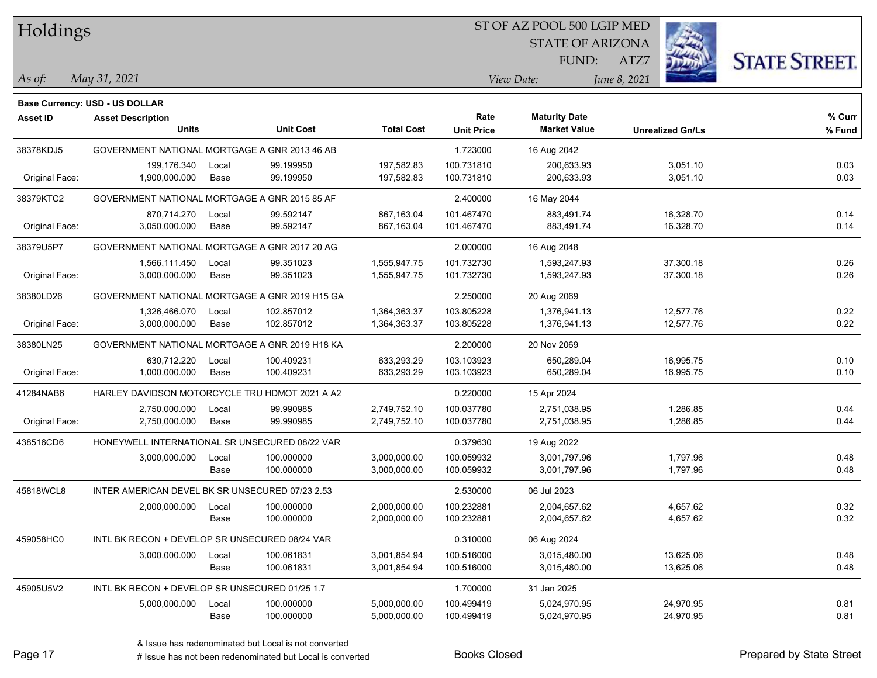| Holdings |
|----------|
|          |

### ST OF AZ POOL 500 LGIP MED

STATE OF ARIZONA FUND:



*May 31, 2021 As of: View Date: June 8, 2021*

ATZ7

|                | Base Currency: USD - US DOLLAR                  |       |                  |                   |                   |                      |                         |        |
|----------------|-------------------------------------------------|-------|------------------|-------------------|-------------------|----------------------|-------------------------|--------|
| Asset ID       | <b>Asset Description</b>                        |       |                  |                   | Rate              | <b>Maturity Date</b> |                         | % Curr |
|                | <b>Units</b>                                    |       | <b>Unit Cost</b> | <b>Total Cost</b> | <b>Unit Price</b> | <b>Market Value</b>  | <b>Unrealized Gn/Ls</b> | % Fund |
| 38378KDJ5      | GOVERNMENT NATIONAL MORTGAGE A GNR 2013 46 AB   |       |                  |                   | 1.723000          | 16 Aug 2042          |                         |        |
|                | 199,176.340                                     | Local | 99.199950        | 197,582.83        | 100.731810        | 200,633.93           | 3,051.10                | 0.03   |
| Original Face: | 1,900,000.000                                   | Base  | 99.199950        | 197,582.83        | 100.731810        | 200,633.93           | 3,051.10                | 0.03   |
| 38379KTC2      | GOVERNMENT NATIONAL MORTGAGE A GNR 2015 85 AF   |       |                  |                   | 2.400000          | 16 May 2044          |                         |        |
|                | 870,714.270                                     | Local | 99.592147        | 867,163.04        | 101.467470        | 883,491.74           | 16,328.70               | 0.14   |
| Original Face: | 3,050,000.000                                   | Base  | 99.592147        | 867,163.04        | 101.467470        | 883,491.74           | 16,328.70               | 0.14   |
| 38379U5P7      | GOVERNMENT NATIONAL MORTGAGE A GNR 2017 20 AG   |       |                  |                   | 2.000000          | 16 Aug 2048          |                         |        |
|                | 1,566,111.450                                   | Local | 99.351023        | 1,555,947.75      | 101.732730        | 1,593,247.93         | 37,300.18               | 0.26   |
| Original Face: | 3,000,000.000                                   | Base  | 99.351023        | 1,555,947.75      | 101.732730        | 1,593,247.93         | 37,300.18               | 0.26   |
| 38380LD26      | GOVERNMENT NATIONAL MORTGAGE A GNR 2019 H15 GA  |       |                  |                   | 2.250000          | 20 Aug 2069          |                         |        |
|                | 1,326,466.070                                   | Local | 102.857012       | 1,364,363.37      | 103.805228        | 1,376,941.13         | 12,577.76               | 0.22   |
| Original Face: | 3,000,000.000                                   | Base  | 102.857012       | 1,364,363.37      | 103.805228        | 1,376,941.13         | 12,577.76               | 0.22   |
| 38380LN25      | GOVERNMENT NATIONAL MORTGAGE A GNR 2019 H18 KA  |       |                  |                   | 2.200000          | 20 Nov 2069          |                         |        |
|                | 630,712.220                                     | Local | 100.409231       | 633,293.29        | 103.103923        | 650,289.04           | 16,995.75               | 0.10   |
| Original Face: | 1,000,000.000                                   | Base  | 100.409231       | 633,293.29        | 103.103923        | 650,289.04           | 16,995.75               | 0.10   |
| 41284NAB6      | HARLEY DAVIDSON MOTORCYCLE TRU HDMOT 2021 A A2  |       |                  |                   | 0.220000          | 15 Apr 2024          |                         |        |
|                | 2,750,000.000                                   | Local | 99.990985        | 2,749,752.10      | 100.037780        | 2,751,038.95         | 1,286.85                | 0.44   |
| Original Face: | 2,750,000.000                                   | Base  | 99.990985        | 2,749,752.10      | 100.037780        | 2,751,038.95         | 1,286.85                | 0.44   |
| 438516CD6      | HONEYWELL INTERNATIONAL SR UNSECURED 08/22 VAR  |       |                  |                   | 0.379630          | 19 Aug 2022          |                         |        |
|                | 3,000,000.000                                   | Local | 100.000000       | 3,000,000.00      | 100.059932        | 3,001,797.96         | 1,797.96                | 0.48   |
|                |                                                 | Base  | 100.000000       | 3,000,000.00      | 100.059932        | 3,001,797.96         | 1,797.96                | 0.48   |
| 45818WCL8      | INTER AMERICAN DEVEL BK SR UNSECURED 07/23 2.53 |       |                  |                   | 2.530000          | 06 Jul 2023          |                         |        |
|                | 2,000,000.000                                   | Local | 100.000000       | 2,000,000.00      | 100.232881        | 2,004,657.62         | 4,657.62                | 0.32   |
|                |                                                 | Base  | 100.000000       | 2,000,000.00      | 100.232881        | 2,004,657.62         | 4,657.62                | 0.32   |
| 459058HC0      | INTL BK RECON + DEVELOP SR UNSECURED 08/24 VAR  |       |                  |                   | 0.310000          | 06 Aug 2024          |                         |        |
|                | 3,000,000.000                                   | Local | 100.061831       | 3,001,854.94      | 100.516000        | 3,015,480.00         | 13,625.06               | 0.48   |
|                |                                                 | Base  | 100.061831       | 3,001,854.94      | 100.516000        | 3,015,480.00         | 13,625.06               | 0.48   |
| 45905U5V2      | INTL BK RECON + DEVELOP SR UNSECURED 01/25 1.7  |       |                  |                   | 1.700000          | 31 Jan 2025          |                         |        |
|                | 5,000,000.000                                   | Local | 100.000000       | 5,000,000.00      | 100.499419        | 5,024,970.95         | 24,970.95               | 0.81   |
|                |                                                 | Base  | 100.000000       | 5,000,000.00      | 100.499419        | 5,024,970.95         | 24,970.95               | 0.81   |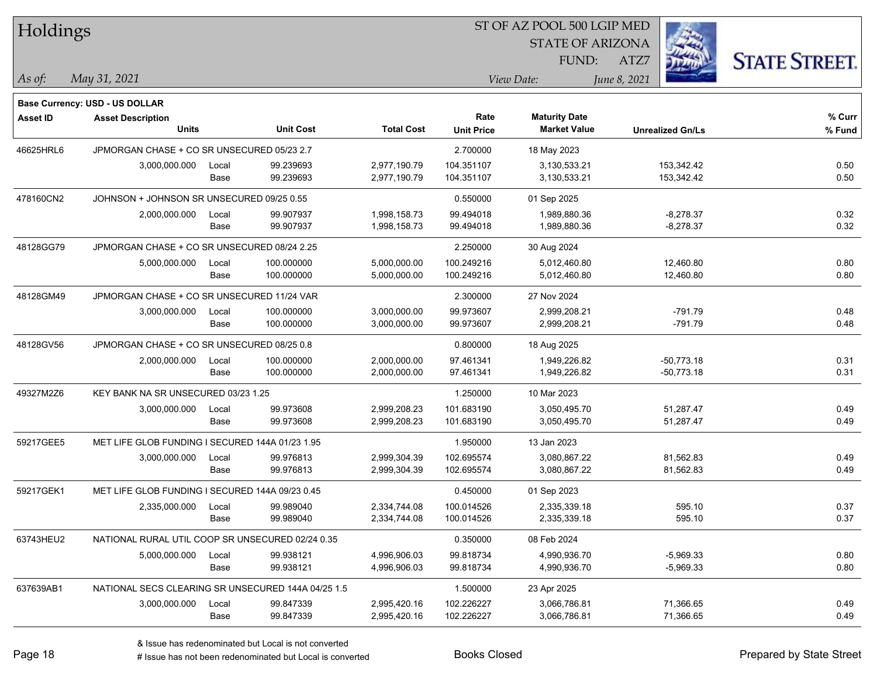| Holdings        |                                                    |       |                  |                   |                   | ST OF AZ POOL 500 LGIP MED |                         |                      |
|-----------------|----------------------------------------------------|-------|------------------|-------------------|-------------------|----------------------------|-------------------------|----------------------|
|                 |                                                    |       |                  |                   |                   | <b>STATE OF ARIZONA</b>    |                         |                      |
|                 |                                                    |       |                  |                   |                   | FUND:                      | ATZ7                    | <b>STATE STREET.</b> |
| $\vert$ As of:  | May 31, 2021                                       |       |                  |                   |                   | View Date:                 | June 8, 2021            |                      |
|                 | <b>Base Currency: USD - US DOLLAR</b>              |       |                  |                   |                   |                            |                         |                      |
| <b>Asset ID</b> | <b>Asset Description</b>                           |       |                  |                   | Rate              | <b>Maturity Date</b>       |                         | % Curr               |
|                 | <b>Units</b>                                       |       | <b>Unit Cost</b> | <b>Total Cost</b> | <b>Unit Price</b> | <b>Market Value</b>        | <b>Unrealized Gn/Ls</b> | % Fund               |
| 46625HRL6       | JPMORGAN CHASE + CO SR UNSECURED 05/23 2.7         |       |                  |                   | 2.700000          | 18 May 2023                |                         |                      |
|                 | 3,000,000.000                                      | Local | 99.239693        | 2,977,190.79      | 104.351107        | 3,130,533.21               | 153,342.42              | 0.50                 |
|                 |                                                    | Base  | 99.239693        | 2,977,190.79      | 104.351107        | 3,130,533.21               | 153,342.42              | 0.50                 |
| 478160CN2       | JOHNSON + JOHNSON SR UNSECURED 09/25 0.55          |       |                  |                   | 0.550000          | 01 Sep 2025                |                         |                      |
|                 | 2,000,000.000                                      | Local | 99.907937        | 1,998,158.73      | 99.494018         | 1,989,880.36               | $-8,278.37$             | 0.32                 |
|                 |                                                    | Base  | 99.907937        | 1,998,158.73      | 99.494018         | 1,989,880.36               | $-8,278.37$             | 0.32                 |
| 48128GG79       | JPMORGAN CHASE + CO SR UNSECURED 08/24 2.25        |       |                  |                   | 2.250000          | 30 Aug 2024                |                         |                      |
|                 | 5,000,000.000                                      | Local | 100.000000       | 5,000,000.00      | 100.249216        | 5,012,460.80               | 12,460.80               | 0.80                 |
|                 |                                                    | Base  | 100.000000       | 5,000,000.00      | 100.249216        | 5,012,460.80               | 12,460.80               | 0.80                 |
| 48128GM49       | JPMORGAN CHASE + CO SR UNSECURED 11/24 VAR         |       |                  |                   | 2.300000          | 27 Nov 2024                |                         |                      |
|                 | 3,000,000.000                                      | Local | 100.000000       | 3,000,000.00      | 99.973607         | 2,999,208.21               | $-791.79$               | 0.48                 |
|                 |                                                    | Base  | 100.000000       | 3,000,000.00      | 99.973607         | 2,999,208.21               | $-791.79$               | 0.48                 |
| 48128GV56       | JPMORGAN CHASE + CO SR UNSECURED 08/25 0.8         |       |                  |                   | 0.800000          | 18 Aug 2025                |                         |                      |
|                 | 2,000,000.000                                      | Local | 100.000000       | 2,000,000.00      | 97.461341         | 1,949,226.82               | $-50,773.18$            | 0.31                 |
|                 |                                                    | Base  | 100.000000       | 2,000,000.00      | 97.461341         | 1,949,226.82               | $-50,773.18$            | 0.31                 |
| 49327M2Z6       | KEY BANK NA SR UNSECURED 03/23 1.25                |       |                  |                   | 1.250000          | 10 Mar 2023                |                         |                      |
|                 | 3,000,000.000                                      | Local | 99.973608        | 2,999,208.23      | 101.683190        | 3,050,495.70               | 51,287.47               | 0.49                 |
|                 |                                                    | Base  | 99.973608        | 2,999,208.23      | 101.683190        | 3,050,495.70               | 51,287.47               | 0.49                 |
| 59217GEE5       | MET LIFE GLOB FUNDING I SECURED 144A 01/23 1.95    |       |                  |                   | 1.950000          | 13 Jan 2023                |                         |                      |
|                 | 3,000,000.000                                      | Local | 99.976813        | 2,999,304.39      | 102.695574        | 3,080,867.22               | 81,562.83               | 0.49                 |
|                 |                                                    | Base  | 99.976813        | 2,999,304.39      | 102.695574        | 3,080,867.22               | 81,562.83               | 0.49                 |
| 59217GEK1       | MET LIFE GLOB FUNDING I SECURED 144A 09/23 0.45    |       |                  |                   | 0.450000          | 01 Sep 2023                |                         |                      |
|                 | 2,335,000.000                                      | Local | 99.989040        | 2,334,744.08      | 100.014526        | 2,335,339.18               | 595.10                  | 0.37                 |
|                 |                                                    | Base  | 99.989040        | 2,334,744.08      | 100.014526        | 2,335,339.18               | 595.10                  | 0.37                 |
| 63743HEU2       | NATIONAL RURAL UTIL COOP SR UNSECURED 02/24 0.35   |       |                  |                   | 0.350000          | 08 Feb 2024                |                         |                      |
|                 | 5,000,000.000                                      | Local | 99.938121        | 4,996,906.03      | 99.818734         | 4,990,936.70               | $-5,969.33$             | 0.80                 |
|                 |                                                    | Base  | 99.938121        | 4,996,906.03      | 99.818734         | 4,990,936.70               | $-5,969.33$             | 0.80                 |
| 637639AB1       | NATIONAL SECS CLEARING SR UNSECURED 144A 04/25 1.5 |       |                  |                   | 1.500000          | 23 Apr 2025                |                         |                      |
|                 | 3,000,000.000                                      | Local | 99.847339        | 2,995,420.16      | 102.226227        | 3,066,786.81               | 71,366.65               | 0.49                 |
|                 |                                                    | Base  | 99.847339        | 2,995,420.16      | 102.226227        | 3,066,786.81               | 71,366.65               | 0.49                 |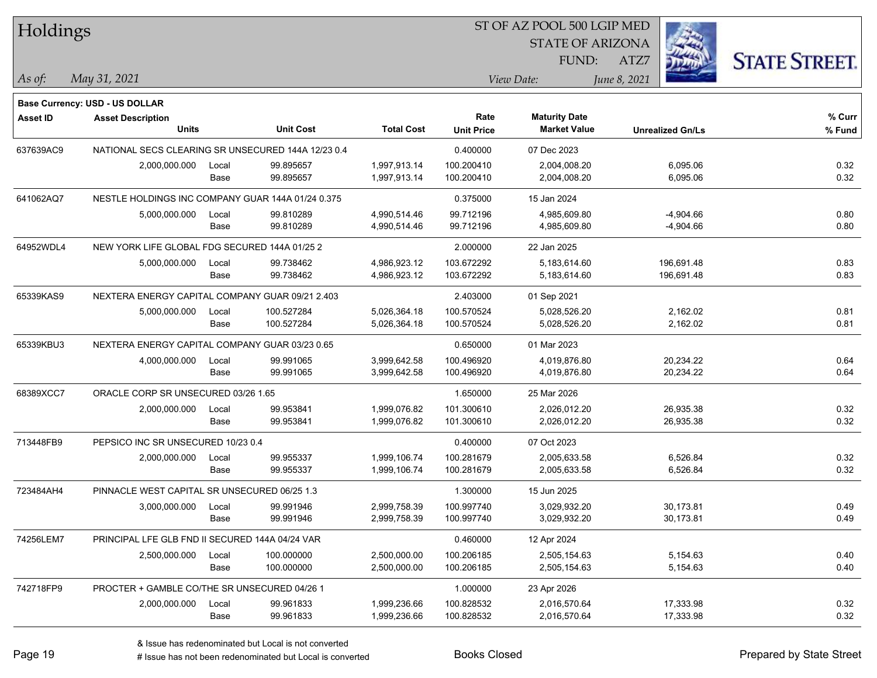| Holdings        |                                                    |       |                  |                   |                   | ST OF AZ POOL 500 LGIP MED |              |                         |                      |
|-----------------|----------------------------------------------------|-------|------------------|-------------------|-------------------|----------------------------|--------------|-------------------------|----------------------|
|                 |                                                    |       |                  |                   |                   | <b>STATE OF ARIZONA</b>    |              |                         |                      |
|                 |                                                    |       |                  |                   |                   | FUND:                      | ATZ7         |                         | <b>STATE STREET.</b> |
| As of:          | May 31, 2021                                       |       |                  |                   |                   | View Date:                 | June 8, 2021 |                         |                      |
|                 | <b>Base Currency: USD - US DOLLAR</b>              |       |                  |                   |                   |                            |              |                         |                      |
| <b>Asset ID</b> | <b>Asset Description</b>                           |       |                  |                   | Rate              | <b>Maturity Date</b>       |              |                         | % Curr               |
|                 | <b>Units</b>                                       |       | <b>Unit Cost</b> | <b>Total Cost</b> | <b>Unit Price</b> | <b>Market Value</b>        |              | <b>Unrealized Gn/Ls</b> | % Fund               |
| 637639AC9       | NATIONAL SECS CLEARING SR UNSECURED 144A 12/23 0.4 |       |                  |                   | 0.400000          | 07 Dec 2023                |              |                         |                      |
|                 | 2,000,000.000                                      | Local | 99.895657        | 1,997,913.14      | 100.200410        | 2,004,008.20               |              | 6,095.06                | 0.32                 |
|                 |                                                    | Base  | 99.895657        | 1,997,913.14      | 100.200410        | 2,004,008.20               |              | 6,095.06                | 0.32                 |
| 641062AQ7       | NESTLE HOLDINGS INC COMPANY GUAR 144A 01/24 0.375  |       |                  |                   | 0.375000          | 15 Jan 2024                |              |                         |                      |
|                 | 5,000,000.000                                      | Local | 99.810289        | 4,990,514.46      | 99.712196         | 4,985,609.80               |              | -4,904.66               | 0.80                 |
|                 |                                                    | Base  | 99.810289        | 4,990,514.46      | 99.712196         | 4,985,609.80               |              | $-4,904.66$             | 0.80                 |
| 64952WDL4       | NEW YORK LIFE GLOBAL FDG SECURED 144A 01/25 2      |       |                  |                   | 2.000000          | 22 Jan 2025                |              |                         |                      |
|                 | 5,000,000.000                                      | Local | 99.738462        | 4,986,923.12      | 103.672292        | 5,183,614.60               |              | 196,691.48              | 0.83                 |
|                 |                                                    | Base  | 99.738462        | 4,986,923.12      | 103.672292        | 5,183,614.60               |              | 196,691.48              | 0.83                 |
| 65339KAS9       | NEXTERA ENERGY CAPITAL COMPANY GUAR 09/21 2.403    |       |                  |                   | 2.403000          | 01 Sep 2021                |              |                         |                      |
|                 | 5,000,000.000                                      | Local | 100.527284       | 5,026,364.18      | 100.570524        | 5,028,526.20               |              | 2,162.02                | 0.81                 |
|                 |                                                    | Base  | 100.527284       | 5,026,364.18      | 100.570524        | 5,028,526.20               |              | 2,162.02                | 0.81                 |
| 65339KBU3       | NEXTERA ENERGY CAPITAL COMPANY GUAR 03/23 0.65     |       |                  |                   | 0.650000          | 01 Mar 2023                |              |                         |                      |
|                 | 4,000,000.000                                      | Local | 99.991065        | 3,999,642.58      | 100.496920        | 4,019,876.80               |              | 20,234.22               | 0.64                 |
|                 |                                                    | Base  | 99.991065        | 3,999,642.58      | 100.496920        | 4,019,876.80               |              | 20,234.22               | 0.64                 |
| 68389XCC7       | ORACLE CORP SR UNSECURED 03/26 1.65                |       |                  |                   | 1.650000          | 25 Mar 2026                |              |                         |                      |
|                 | 2,000,000.000                                      | Local | 99.953841        | 1,999,076.82      | 101.300610        | 2,026,012.20               |              | 26,935.38               | 0.32                 |
|                 |                                                    | Base  | 99.953841        | 1,999,076.82      | 101.300610        | 2,026,012.20               |              | 26,935.38               | 0.32                 |
| 713448FB9       | PEPSICO INC SR UNSECURED 10/23 0.4                 |       |                  |                   | 0.400000          | 07 Oct 2023                |              |                         |                      |
|                 | 2,000,000.000                                      | Local | 99.955337        | 1,999,106.74      | 100.281679        | 2,005,633.58               |              | 6,526.84                | 0.32                 |
|                 |                                                    | Base  | 99.955337        | 1,999,106.74      | 100.281679        | 2,005,633.58               |              | 6,526.84                | 0.32                 |
| 723484AH4       | PINNACLE WEST CAPITAL SR UNSECURED 06/25 1.3       |       |                  |                   | 1.300000          | 15 Jun 2025                |              |                         |                      |
|                 | 3,000,000.000 Local                                |       | 99.991946        | 2,999,758.39      | 100.997740        | 3,029,932.20               |              | 30,173.81               | 0.49                 |
|                 |                                                    | Base  | 99.991946        | 2,999,758.39      | 100.997740        | 3,029,932.20               |              | 30,173.81               | 0.49                 |
| 74256LEM7       | PRINCIPAL LFE GLB FND II SECURED 144A 04/24 VAR    |       |                  |                   | 0.460000          | 12 Apr 2024                |              |                         |                      |
|                 | 2,500,000.000                                      | Local | 100.000000       | 2,500,000.00      | 100.206185        | 2,505,154.63               |              | 5,154.63                | 0.40                 |
|                 |                                                    | Base  | 100.000000       | 2,500,000.00      | 100.206185        | 2,505,154.63               |              | 5,154.63                | 0.40                 |
| 742718FP9       | PROCTER + GAMBLE CO/THE SR UNSECURED 04/26 1       |       |                  |                   | 1.000000          | 23 Apr 2026                |              |                         |                      |
|                 | 2,000,000.000                                      | Local | 99.961833        | 1,999,236.66      | 100.828532        | 2,016,570.64               |              | 17,333.98               | 0.32                 |
|                 |                                                    | Base  | 99.961833        | 1,999,236.66      | 100.828532        | 2,016,570.64               |              | 17,333.98               | 0.32                 |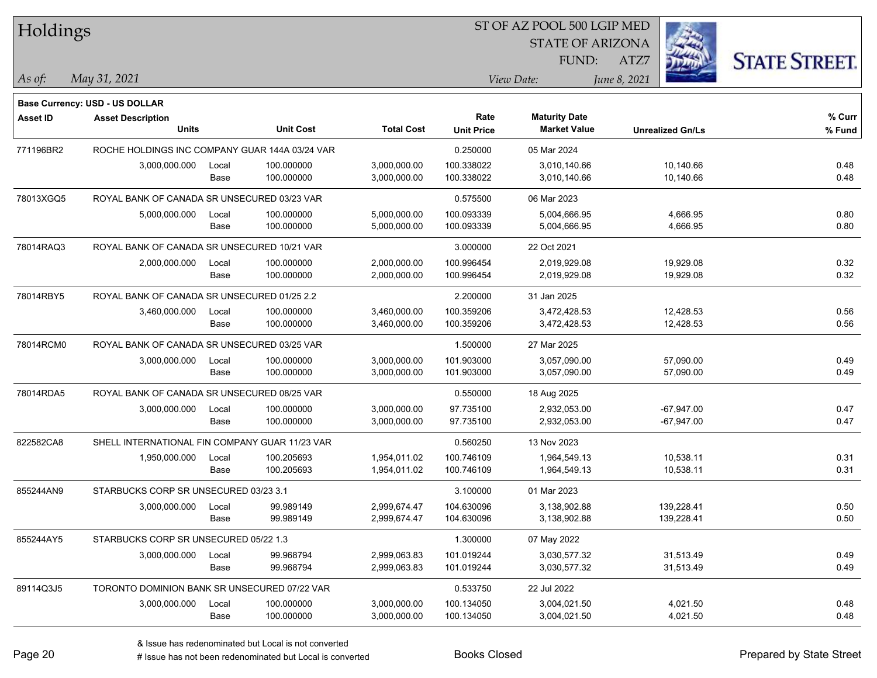| Holdings        |                                                |       |                  |                   |                   | ST OF AZ POOL 500 LGIP MED |                         |                      |
|-----------------|------------------------------------------------|-------|------------------|-------------------|-------------------|----------------------------|-------------------------|----------------------|
|                 |                                                |       |                  |                   |                   | <b>STATE OF ARIZONA</b>    |                         |                      |
|                 |                                                |       |                  |                   |                   | FUND:                      | ATZ7                    | <b>STATE STREET.</b> |
| $\vert$ As of:  | May 31, 2021                                   |       |                  |                   |                   | View Date:                 | June 8, 2021            |                      |
|                 | <b>Base Currency: USD - US DOLLAR</b>          |       |                  |                   |                   |                            |                         |                      |
| <b>Asset ID</b> | <b>Asset Description</b>                       |       |                  |                   | Rate              | <b>Maturity Date</b>       |                         | % Curr               |
|                 | <b>Units</b>                                   |       | <b>Unit Cost</b> | <b>Total Cost</b> | <b>Unit Price</b> | <b>Market Value</b>        | <b>Unrealized Gn/Ls</b> | % Fund               |
| 771196BR2       | ROCHE HOLDINGS INC COMPANY GUAR 144A 03/24 VAR |       |                  |                   | 0.250000          | 05 Mar 2024                |                         |                      |
|                 | 3,000,000.000                                  | Local | 100.000000       | 3,000,000.00      | 100.338022        | 3,010,140.66               | 10,140.66               | 0.48                 |
|                 |                                                | Base  | 100.000000       | 3,000,000.00      | 100.338022        | 3,010,140.66               | 10,140.66               | 0.48                 |
| 78013XGQ5       | ROYAL BANK OF CANADA SR UNSECURED 03/23 VAR    |       |                  |                   | 0.575500          | 06 Mar 2023                |                         |                      |
|                 | 5,000,000.000                                  | Local | 100.000000       | 5,000,000.00      | 100.093339        | 5,004,666.95               | 4,666.95                | 0.80                 |
|                 |                                                | Base  | 100.000000       | 5,000,000.00      | 100.093339        | 5,004,666.95               | 4,666.95                | 0.80                 |
| 78014RAQ3       | ROYAL BANK OF CANADA SR UNSECURED 10/21 VAR    |       |                  |                   | 3.000000          | 22 Oct 2021                |                         |                      |
|                 | 2,000,000.000                                  | Local | 100.000000       | 2,000,000.00      | 100.996454        | 2,019,929.08               | 19,929.08               | 0.32                 |
|                 |                                                | Base  | 100.000000       | 2,000,000.00      | 100.996454        | 2,019,929.08               | 19,929.08               | 0.32                 |
| 78014RBY5       | ROYAL BANK OF CANADA SR UNSECURED 01/25 2.2    |       |                  |                   | 2.200000          | 31 Jan 2025                |                         |                      |
|                 | 3,460,000.000                                  | Local | 100.000000       | 3,460,000.00      | 100.359206        | 3,472,428.53               | 12,428.53               | 0.56                 |
|                 |                                                | Base  | 100.000000       | 3,460,000.00      | 100.359206        | 3,472,428.53               | 12,428.53               | 0.56                 |
| 78014RCM0       | ROYAL BANK OF CANADA SR UNSECURED 03/25 VAR    |       |                  |                   | 1.500000          | 27 Mar 2025                |                         |                      |
|                 | 3,000,000.000                                  | Local | 100.000000       | 3,000,000.00      | 101.903000        | 3,057,090.00               | 57,090.00               | 0.49                 |
|                 |                                                | Base  | 100.000000       | 3,000,000.00      | 101.903000        | 3,057,090.00               | 57,090.00               | 0.49                 |
| 78014RDA5       | ROYAL BANK OF CANADA SR UNSECURED 08/25 VAR    |       |                  |                   | 0.550000          | 18 Aug 2025                |                         |                      |
|                 | 3,000,000.000                                  | Local | 100.000000       | 3,000,000.00      | 97.735100         | 2,932,053.00               | $-67,947.00$            | 0.47                 |
|                 |                                                | Base  | 100.000000       | 3,000,000.00      | 97.735100         | 2,932,053.00               | $-67,947.00$            | 0.47                 |
| 822582CA8       | SHELL INTERNATIONAL FIN COMPANY GUAR 11/23 VAR |       |                  |                   | 0.560250          | 13 Nov 2023                |                         |                      |
|                 | 1,950,000.000                                  | Local | 100.205693       | 1,954,011.02      | 100.746109        | 1,964,549.13               | 10,538.11               | 0.31                 |
|                 |                                                | Base  | 100.205693       | 1,954,011.02      | 100.746109        | 1,964,549.13               | 10,538.11               | 0.31                 |
| 855244AN9       | STARBUCKS CORP SR UNSECURED 03/23 3.1          |       |                  |                   | 3.100000          | 01 Mar 2023                |                         |                      |
|                 | 3,000,000.000                                  | Local | 99.989149        | 2,999,674.47      | 104.630096        | 3,138,902.88               | 139,228.41              | 0.50                 |
|                 |                                                | Base  | 99.989149        | 2,999,674.47      | 104.630096        | 3,138,902.88               | 139,228.41              | 0.50                 |
| 855244AY5       | STARBUCKS CORP SR UNSECURED 05/22 1.3          |       |                  |                   | 1.300000          | 07 May 2022                |                         |                      |
|                 | 3,000,000.000                                  | Local | 99.968794        | 2,999,063.83      | 101.019244        | 3,030,577.32               | 31,513.49               | 0.49                 |
|                 |                                                | Base  | 99.968794        | 2,999,063.83      | 101.019244        | 3,030,577.32               | 31,513.49               | 0.49                 |
| 89114Q3J5       | TORONTO DOMINION BANK SR UNSECURED 07/22 VAR   |       |                  |                   | 0.533750          | 22 Jul 2022                |                         |                      |
|                 | 3,000,000.000                                  | Local | 100.000000       | 3,000,000.00      | 100.134050        | 3,004,021.50               | 4,021.50                | 0.48                 |
|                 |                                                | Base  | 100.000000       | 3,000,000.00      | 100.134050        | 3,004,021.50               | 4,021.50                | 0.48                 |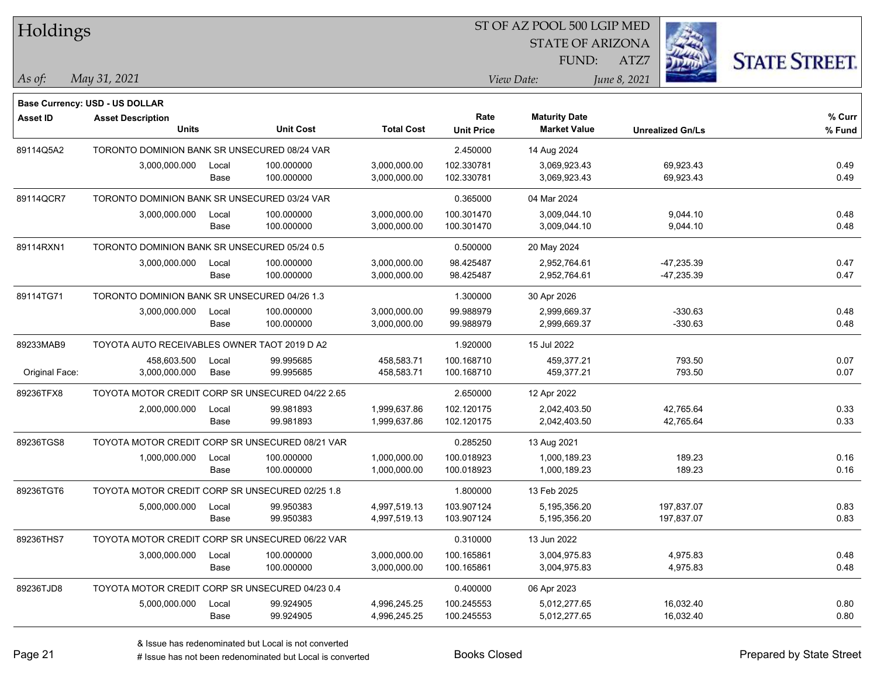| Holdings        |                                                  |       |                  |                   |                   | ST OF AZ POOL 500 LGIP MED |                         |              |                      |
|-----------------|--------------------------------------------------|-------|------------------|-------------------|-------------------|----------------------------|-------------------------|--------------|----------------------|
|                 |                                                  |       |                  |                   |                   | <b>STATE OF ARIZONA</b>    |                         |              |                      |
|                 |                                                  |       |                  |                   |                   | FUND:                      | ATZ7                    |              | <b>STATE STREET.</b> |
| As of:          | May 31, 2021                                     |       |                  |                   |                   | View Date:                 | June 8, 2021            |              |                      |
|                 | <b>Base Currency: USD - US DOLLAR</b>            |       |                  |                   |                   |                            |                         |              |                      |
| <b>Asset ID</b> | <b>Asset Description</b>                         |       |                  |                   | Rate              | <b>Maturity Date</b>       |                         |              | % Curr               |
|                 | <b>Units</b>                                     |       | <b>Unit Cost</b> | <b>Total Cost</b> | <b>Unit Price</b> | <b>Market Value</b>        | <b>Unrealized Gn/Ls</b> |              | % Fund               |
| 89114Q5A2       | TORONTO DOMINION BANK SR UNSECURED 08/24 VAR     |       |                  |                   | 2.450000          | 14 Aug 2024                |                         |              |                      |
|                 | 3,000,000.000                                    | Local | 100.000000       | 3,000,000.00      | 102.330781        | 3,069,923.43               |                         | 69,923.43    | 0.49                 |
|                 |                                                  | Base  | 100.000000       | 3,000,000.00      | 102.330781        | 3,069,923.43               |                         | 69,923.43    | 0.49                 |
| 89114QCR7       | TORONTO DOMINION BANK SR UNSECURED 03/24 VAR     |       |                  |                   | 0.365000          | 04 Mar 2024                |                         |              |                      |
|                 | 3,000,000.000                                    | Local | 100.000000       | 3,000,000.00      | 100.301470        | 3,009,044.10               |                         | 9,044.10     | 0.48                 |
|                 |                                                  | Base  | 100.000000       | 3,000,000.00      | 100.301470        | 3,009,044.10               |                         | 9,044.10     | 0.48                 |
| 89114RXN1       | TORONTO DOMINION BANK SR UNSECURED 05/24 0.5     |       |                  |                   | 0.500000          | 20 May 2024                |                         |              |                      |
|                 | 3,000,000.000                                    | Local | 100.000000       | 3,000,000.00      | 98.425487         | 2,952,764.61               |                         | -47,235.39   | 0.47                 |
|                 |                                                  | Base  | 100.000000       | 3,000,000.00      | 98.425487         | 2,952,764.61               |                         | $-47,235.39$ | 0.47                 |
| 89114TG71       | TORONTO DOMINION BANK SR UNSECURED 04/26 1.3     |       |                  |                   | 1.300000          | 30 Apr 2026                |                         |              |                      |
|                 | 3,000,000.000                                    | Local | 100.000000       | 3,000,000.00      | 99.988979         | 2,999,669.37               |                         | $-330.63$    | 0.48                 |
|                 |                                                  | Base  | 100.000000       | 3,000,000.00      | 99.988979         | 2,999,669.37               |                         | $-330.63$    | 0.48                 |
| 89233MAB9       | TOYOTA AUTO RECEIVABLES OWNER TAOT 2019 D A2     |       |                  |                   | 1.920000          | 15 Jul 2022                |                         |              |                      |
|                 | 458,603.500                                      | Local | 99.995685        | 458,583.71        | 100.168710        | 459,377.21                 |                         | 793.50       | 0.07                 |
| Original Face:  | 3,000,000.000                                    | Base  | 99.995685        | 458,583.71        | 100.168710        | 459,377.21                 |                         | 793.50       | 0.07                 |
| 89236TFX8       | TOYOTA MOTOR CREDIT CORP SR UNSECURED 04/22 2.65 |       |                  |                   | 2.650000          | 12 Apr 2022                |                         |              |                      |
|                 | 2,000,000.000                                    | Local | 99.981893        | 1,999,637.86      | 102.120175        | 2,042,403.50               |                         | 42,765.64    | 0.33                 |
|                 |                                                  | Base  | 99.981893        | 1,999,637.86      | 102.120175        | 2,042,403.50               |                         | 42,765.64    | 0.33                 |
| 89236TGS8       | TOYOTA MOTOR CREDIT CORP SR UNSECURED 08/21 VAR  |       |                  |                   | 0.285250          | 13 Aug 2021                |                         |              |                      |
|                 | 1,000,000.000                                    | Local | 100.000000       | 1,000,000.00      | 100.018923        | 1,000,189.23               |                         | 189.23       | 0.16                 |
|                 |                                                  | Base  | 100.000000       | 1,000,000.00      | 100.018923        | 1,000,189.23               |                         | 189.23       | 0.16                 |
| 89236TGT6       | TOYOTA MOTOR CREDIT CORP SR UNSECURED 02/25 1.8  |       |                  |                   | 1.800000          | 13 Feb 2025                |                         |              |                      |
|                 | 5,000,000.000                                    | Local | 99.950383        | 4,997,519.13      | 103.907124        | 5,195,356.20               | 197,837.07              |              | 0.83                 |
|                 |                                                  | Base  | 99.950383        | 4,997,519.13      | 103.907124        | 5,195,356.20               | 197,837.07              |              | 0.83                 |
| 89236THS7       | TOYOTA MOTOR CREDIT CORP SR UNSECURED 06/22 VAR  |       |                  |                   | 0.310000          | 13 Jun 2022                |                         |              |                      |
|                 | 3,000,000.000                                    | Local | 100.000000       | 3,000,000.00      | 100.165861        | 3,004,975.83               |                         | 4,975.83     | 0.48                 |
|                 |                                                  | Base  | 100.000000       | 3,000,000.00      | 100.165861        | 3,004,975.83               |                         | 4,975.83     | 0.48                 |
| 89236TJD8       | TOYOTA MOTOR CREDIT CORP SR UNSECURED 04/23 0.4  |       |                  |                   | 0.400000          | 06 Apr 2023                |                         |              |                      |
|                 | 5,000,000.000                                    | Local | 99.924905        | 4,996,245.25      | 100.245553        | 5,012,277.65               |                         | 16,032.40    | 0.80                 |
|                 |                                                  | Base  | 99.924905        | 4,996,245.25      | 100.245553        | 5,012,277.65               |                         | 16,032.40    | 0.80                 |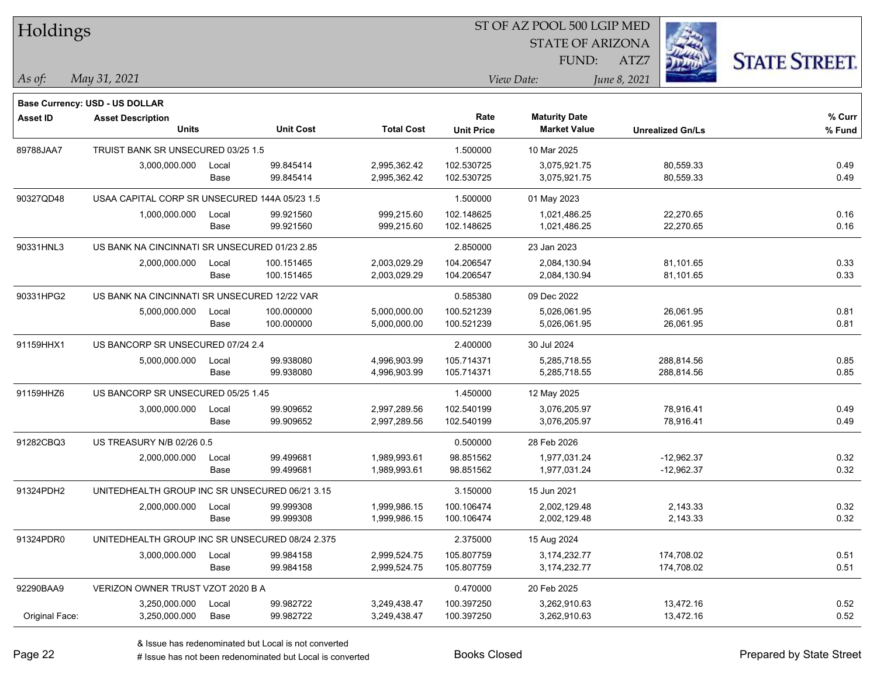| Holdings       |                                                 |       |                  |                   |                   | ST OF AZ POOL 500 LGIP MED                  |                         |                      |
|----------------|-------------------------------------------------|-------|------------------|-------------------|-------------------|---------------------------------------------|-------------------------|----------------------|
|                |                                                 |       |                  |                   |                   | <b>STATE OF ARIZONA</b>                     |                         |                      |
|                |                                                 |       |                  |                   |                   | FUND:                                       | ATZ7                    | <b>STATE STREET.</b> |
| As of:         | May 31, 2021                                    |       |                  |                   |                   | View Date:                                  | June 8, 2021            |                      |
|                |                                                 |       |                  |                   |                   |                                             |                         |                      |
|                | Base Currency: USD - US DOLLAR                  |       |                  |                   |                   |                                             |                         |                      |
| Asset ID       | <b>Asset Description</b><br><b>Units</b>        |       | <b>Unit Cost</b> | <b>Total Cost</b> | Rate              | <b>Maturity Date</b><br><b>Market Value</b> |                         | % Curr               |
|                |                                                 |       |                  |                   | <b>Unit Price</b> |                                             | <b>Unrealized Gn/Ls</b> | % Fund               |
| 89788JAA7      | TRUIST BANK SR UNSECURED 03/25 1.5              |       |                  |                   | 1.500000          | 10 Mar 2025                                 |                         |                      |
|                | 3,000,000.000                                   | Local | 99.845414        | 2,995,362.42      | 102.530725        | 3,075,921.75                                | 80,559.33               | 0.49                 |
|                |                                                 | Base  | 99.845414        | 2,995,362.42      | 102.530725        | 3,075,921.75                                | 80,559.33               | 0.49                 |
| 90327QD48      | USAA CAPITAL CORP SR UNSECURED 144A 05/23 1.5   |       |                  |                   | 1.500000          | 01 May 2023                                 |                         |                      |
|                | 1,000,000.000                                   | Local | 99.921560        | 999,215.60        | 102.148625        | 1,021,486.25                                | 22,270.65               | 0.16                 |
|                |                                                 | Base  | 99.921560        | 999,215.60        | 102.148625        | 1,021,486.25                                | 22,270.65               | 0.16                 |
| 90331HNL3      | US BANK NA CINCINNATI SR UNSECURED 01/23 2.85   |       |                  |                   | 2.850000          | 23 Jan 2023                                 |                         |                      |
|                | 2,000,000.000                                   | Local | 100.151465       | 2,003,029.29      | 104.206547        | 2,084,130.94                                | 81,101.65               | 0.33                 |
|                |                                                 | Base  | 100.151465       | 2,003,029.29      | 104.206547        | 2,084,130.94                                | 81,101.65               | 0.33                 |
| 90331HPG2      | US BANK NA CINCINNATI SR UNSECURED 12/22 VAR    |       |                  |                   | 0.585380          | 09 Dec 2022                                 |                         |                      |
|                | 5,000,000.000                                   | Local | 100.000000       | 5,000,000.00      | 100.521239        | 5,026,061.95                                | 26,061.95               | 0.81                 |
|                |                                                 | Base  | 100.000000       | 5,000,000.00      | 100.521239        | 5,026,061.95                                | 26,061.95               | 0.81                 |
| 91159HHX1      | US BANCORP SR UNSECURED 07/24 2.4               |       |                  |                   | 2.400000          | 30 Jul 2024                                 |                         |                      |
|                | 5,000,000.000                                   | Local | 99.938080        | 4,996,903.99      | 105.714371        | 5,285,718.55                                | 288,814.56              | 0.85                 |
|                |                                                 | Base  | 99.938080        | 4,996,903.99      | 105.714371        | 5,285,718.55                                | 288,814.56              | 0.85                 |
| 91159HHZ6      | US BANCORP SR UNSECURED 05/25 1.45              |       |                  |                   | 1.450000          | 12 May 2025                                 |                         |                      |
|                | 3,000,000.000                                   | Local | 99.909652        | 2,997,289.56      | 102.540199        | 3,076,205.97                                | 78,916.41               | 0.49                 |
|                |                                                 | Base  | 99.909652        | 2,997,289.56      | 102.540199        | 3,076,205.97                                | 78,916.41               | 0.49                 |
| 91282CBQ3      | US TREASURY N/B 02/26 0.5                       |       |                  |                   | 0.500000          | 28 Feb 2026                                 |                         |                      |
|                | 2,000,000.000                                   | Local | 99.499681        | 1,989,993.61      | 98.851562         | 1,977,031.24                                | $-12,962.37$            | 0.32                 |
|                |                                                 | Base  | 99.499681        | 1,989,993.61      | 98.851562         | 1,977,031.24                                | $-12,962.37$            | 0.32                 |
| 91324PDH2      | UNITEDHEALTH GROUP INC SR UNSECURED 06/21 3.15  |       |                  |                   | 3.150000          | 15 Jun 2021                                 |                         |                      |
|                | 2,000,000.000                                   | Local | 99.999308        | 1,999,986.15      | 100.106474        | 2,002,129.48                                | 2,143.33                | 0.32                 |
|                |                                                 | Base  | 99.999308        | 1,999,986.15      | 100.106474        | 2,002,129.48                                | 2,143.33                | 0.32                 |
| 91324PDR0      | UNITEDHEALTH GROUP INC SR UNSECURED 08/24 2.375 |       |                  |                   | 2.375000          | 15 Aug 2024                                 |                         |                      |
|                | 3,000,000.000                                   | Local | 99.984158        | 2,999,524.75      | 105.807759        | 3,174,232.77                                | 174,708.02              | 0.51                 |
|                |                                                 | Base  | 99.984158        | 2,999,524.75      | 105.807759        | 3,174,232.77                                | 174,708.02              | 0.51                 |
| 92290BAA9      | VERIZON OWNER TRUST VZOT 2020 B A               |       |                  |                   | 0.470000          | 20 Feb 2025                                 |                         |                      |
|                | 3,250,000.000                                   | Local | 99.982722        | 3,249,438.47      | 100.397250        | 3,262,910.63                                | 13,472.16               | 0.52                 |
| Original Face: | 3,250,000.000                                   | Base  | 99.982722        | 3,249,438.47      | 100.397250        | 3,262,910.63                                | 13,472.16               | 0.52                 |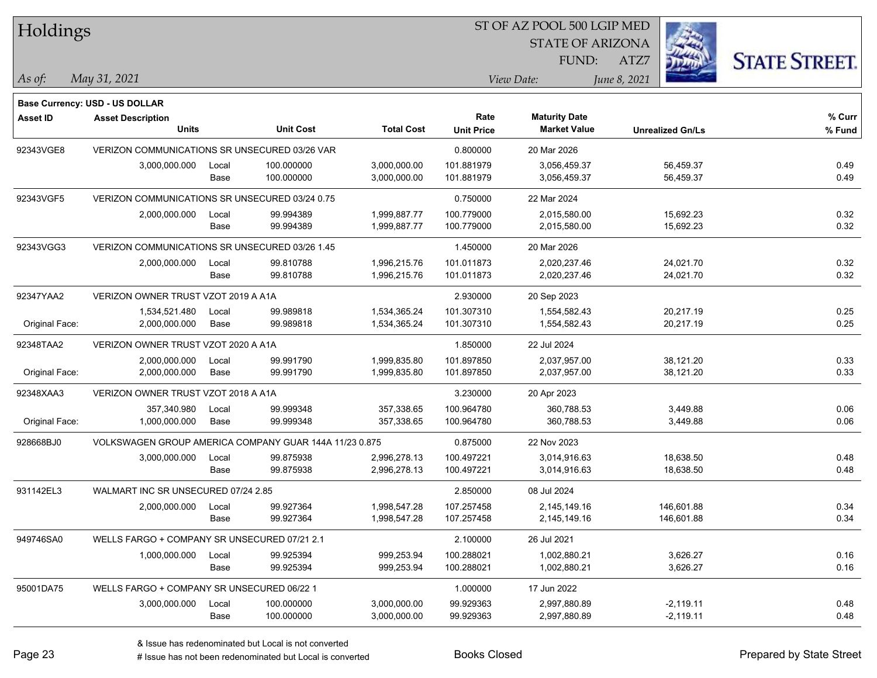| Holdings        |                                                        |               |                          |                              |                           | 51 OF AZ POOL 500 LGIP MED                  |                         |                     |  |  |
|-----------------|--------------------------------------------------------|---------------|--------------------------|------------------------------|---------------------------|---------------------------------------------|-------------------------|---------------------|--|--|
|                 |                                                        |               |                          |                              |                           | <b>STATE OF ARIZONA</b>                     |                         |                     |  |  |
|                 |                                                        |               |                          |                              |                           | FUND:                                       | ATZ7                    | <b>STATE STREET</b> |  |  |
| As of:          | May 31, 2021                                           |               |                          |                              |                           | View Date:                                  | June 8, 2021            |                     |  |  |
|                 |                                                        |               |                          |                              |                           |                                             |                         |                     |  |  |
|                 | <b>Base Currency: USD - US DOLLAR</b>                  |               |                          |                              |                           |                                             |                         |                     |  |  |
| <b>Asset ID</b> | <b>Asset Description</b><br><b>Units</b>               |               | <b>Unit Cost</b>         | <b>Total Cost</b>            | Rate<br><b>Unit Price</b> | <b>Maturity Date</b><br><b>Market Value</b> | <b>Unrealized Gn/Ls</b> | % Curr<br>% Fund    |  |  |
|                 |                                                        |               |                          |                              |                           |                                             |                         |                     |  |  |
| 92343VGE8       | VERIZON COMMUNICATIONS SR UNSECURED 03/26 VAR          |               |                          |                              | 0.800000                  | 20 Mar 2026                                 |                         |                     |  |  |
|                 | 3,000,000.000                                          | Local<br>Base | 100.000000<br>100.000000 | 3,000,000.00<br>3,000,000.00 | 101.881979<br>101.881979  | 3,056,459.37<br>3,056,459.37                | 56,459.37<br>56,459.37  | 0.49<br>0.49        |  |  |
|                 |                                                        |               |                          |                              |                           |                                             |                         |                     |  |  |
| 92343VGF5       | VERIZON COMMUNICATIONS SR UNSECURED 03/24 0.75         |               |                          |                              | 0.750000                  | 22 Mar 2024                                 |                         |                     |  |  |
|                 | 2,000,000.000                                          | Local         | 99.994389                | 1,999,887.77                 | 100.779000                | 2,015,580.00                                | 15,692.23               | 0.32                |  |  |
|                 |                                                        | Base          | 99.994389                | 1,999,887.77                 | 100.779000                | 2,015,580.00                                | 15,692.23               | 0.32                |  |  |
| 92343VGG3       | VERIZON COMMUNICATIONS SR UNSECURED 03/26 1.45         |               |                          |                              | 1.450000                  | 20 Mar 2026                                 |                         |                     |  |  |
|                 | 2,000,000.000                                          | Local         | 99.810788                | 1,996,215.76                 | 101.011873                | 2,020,237.46                                | 24,021.70               | 0.32                |  |  |
|                 |                                                        | Base          | 99.810788                | 1,996,215.76                 | 101.011873                | 2,020,237.46                                | 24,021.70               | 0.32                |  |  |
| 92347YAA2       | VERIZON OWNER TRUST VZOT 2019 A A1A                    |               |                          | 2.930000                     | 20 Sep 2023               |                                             |                         |                     |  |  |
|                 | 1,534,521.480                                          | Local         | 99.989818                | 1,534,365.24                 | 101.307310                | 1,554,582.43                                | 20,217.19               | 0.25                |  |  |
| Original Face:  | 2,000,000.000                                          | Base          | 99.989818                | 1,534,365.24                 | 101.307310                | 1,554,582.43                                | 20,217.19               | 0.25                |  |  |
| 92348TAA2       | VERIZON OWNER TRUST VZOT 2020 A A1A                    |               |                          |                              | 1.850000                  | 22 Jul 2024                                 |                         |                     |  |  |
|                 | 2,000,000.000                                          | Local         | 99.991790                | 1,999,835.80                 | 101.897850                | 2,037,957.00                                | 38,121.20               | 0.33                |  |  |
| Original Face:  | 2,000,000.000                                          | Base          | 99.991790                | 1,999,835.80                 | 101.897850                | 2,037,957.00                                | 38,121.20               | 0.33                |  |  |
| 92348XAA3       | VERIZON OWNER TRUST VZOT 2018 A A1A                    |               |                          |                              | 3.230000                  | 20 Apr 2023                                 |                         |                     |  |  |
|                 | 357,340.980                                            | Local         | 99.999348                | 357,338.65                   | 100.964780                | 360,788.53                                  | 3,449.88                | 0.06                |  |  |
| Original Face:  | 1,000,000.000                                          | Base          | 99.999348                | 357,338.65                   | 100.964780                | 360,788.53                                  | 3,449.88                | 0.06                |  |  |
| 928668BJ0       | VOLKSWAGEN GROUP AMERICA COMPANY GUAR 144A 11/23 0.875 |               |                          |                              | 0.875000                  | 22 Nov 2023                                 |                         |                     |  |  |
|                 | 3,000,000.000                                          | Local         | 99.875938                | 2,996,278.13                 | 100.497221                | 3,014,916.63                                | 18,638.50               | 0.48                |  |  |
|                 |                                                        | Base          | 99.875938                | 2,996,278.13                 | 100.497221                | 3,014,916.63                                | 18,638.50               | 0.48                |  |  |
| 931142EL3       | WALMART INC SR UNSECURED 07/24 2.85                    |               |                          |                              | 2.850000                  | 08 Jul 2024                                 |                         |                     |  |  |
|                 | 2,000,000.000                                          | Local         | 99.927364                | 1,998,547.28                 | 107.257458                | 2,145,149.16                                | 146,601.88              | 0.34                |  |  |
|                 |                                                        | Base          | 99.927364                | 1,998,547.28                 | 107.257458                | 2,145,149.16                                | 146,601.88              | 0.34                |  |  |
| 949746SA0       | WELLS FARGO + COMPANY SR UNSECURED 07/21 2.1           |               |                          |                              | 2.100000                  | 26 Jul 2021                                 |                         |                     |  |  |
|                 | 1,000,000.000                                          | Local         | 99.925394                | 999,253.94                   | 100.288021                | 1,002,880.21                                | 3,626.27                | 0.16                |  |  |
|                 |                                                        | Base          | 99.925394                | 999,253.94                   | 100.288021                | 1,002,880.21                                | 3,626.27                | 0.16                |  |  |
| 95001DA75       | WELLS FARGO + COMPANY SR UNSECURED 06/22 1             |               |                          |                              | 1.000000                  | 17 Jun 2022                                 |                         |                     |  |  |
|                 | 3,000,000.000                                          | Local         | 100.000000               | 3,000,000.00                 | 99.929363                 | 2,997,880.89                                | $-2,119.11$             | 0.48                |  |  |
|                 |                                                        | Base          | 100.000000               | 3,000,000.00                 | 99.929363                 | 2,997,880.89                                | $-2,119.11$             | 0.48                |  |  |

 $\overline{\text{SP } \overline{\text{SP } \text{CSP } \text{CSP } \text{CSP } \text{CSP } \text{CSP } \text{CSP } \text{CSP } \text{CSP } \text{CSP } \text{CSP } \text{CSP } \text{CSP } \text{CSP } \text{CSP } \text{CSP } \text{CSP } \text{CSP } \text{CSP } \text{CSP } \text{CSP } \text{CSP } \text{CSP } \text{CSP } \text{CSP } \text{CSP } \text{CSP } \text{CSP } \text{CSP } \text{CSP } \text{CSP } \text{CSP } \text{CSP } \text{CSP } \text{CSP }$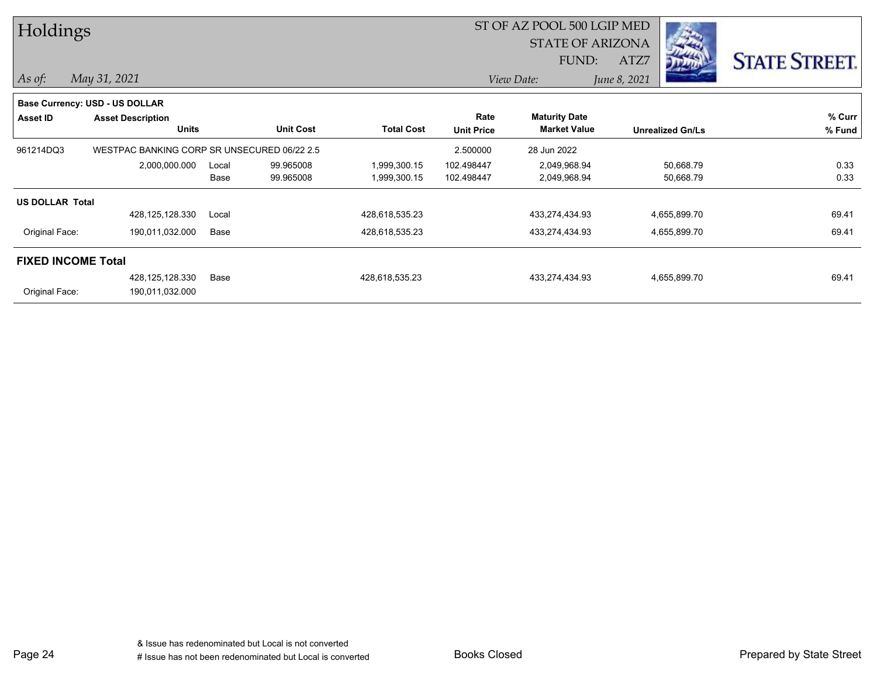| Holdings                  |                                             |       |                  |                   |                   | ST OF AZ POOL 500 LGIP MED |              |                         |                      |
|---------------------------|---------------------------------------------|-------|------------------|-------------------|-------------------|----------------------------|--------------|-------------------------|----------------------|
|                           |                                             |       |                  |                   |                   | <b>STATE OF ARIZONA</b>    |              |                         |                      |
|                           |                                             |       |                  |                   |                   | FUND:                      | ATZ7         |                         | <b>STATE STREET.</b> |
| $As$ of:                  | May 31, 2021                                |       |                  |                   |                   | View Date:                 | June 8, 2021 |                         |                      |
|                           | <b>Base Currency: USD - US DOLLAR</b>       |       |                  |                   |                   |                            |              |                         |                      |
| Asset ID                  | <b>Asset Description</b>                    |       |                  |                   | Rate              | <b>Maturity Date</b>       |              |                         | % Curr               |
|                           | <b>Units</b>                                |       | <b>Unit Cost</b> | <b>Total Cost</b> | <b>Unit Price</b> | <b>Market Value</b>        |              | <b>Unrealized Gn/Ls</b> | % Fund               |
| 961214DQ3                 | WESTPAC BANKING CORP SR UNSECURED 06/22 2.5 |       |                  |                   | 2.500000          | 28 Jun 2022                |              |                         |                      |
|                           | 2,000,000.000                               | Local | 99.965008        | 1,999,300.15      | 102.498447        | 2,049,968.94               |              | 50,668.79               | 0.33                 |
|                           |                                             | Base  | 99.965008        | 1,999,300.15      | 102.498447        | 2,049,968.94               |              | 50,668.79               | 0.33                 |
| <b>US DOLLAR Total</b>    |                                             |       |                  |                   |                   |                            |              |                         |                      |
|                           | 428,125,128.330                             | Local |                  | 428,618,535.23    |                   | 433,274,434.93             |              | 4,655,899.70            | 69.41                |
| Original Face:            | 190,011,032.000                             | Base  |                  | 428,618,535.23    |                   | 433,274,434.93             |              | 4,655,899.70            | 69.41                |
| <b>FIXED INCOME Total</b> |                                             |       |                  |                   |                   |                            |              |                         |                      |
|                           | 428,125,128.330                             | Base  |                  | 428,618,535.23    |                   | 433,274,434.93             |              | 4,655,899.70            | 69.41                |
| Original Face:            | 190,011,032.000                             |       |                  |                   |                   |                            |              |                         |                      |

Page 24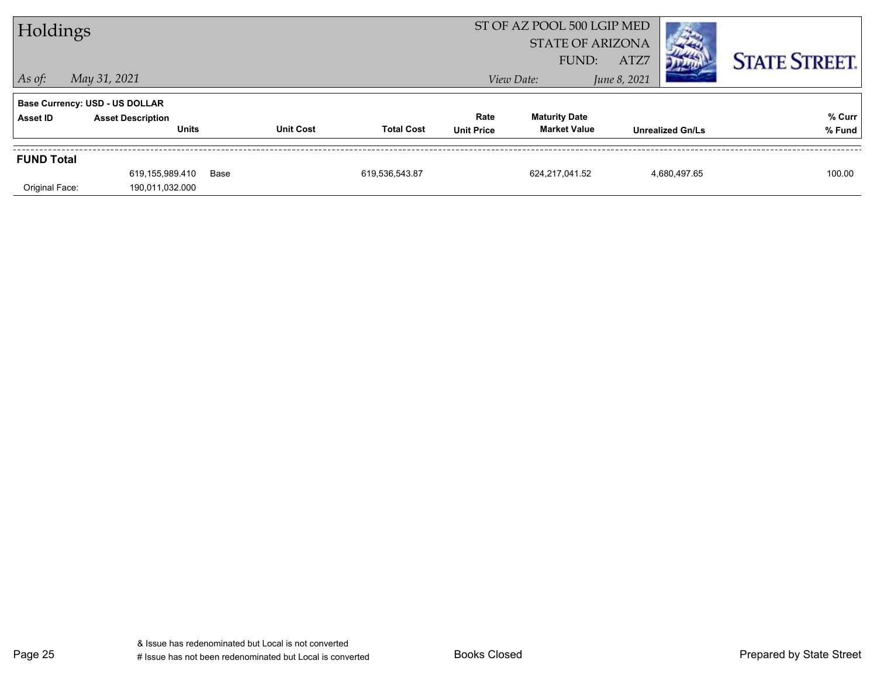| Holdings                              |                                          |      |                  |                   |                           | ST OF AZ POOL 500 LGIP MED<br><b>STATE OF ARIZONA</b><br>FUND: | ATZ7         |                         | <b>STATE STREET.</b> |
|---------------------------------------|------------------------------------------|------|------------------|-------------------|---------------------------|----------------------------------------------------------------|--------------|-------------------------|----------------------|
| $\vert$ As of:                        | May 31, 2021                             |      |                  |                   |                           | View Date:                                                     | June 8, 2021 |                         |                      |
| <b>Base Currency: USD - US DOLLAR</b> |                                          |      |                  |                   |                           |                                                                |              |                         |                      |
| Asset ID                              | <b>Asset Description</b><br><b>Units</b> |      | <b>Unit Cost</b> | <b>Total Cost</b> | Rate<br><b>Unit Price</b> | <b>Maturity Date</b><br><b>Market Value</b>                    |              | <b>Unrealized Gn/Ls</b> | % Curr<br>% Fund     |
|                                       |                                          |      |                  |                   |                           |                                                                |              |                         |                      |
| <b>FUND Total</b>                     |                                          |      |                  |                   |                           |                                                                |              |                         |                      |
|                                       | 619,155,989.410                          | Base |                  | 619,536,543.87    |                           | 624,217,041.52                                                 |              | 4,680,497.65            | 100.00               |
| Original Face:                        | 190,011,032.000                          |      |                  |                   |                           |                                                                |              |                         |                      |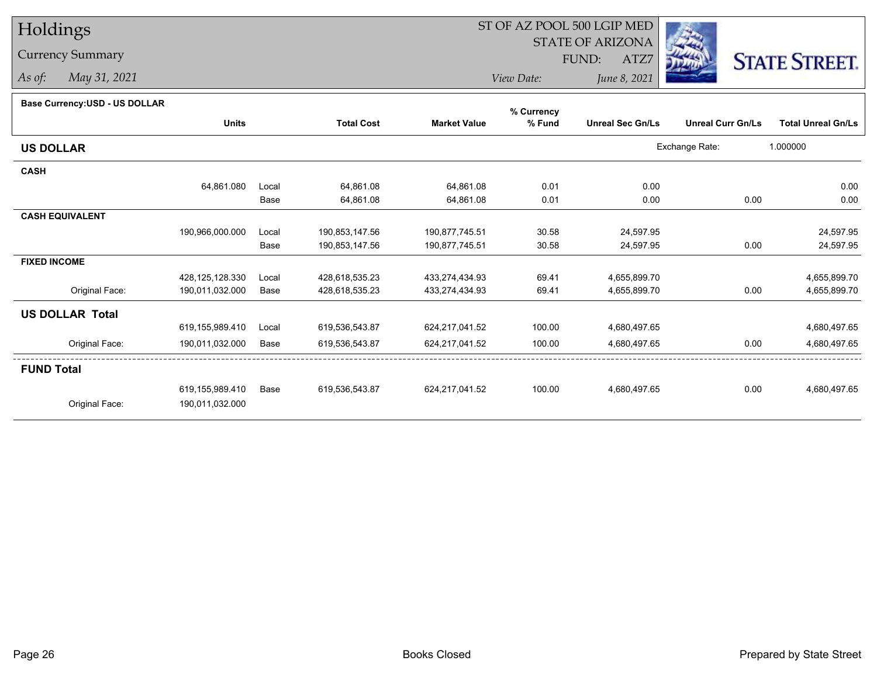# Holdings

### Currency Summary

*As of: May 31, 2021*

## ST OF AZ POOL 500 LGIP MED

 STATE OF ARIZONAFUND:

ATZ7



*View Date:June 8, 2021*

|  | Base Currency: USD - US DOLLAR |  |
|--|--------------------------------|--|
|--|--------------------------------|--|

| Dase Currency: USD - US DULLAR | <b>Units</b>    |       | <b>Total Cost</b> | <b>Market Value</b> | % Currency<br>% Fund | <b>Unreal Sec Gn/Ls</b> | <b>Unreal Curr Gn/Ls</b> | <b>Total Unreal Gn/Ls</b> |
|--------------------------------|-----------------|-------|-------------------|---------------------|----------------------|-------------------------|--------------------------|---------------------------|
|                                |                 |       |                   |                     |                      |                         |                          |                           |
| <b>US DOLLAR</b>               |                 |       |                   |                     |                      |                         | Exchange Rate:           | 1.000000                  |
| <b>CASH</b>                    |                 |       |                   |                     |                      |                         |                          |                           |
|                                | 64,861.080      | Local | 64,861.08         | 64,861.08           | 0.01                 | 0.00                    |                          | 0.00                      |
|                                |                 | Base  | 64,861.08         | 64,861.08           | 0.01                 | 0.00                    | 0.00                     | 0.00                      |
| <b>CASH EQUIVALENT</b>         |                 |       |                   |                     |                      |                         |                          |                           |
|                                | 190,966,000.000 | Local | 190,853,147.56    | 190,877,745.51      | 30.58                | 24,597.95               |                          | 24,597.95                 |
|                                |                 | Base  | 190,853,147.56    | 190,877,745.51      | 30.58                | 24,597.95               | 0.00                     | 24,597.95                 |
| <b>FIXED INCOME</b>            |                 |       |                   |                     |                      |                         |                          |                           |
|                                | 428,125,128.330 | Local | 428,618,535.23    | 433,274,434.93      | 69.41                | 4,655,899.70            |                          | 4,655,899.70              |
| Original Face:                 | 190,011,032.000 | Base  | 428,618,535.23    | 433,274,434.93      | 69.41                | 4,655,899.70            | 0.00                     | 4,655,899.70              |
| <b>US DOLLAR Total</b>         |                 |       |                   |                     |                      |                         |                          |                           |
|                                | 619,155,989.410 | Local | 619,536,543.87    | 624,217,041.52      | 100.00               | 4,680,497.65            |                          | 4,680,497.65              |
| Original Face:                 | 190,011,032.000 | Base  | 619,536,543.87    | 624,217,041.52      | 100.00               | 4,680,497.65            | 0.00                     | 4,680,497.65              |
| <b>FUND Total</b>              |                 |       |                   |                     |                      |                         |                          |                           |
|                                | 619,155,989.410 | Base  | 619.536.543.87    | 624.217.041.52      | 100.00               | 4,680,497.65            | 0.00                     | 4,680,497.65              |
| Original Face:                 | 190,011,032.000 |       |                   |                     |                      |                         |                          |                           |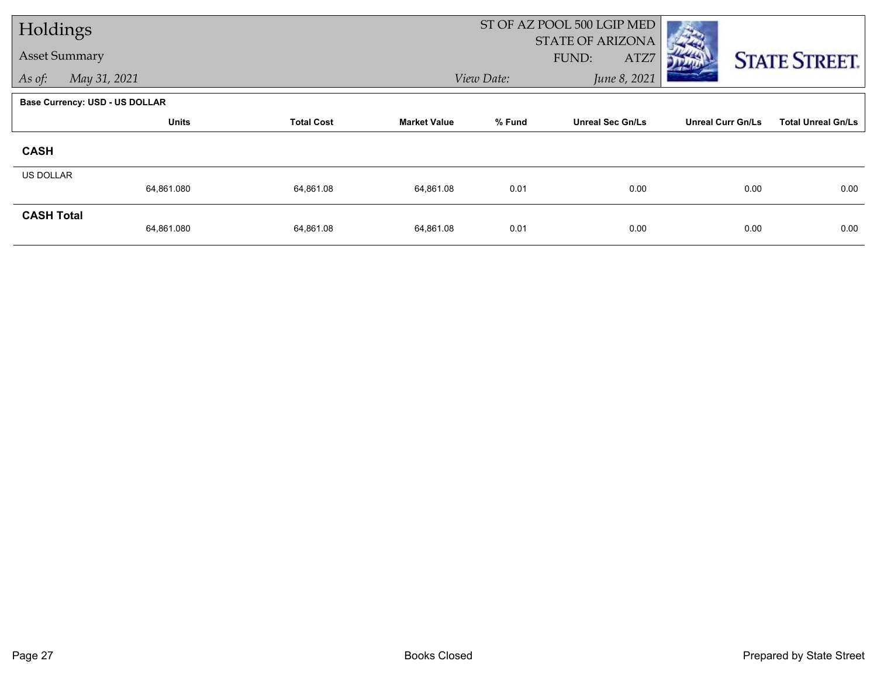| Holdings          |                                       |              |                   |                     | ST OF AZ POOL 500 LGIP MED        |                                          |                          |                           |
|-------------------|---------------------------------------|--------------|-------------------|---------------------|-----------------------------------|------------------------------------------|--------------------------|---------------------------|
|                   | <b>Asset Summary</b>                  |              |                   |                     |                                   | <b>STATE OF ARIZONA</b><br>FUND:<br>ATZ7 |                          | <b>STATE STREET.</b>      |
| As of:            | May 31, 2021                          |              |                   |                     | View Date:                        | June 8, 2021                             |                          |                           |
|                   | <b>Base Currency: USD - US DOLLAR</b> |              |                   |                     |                                   |                                          |                          |                           |
|                   |                                       | <b>Units</b> | <b>Total Cost</b> | <b>Market Value</b> | % Fund<br><b>Unreal Sec Gn/Ls</b> |                                          | <b>Unreal Curr Gn/Ls</b> | <b>Total Unreal Gn/Ls</b> |
| <b>CASH</b>       |                                       |              |                   |                     |                                   |                                          |                          |                           |
| US DOLLAR         |                                       |              |                   |                     |                                   |                                          |                          |                           |
|                   | 64,861.080                            |              | 64,861.08         | 64,861.08           | 0.01                              | 0.00                                     | 0.00                     | 0.00                      |
| <b>CASH Total</b> | 64,861.080                            |              | 64,861.08         | 64,861.08           | 0.01                              | 0.00                                     | 0.00                     | 0.00                      |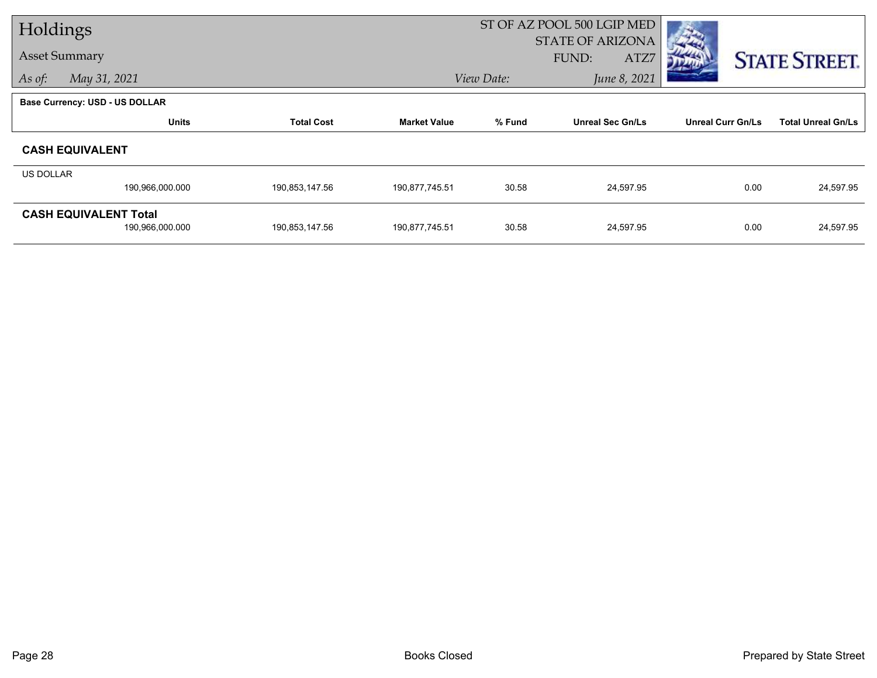| Holdings  |                                                 |                   |                     | ST OF AZ POOL 500 LGIP MED |                                          |                          |                           |  |
|-----------|-------------------------------------------------|-------------------|---------------------|----------------------------|------------------------------------------|--------------------------|---------------------------|--|
|           | <b>Asset Summary</b>                            |                   |                     |                            | <b>STATE OF ARIZONA</b><br>FUND:<br>ATZ7 |                          | <b>STATE STREET.</b>      |  |
| As of:    | May 31, 2021                                    |                   |                     | June 8, 2021<br>View Date: |                                          |                          |                           |  |
|           | <b>Base Currency: USD - US DOLLAR</b>           |                   |                     |                            |                                          |                          |                           |  |
|           | <b>Units</b>                                    | <b>Total Cost</b> | <b>Market Value</b> | % Fund                     | <b>Unreal Sec Gn/Ls</b>                  | <b>Unreal Curr Gn/Ls</b> | <b>Total Unreal Gn/Ls</b> |  |
|           | <b>CASH EQUIVALENT</b>                          |                   |                     |                            |                                          |                          |                           |  |
| US DOLLAR |                                                 |                   |                     |                            |                                          |                          |                           |  |
|           | 190,966,000.000                                 | 190,853,147.56    | 190,877,745.51      | 30.58                      | 24,597.95                                | 0.00                     | 24,597.95                 |  |
|           | <b>CASH EQUIVALENT Total</b><br>190,966,000.000 | 190,853,147.56    | 190,877,745.51      | 30.58                      | 24,597.95                                | 0.00                     | 24,597.95                 |  |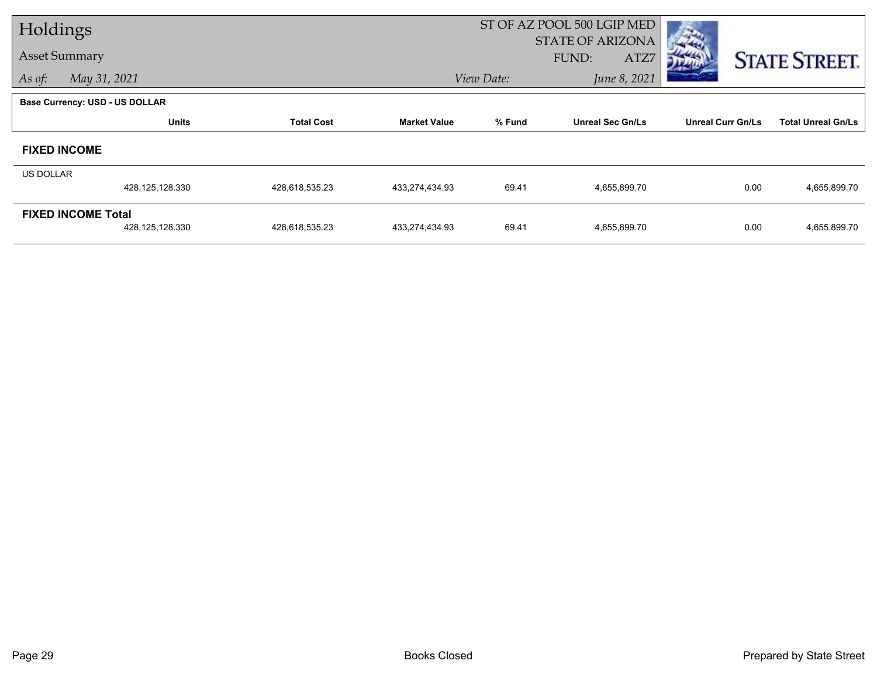| Holdings             |                                       |                   |                     |                            | ST OF AZ POOL 500 LGIP MED               |                          |                           |
|----------------------|---------------------------------------|-------------------|---------------------|----------------------------|------------------------------------------|--------------------------|---------------------------|
| <b>Asset Summary</b> |                                       |                   |                     |                            | <b>STATE OF ARIZONA</b><br>FUND:<br>ATZ7 |                          | <b>STATE STREET.</b>      |
| As of:               | May 31, 2021                          |                   |                     | June 8, 2021<br>View Date: |                                          |                          |                           |
|                      | <b>Base Currency: USD - US DOLLAR</b> |                   |                     |                            |                                          |                          |                           |
|                      | <b>Units</b>                          | <b>Total Cost</b> | <b>Market Value</b> | % Fund                     | <b>Unreal Sec Gn/Ls</b>                  | <b>Unreal Curr Gn/Ls</b> | <b>Total Unreal Gn/Ls</b> |
| <b>FIXED INCOME</b>  |                                       |                   |                     |                            |                                          |                          |                           |
| <b>US DOLLAR</b>     |                                       |                   |                     |                            |                                          |                          |                           |
|                      | 428,125,128.330                       | 428,618,535.23    | 433,274,434.93      | 69.41                      | 4,655,899.70                             | 0.00                     | 4,655,899.70              |
|                      | <b>FIXED INCOME Total</b>             |                   |                     |                            |                                          |                          |                           |
|                      | 428,125,128.330                       | 428,618,535.23    | 433,274,434.93      | 69.41                      | 4,655,899.70                             | 0.00                     | 4,655,899.70              |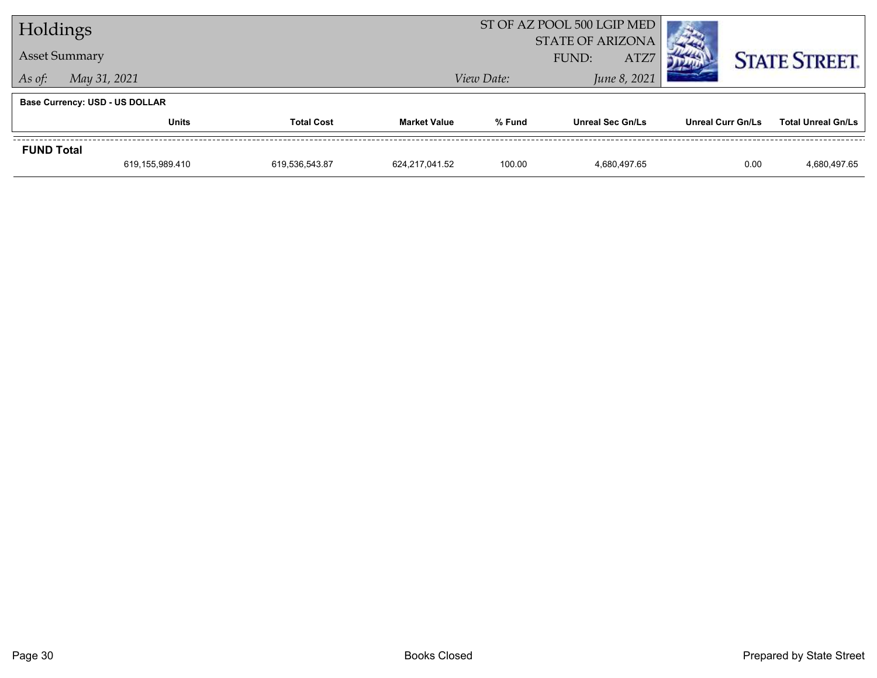| Holdings          |                                       |                   |                            |                                          | ST OF AZ POOL 500 LGIP MED | <b>The Contract of the Contract of the Contract of the Contract of the Contract of the Contract of the Contract of The Contract of The Contract of The Contract of The Contract of The Contract of The Contract of The Contract </b> |                           |  |
|-------------------|---------------------------------------|-------------------|----------------------------|------------------------------------------|----------------------------|--------------------------------------------------------------------------------------------------------------------------------------------------------------------------------------------------------------------------------------|---------------------------|--|
|                   | <b>Asset Summary</b>                  |                   |                            | <b>STATE OF ARIZONA</b><br>ATZ7<br>FUND: |                            |                                                                                                                                                                                                                                      | <b>STATE STREET.</b>      |  |
| As of:            | May 31, 2021                          |                   | June 8, 2021<br>View Date: |                                          |                            |                                                                                                                                                                                                                                      |                           |  |
|                   | <b>Base Currency: USD - US DOLLAR</b> |                   |                            |                                          |                            |                                                                                                                                                                                                                                      |                           |  |
|                   | <b>Units</b>                          | <b>Total Cost</b> | <b>Market Value</b>        | % Fund                                   | <b>Unreal Sec Gn/Ls</b>    | Unreal Curr Gn/Ls                                                                                                                                                                                                                    | <b>Total Unreal Gn/Ls</b> |  |
| <b>FUND Total</b> |                                       |                   |                            |                                          |                            |                                                                                                                                                                                                                                      |                           |  |
|                   | 619,155,989.410                       | 619,536,543.87    | 624.217.041.52             | 100.00                                   | 4.680.497.65               | 0.00                                                                                                                                                                                                                                 | 4,680,497.65              |  |